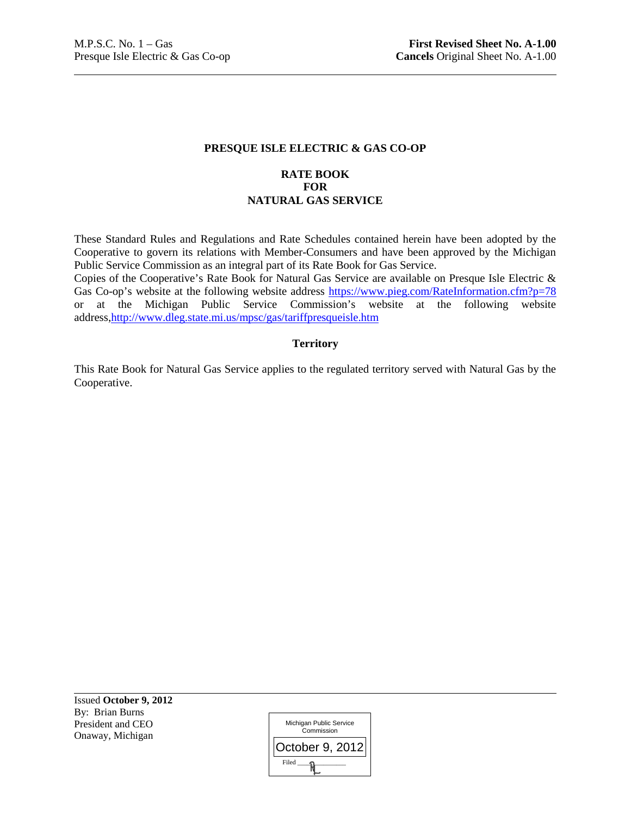## **PRESQUE ISLE ELECTRIC & GAS CO-OP**

## **RATE BOOK FOR NATURAL GAS SERVICE**

These Standard Rules and Regulations and Rate Schedules contained herein have been adopted by the Cooperative to govern its relations with Member-Consumers and have been approved by the Michigan Public Service Commission as an integral part of its Rate Book for Gas Service.

Copies of the Cooperative's Rate Book for Natural Gas Service are available on Presque Isle Electric & Gas Co-op's website at the following website address https://www.pieg.com/RateInformation.cfm?p=78 or at the Michigan Public Service Commission's website at the following website address,http://www.dleg.state.mi.us/mpsc/gas/tariffpresqueisle.htm

## **Territory**

This Rate Book for Natural Gas Service applies to the regulated territory served with Natural Gas by the Cooperative.

Issued **October 9, 2012** By: Brian Burns President and CEO Onaway, Michigan

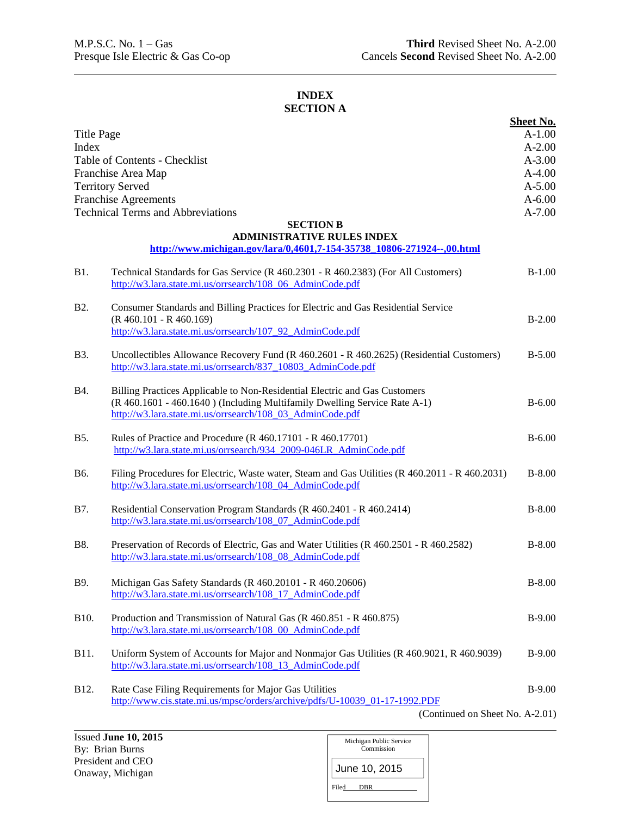## **INDEX SECTION A**

|                   |                                                                                                                                                             | <b>Sheet No.</b> |
|-------------------|-------------------------------------------------------------------------------------------------------------------------------------------------------------|------------------|
| <b>Title Page</b> |                                                                                                                                                             | $A-1.00$         |
| Index             |                                                                                                                                                             | $A - 2.00$       |
|                   | Table of Contents - Checklist                                                                                                                               | $A - 3.00$       |
|                   | Franchise Area Map                                                                                                                                          | $A-4.00$         |
|                   | <b>Territory Served</b>                                                                                                                                     | $A - 5.00$       |
|                   | <b>Franchise Agreements</b>                                                                                                                                 | $A - 6.00$       |
|                   | <b>Technical Terms and Abbreviations</b>                                                                                                                    | $A - 7.00$       |
|                   | <b>SECTION B</b>                                                                                                                                            |                  |
|                   | <b>ADMINISTRATIVE RULES INDEX</b><br>http://www.michigan.gov/lara/0,4601,7-154-35738_10806-271924--,00.html                                                 |                  |
| <b>B1.</b>        | Technical Standards for Gas Service (R 460.2301 - R 460.2383) (For All Customers)<br>http://w3.lara.state.mi.us/orrsearch/108 06 AdminCode.pdf              | $B-1.00$         |
| <b>B2.</b>        | Consumer Standards and Billing Practices for Electric and Gas Residential Service                                                                           |                  |
|                   | $(R 460.101 - R 460.169)$                                                                                                                                   | $B-2.00$         |
|                   | http://w3.lara.state.mi.us/orrsearch/107 92 AdminCode.pdf                                                                                                   |                  |
| <b>B</b> 3.       | Uncollectibles Allowance Recovery Fund (R 460.2601 - R 460.2625) (Residential Customers)<br>http://w3.lara.state.mi.us/orrsearch/837_10803_AdminCode.pdf    | $B - 5.00$       |
| <b>B</b> 4.       | Billing Practices Applicable to Non-Residential Electric and Gas Customers                                                                                  |                  |
|                   | (R 460.1601 - 460.1640) (Including Multifamily Dwelling Service Rate A-1)                                                                                   | $B - 6.00$       |
|                   | http://w3.lara.state.mi.us/orrsearch/108_03_AdminCode.pdf                                                                                                   |                  |
| <b>B5.</b>        | Rules of Practice and Procedure (R 460.17101 - R 460.17701)                                                                                                 | $B - 6.00$       |
|                   | http://w3.lara.state.mi.us/orrsearch/934_2009-046LR_AdminCode.pdf                                                                                           |                  |
|                   |                                                                                                                                                             |                  |
| B6.               | Filing Procedures for Electric, Waste water, Steam and Gas Utilities (R 460.2011 - R 460.2031)<br>http://w3.lara.state.mi.us/orrsearch/108_04_AdminCode.pdf | $B-8.00$         |
| B7.               | Residential Conservation Program Standards (R 460.2401 - R 460.2414)                                                                                        | $B-8.00$         |
|                   | http://w3.lara.state.mi.us/orrsearch/108_07_AdminCode.pdf                                                                                                   |                  |
|                   |                                                                                                                                                             |                  |
| <b>B8.</b>        | Preservation of Records of Electric, Gas and Water Utilities (R 460.2501 - R 460.2582)<br>http://w3.lara.state.mi.us/orrsearch/108_08_AdminCode.pdf         | $B-8.00$         |
|                   |                                                                                                                                                             |                  |
| B9.               | Michigan Gas Safety Standards (R 460.20101 - R 460.20606)                                                                                                   | $B-8.00$         |
|                   | http://w3.lara.state.mi.us/orrsearch/108_17_AdminCode.pdf                                                                                                   |                  |
| B10.              | Production and Transmission of Natural Gas (R 460.851 - R 460.875)                                                                                          | $B-9.00$         |
|                   | http://w3.lara.state.mi.us/orrsearch/108_00_AdminCode.pdf                                                                                                   |                  |
|                   |                                                                                                                                                             |                  |
| B11.              | Uniform System of Accounts for Major and Nonmajor Gas Utilities (R 460.9021, R 460.9039)                                                                    | $B-9.00$         |
|                   | http://w3.lara.state.mi.us/orrsearch/108_13_AdminCode.pdf                                                                                                   |                  |
|                   |                                                                                                                                                             | $B-9.00$         |
| B12.              | Rate Case Filing Requirements for Major Gas Utilities<br>http://www.cis.state.mi.us/mpsc/orders/archive/pdfs/U-10039_01-17-1992.PDF                         |                  |
|                   | (Continued on Sheet No. A-2.01)                                                                                                                             |                  |
|                   |                                                                                                                                                             |                  |

| Michigan Public Service<br>Commission |
|---------------------------------------|
| June 10, 2015                         |
| Filed<br><b>DBR</b>                   |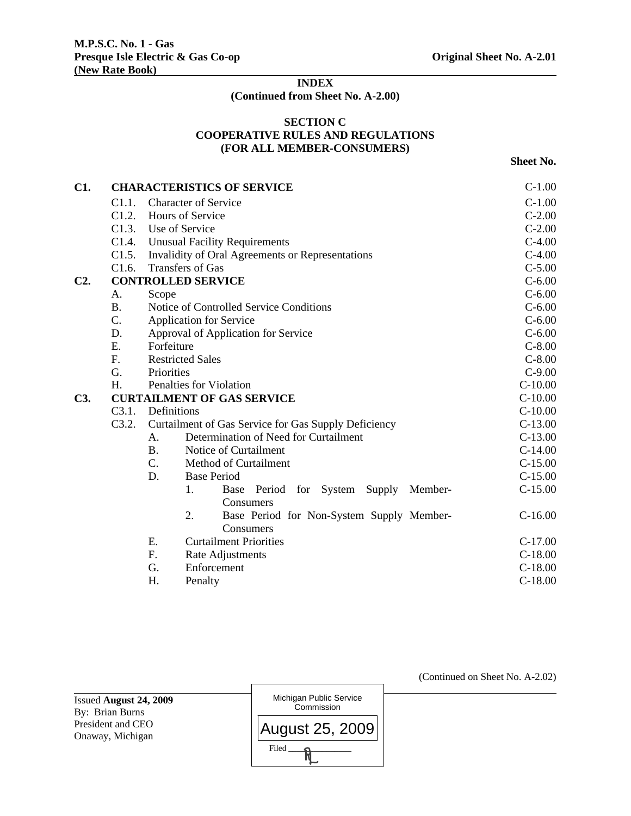# **INDEX**

**(Continued from Sheet No. A-2.00)** 

## **SECTION C COOPERATIVE RULES AND REGULATIONS (FOR ALL MEMBER-CONSUMERS)**

**Sheet No.** 

| C1.    |             |                                                      | <b>CHARACTERISTICS OF SERVICE</b>                    | $C-1.00$   |
|--------|-------------|------------------------------------------------------|------------------------------------------------------|------------|
|        | C1.1.       |                                                      | <b>Character of Service</b>                          | $C-1.00$   |
|        | C1.2.       |                                                      | Hours of Service                                     | $C-2.00$   |
|        | C1.3.       |                                                      | Use of Service                                       | $C-2.00$   |
|        | C1.4.       |                                                      | <b>Unusual Facility Requirements</b>                 | $C-4.00$   |
|        | C1.5.       |                                                      | Invalidity of Oral Agreements or Representations     | $C-4.00$   |
|        | C1.6.       |                                                      | <b>Transfers of Gas</b>                              | $C-5.00$   |
| $C2$ . |             |                                                      | <b>CONTROLLED SERVICE</b>                            | $C - 6.00$ |
|        | A.          | Scope                                                |                                                      | $C - 6.00$ |
|        | <b>B.</b>   |                                                      | Notice of Controlled Service Conditions              | $C - 6.00$ |
|        | C.          |                                                      | <b>Application for Service</b>                       | $C - 6.00$ |
|        | D.          |                                                      | Approval of Application for Service                  | $C - 6.00$ |
|        | Ε.          | Forfeiture                                           |                                                      | $C-8.00$   |
|        | $F_{\cdot}$ | <b>Restricted Sales</b>                              | $C-8.00$                                             |            |
|        | G.          | Priorities                                           |                                                      | $C-9.00$   |
|        | H.          | Penalties for Violation                              | $C-10.00$                                            |            |
| C3.    |             |                                                      | <b>CURTAILMENT OF GAS SERVICE</b>                    | $C-10.00$  |
|        | C3.1.       |                                                      | Definitions                                          | $C-10.00$  |
|        | C3.2.       | Curtailment of Gas Service for Gas Supply Deficiency | $C-13.00$                                            |            |
|        |             | A.                                                   | Determination of Need for Curtailment                | $C-13.00$  |
|        |             | <b>B.</b>                                            | Notice of Curtailment                                | $C-14.00$  |
|        |             | C.                                                   | Method of Curtailment                                | $C-15.00$  |
|        |             | D.                                                   | <b>Base Period</b>                                   | $C-15.00$  |
|        |             |                                                      | 1.<br>Member-<br>Base Period<br>for System<br>Supply | $C-15.00$  |
|        |             |                                                      | Consumers                                            |            |
|        |             |                                                      | 2.<br>Base Period for Non-System Supply Member-      | $C-16.00$  |
|        |             |                                                      | Consumers                                            |            |
|        |             | Ε.                                                   | <b>Curtailment Priorities</b>                        | $C-17.00$  |
|        |             | F.                                                   | Rate Adjustments                                     | $C-18.00$  |
|        |             | G.                                                   | Enforcement                                          | $C-18.00$  |
|        |             | H.                                                   | Penalty                                              | $C-18.00$  |

Issued **August 24, 2009**  By: Brian Burns President and CEO Onaway, Michigan



(Continued on Sheet No. A-2.02)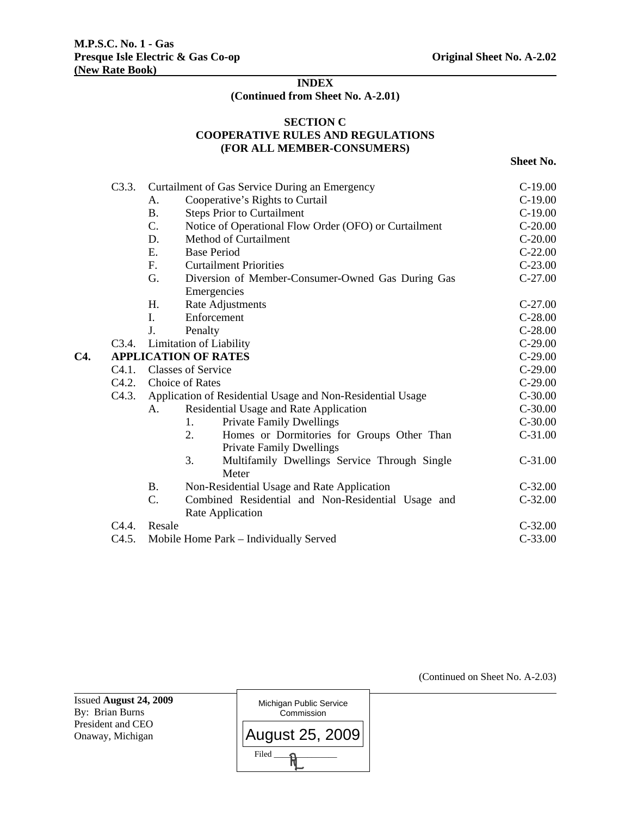## **INDEX (Continued from Sheet No. A-2.01)**

## **SECTION C COOPERATIVE RULES AND REGULATIONS (FOR ALL MEMBER-CONSUMERS)**

**Sheet No.** 

|     | C3.3.              |                                                                                                                                           | Curtailment of Gas Service During an Emergency                                      | $C-19.00$ |
|-----|--------------------|-------------------------------------------------------------------------------------------------------------------------------------------|-------------------------------------------------------------------------------------|-----------|
|     |                    | А.                                                                                                                                        | Cooperative's Rights to Curtail                                                     | $C-19.00$ |
|     |                    | <b>B.</b>                                                                                                                                 | <b>Steps Prior to Curtailment</b>                                                   | $C-19.00$ |
|     |                    | $\mathcal{C}$ .                                                                                                                           | Notice of Operational Flow Order (OFO) or Curtailment                               | $C-20.00$ |
|     |                    | D.                                                                                                                                        | Method of Curtailment                                                               | $C-20.00$ |
|     |                    | Ε.                                                                                                                                        | <b>Base Period</b>                                                                  | $C-22.00$ |
|     |                    | F.                                                                                                                                        | <b>Curtailment Priorities</b>                                                       | $C-23.00$ |
|     |                    | G.                                                                                                                                        | Diversion of Member-Consumer-Owned Gas During Gas                                   | $C-27.00$ |
|     |                    |                                                                                                                                           | Emergencies                                                                         |           |
|     |                    | H.                                                                                                                                        | Rate Adjustments                                                                    | $C-27.00$ |
|     |                    | I.                                                                                                                                        | Enforcement                                                                         | $C-28.00$ |
|     |                    | J.                                                                                                                                        | Penalty                                                                             | $C-28.00$ |
|     | C <sub>3</sub> .4. |                                                                                                                                           | Limitation of Liability                                                             | $C-29.00$ |
| C4. |                    |                                                                                                                                           |                                                                                     | $C-29.00$ |
|     | C4.1.              |                                                                                                                                           |                                                                                     | $C-29.00$ |
|     | C4.2.              | <b>APPLICATION OF RATES</b><br><b>Classes of Service</b><br>Choice of Rates<br>Application of Residential Usage and Non-Residential Usage |                                                                                     | $C-29.00$ |
|     | C <sub>4.3</sub> . |                                                                                                                                           |                                                                                     | $C-30.00$ |
|     |                    | А.                                                                                                                                        | Residential Usage and Rate Application                                              | $C-30.00$ |
|     |                    |                                                                                                                                           | <b>Private Family Dwellings</b><br>1.                                               | $C-30.00$ |
|     |                    |                                                                                                                                           | 2.<br>Homes or Dormitories for Groups Other Than<br><b>Private Family Dwellings</b> | $C-31.00$ |
|     |                    |                                                                                                                                           | 3.<br>Multifamily Dwellings Service Through Single                                  | $C-31.00$ |
|     |                    |                                                                                                                                           | Meter                                                                               |           |
|     |                    | <b>B.</b>                                                                                                                                 | Non-Residential Usage and Rate Application                                          | $C-32.00$ |
|     |                    | C.                                                                                                                                        | Combined Residential and Non-Residential Usage and                                  | $C-32.00$ |
|     |                    |                                                                                                                                           | Rate Application                                                                    |           |
|     | C <sub>4.4</sub> . | Resale                                                                                                                                    |                                                                                     | $C-32.00$ |
|     | C4.5.              |                                                                                                                                           | Mobile Home Park – Individually Served                                              | $C-33.00$ |
|     |                    |                                                                                                                                           |                                                                                     |           |

Issued **August 24, 2009**  By: Brian Burns President and CEO Onaway, Michigan

Michigan Public Service **Commission**  $Filed$   $\longrightarrow$ August 25, 2009 (Continued on Sheet No. A-2.03)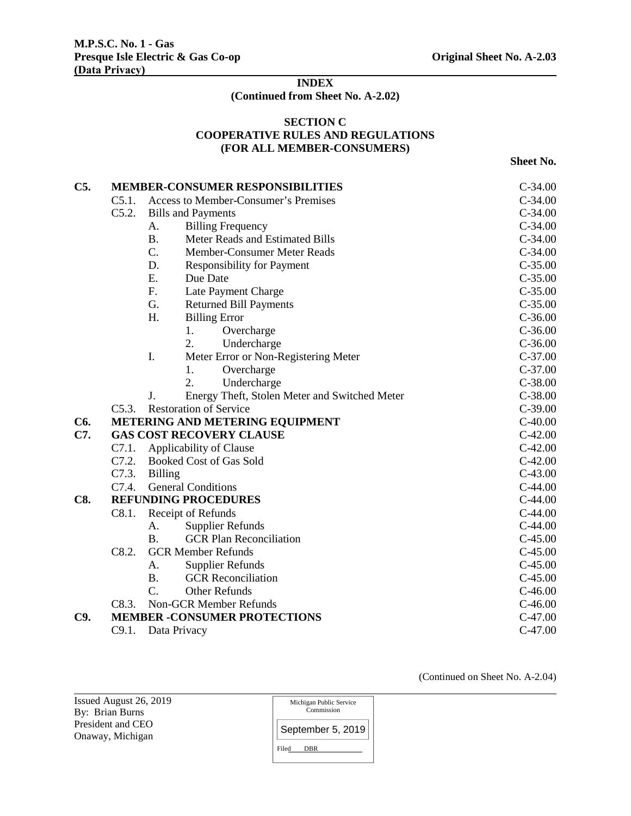# **INDEX (Continued from Sheet No. A-2.02)**

## **SECTION C COOPERATIVE RULES AND REGULATIONS (FOR ALL MEMBER-CONSUMERS)**

**Sheet No.** 

| C5.        |                                          | <b>MEMBER-CONSUMER RESPONSIBILITIES</b>             | $C-34.00$ |  |
|------------|------------------------------------------|-----------------------------------------------------|-----------|--|
|            | C5.1.                                    | Access to Member-Consumer's Premises                | $C-34.00$ |  |
|            | C5.2.                                    | <b>Bills and Payments</b>                           | $C-34.00$ |  |
|            |                                          | <b>Billing Frequency</b><br>A.                      | $C-34.00$ |  |
|            |                                          | Meter Reads and Estimated Bills<br><b>B.</b>        | $C-34.00$ |  |
|            |                                          | C.<br>Member-Consumer Meter Reads                   | $C-34.00$ |  |
|            |                                          | D.<br><b>Responsibility for Payment</b>             | $C-35.00$ |  |
|            |                                          | E.<br>Due Date                                      | $C-35.00$ |  |
|            |                                          | F.<br>Late Payment Charge                           | $C-35.00$ |  |
|            |                                          | G.<br><b>Returned Bill Payments</b>                 | $C-35.00$ |  |
|            |                                          | H.<br><b>Billing Error</b>                          | $C-36.00$ |  |
|            |                                          | Overcharge<br>1.                                    | $C-36.00$ |  |
|            |                                          | 2.<br>Undercharge                                   | $C-36.00$ |  |
|            |                                          | I.<br>Meter Error or Non-Registering Meter          | $C-37.00$ |  |
|            |                                          | 1.<br>Overcharge                                    | $C-37.00$ |  |
|            |                                          | $\overline{2}$ .<br>Undercharge                     | $C-38.00$ |  |
|            |                                          | J.<br>Energy Theft, Stolen Meter and Switched Meter | $C-38.00$ |  |
|            | <b>Restoration of Service</b><br>C5.3.   |                                                     | $C-39.00$ |  |
| C6.        |                                          | <b>METERING AND METERING EQUIPMENT</b>              | $C-40.00$ |  |
| C7.        |                                          | <b>GAS COST RECOVERY CLAUSE</b>                     | $C-42.00$ |  |
|            | C7.1.                                    | Applicability of Clause                             | $C-42.00$ |  |
|            | C7.2.                                    | <b>Booked Cost of Gas Sold</b>                      | $C-42.00$ |  |
|            | C7.3.                                    | <b>Billing</b>                                      | $C-43.00$ |  |
|            | C7.4.                                    | <b>General Conditions</b>                           | $C-44.00$ |  |
| <b>C8.</b> | <b>REFUNDING PROCEDURES</b><br>$C-44.00$ |                                                     |           |  |
|            | C8.1.                                    | Receipt of Refunds                                  | $C-44.00$ |  |
|            |                                          | <b>Supplier Refunds</b><br>А.                       | $C-44.00$ |  |
|            |                                          | <b>GCR Plan Reconciliation</b><br><b>B.</b>         | $C-45.00$ |  |
|            | C8.2.                                    | <b>GCR Member Refunds</b>                           | $C-45.00$ |  |
|            |                                          | <b>Supplier Refunds</b><br>А.                       | $C-45.00$ |  |
|            |                                          | <b>GCR</b> Reconciliation<br><b>B.</b>              | $C-45.00$ |  |
|            |                                          | Other Refunds<br>C.                                 | $C-46.00$ |  |
|            | C8.3.                                    | <b>Non-GCR Member Refunds</b>                       | $C-46.00$ |  |
| C9.        |                                          | <b>MEMBER -CONSUMER PROTECTIONS</b>                 | $C-47.00$ |  |
|            | C9.1.                                    | Data Privacy                                        | $C-47.00$ |  |

(Continued on Sheet No. A-2.04)

Issued August 26, 2019 By: Brian Burns President and CEO Onaway, Michigan

| Michigan Public Service<br>Commission |
|---------------------------------------|
| September 5, 2019                     |
| Filed<br><b>DBR</b>                   |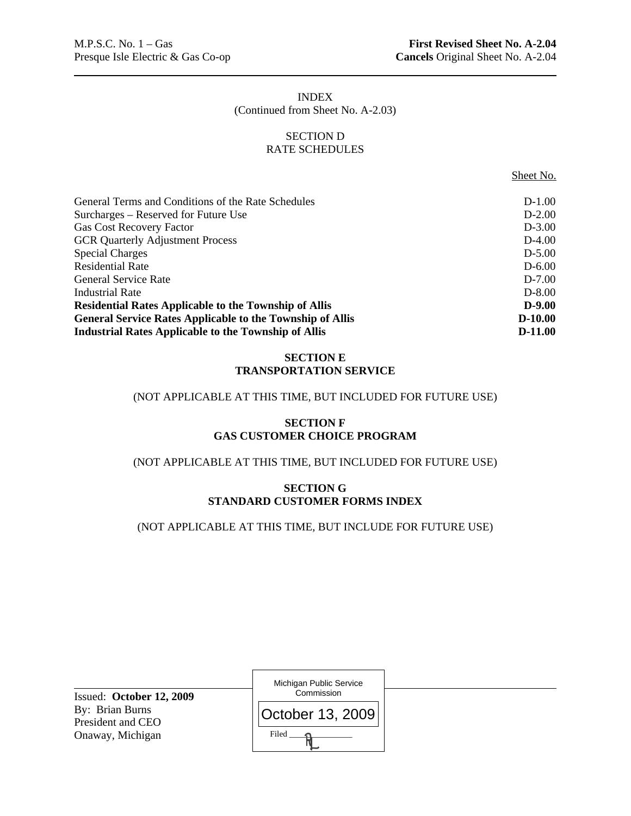# INDEX (Continued from Sheet No. A-2.03)

## SECTION D RATE SCHEDULES

Sheet No.

| General Terms and Conditions of the Rate Schedules               | $D-1.00$   |
|------------------------------------------------------------------|------------|
| Surcharges – Reserved for Future Use                             | $D-2.00$   |
| <b>Gas Cost Recovery Factor</b>                                  | $D-3.00$   |
| <b>GCR Quarterly Adjustment Process</b>                          | $D-4.00$   |
| <b>Special Charges</b>                                           | $D-5.00$   |
| <b>Residential Rate</b>                                          | $D - 6.00$ |
| <b>General Service Rate</b>                                      | $D-7.00$   |
| <b>Industrial Rate</b>                                           | $D-8.00$   |
| <b>Residential Rates Applicable to the Township of Allis</b>     | $D-9.00$   |
| <b>General Service Rates Applicable to the Township of Allis</b> | $D-10.00$  |
| <b>Industrial Rates Applicable to the Township of Allis</b>      | $D-11.00$  |

# **SECTION E TRANSPORTATION SERVICE**

## (NOT APPLICABLE AT THIS TIME, BUT INCLUDED FOR FUTURE USE)

# **SECTION F GAS CUSTOMER CHOICE PROGRAM**

# (NOT APPLICABLE AT THIS TIME, BUT INCLUDED FOR FUTURE USE)

## **SECTION G STANDARD CUSTOMER FORMS INDEX**

# (NOT APPLICABLE AT THIS TIME, BUT INCLUDE FOR FUTURE USE)

| Issued: October 12, 2009             | Michigan Public Service<br>Commission |
|--------------------------------------|---------------------------------------|
| By: Brian Burns<br>President and CEO | <b>October 13, 2009</b>               |
| Onaway, Michigan                     | Filed                                 |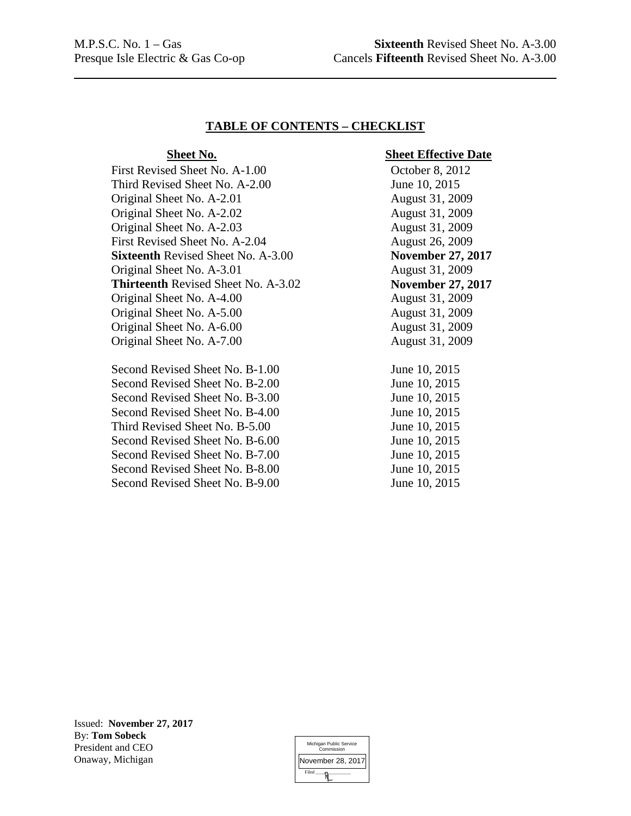## **TABLE OF CONTENTS – CHECKLIST**

First Revised Sheet No. A-1.00 October 8, 2012 Third Revised Sheet No. A-2.00 June 10, 2015 Original Sheet No. A-2.01 August 31, 2009 Original Sheet No. A-2.02 August 31, 2009 Original Sheet No. A-2.03 August 31, 2009 First Revised Sheet No. A-2.04 August 26, 2009 **Sixteenth** Revised Sheet No. A-3.00 **November 27, 2017** Original Sheet No. A-3.01 August 31, 2009 **Thirteenth** Revised Sheet No. A-3.02 **November 27, 2017**  Original Sheet No. A-4.00 August 31, 2009 Original Sheet No. A-5.00 August 31, 2009 Original Sheet No. A-6.00 August 31, 2009 Original Sheet No. A-7.00 August 31, 2009

Second Revised Sheet No. B-1.00 June 10, 2015 Second Revised Sheet No. B-2.00 June 10, 2015 Second Revised Sheet No. B-3.00 June 10, 2015 Second Revised Sheet No. B-4.00 June 10, 2015 Third Revised Sheet No. B-5.00 June 10, 2015 Second Revised Sheet No. B-6.00 June 10, 2015 Second Revised Sheet No. B-7.00 June 10, 2015 Second Revised Sheet No. B-8.00 June 10, 2015 Second Revised Sheet No. B-9.00 June 10, 2015

## **Sheet No.** Sheet Effective Date

Issued: **November 27, 2017** By: **Tom Sobeck**  President and CEO Onaway, Michigan

| Michigan Public Service<br>Commission |
|---------------------------------------|
| November 28, 2017                     |
| Filed                                 |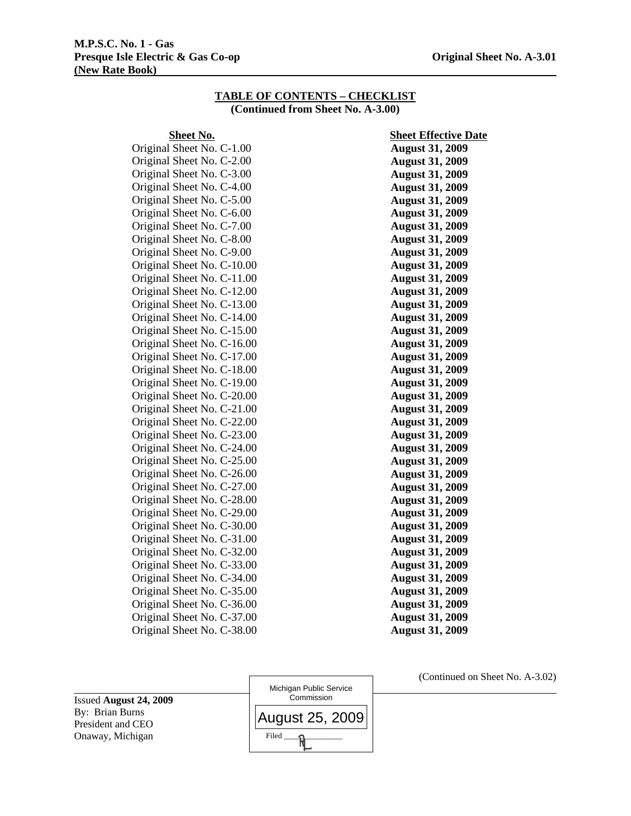#### **M.P.S.C. No. 1 - Gas Presque Isle Electric & Gas Co-op Community Community Community Community Community Community Community Community Community Community Community Community Community Community Community Community Community Community Communi (New Rate Book)**

#### **TABLE OF CONTENTS – CHECKLIST (Continued from Sheet No. A-3.00)**

Original Sheet No. C-1.00 **August 31, 2009**  Original Sheet No. C-2.00 **August 31, 2009**  Original Sheet No. C-3.00 **August 31, 2009**  Original Sheet No. C-4.00 **August 31, 2009**  Original Sheet No. C-5.00 **August 31, 2009**  Original Sheet No. C-6.00 **August 31, 2009**  Original Sheet No. C-7.00 **August 31, 2009**  Original Sheet No. C-8.00 **August 31, 2009**  Original Sheet No. C-9.00 **August 31, 2009**  Original Sheet No. C-10.00 **August 31, 2009**  Original Sheet No. C-11.00 **August 31, 2009**  Original Sheet No. C-12.00 **August 31, 2009**  Original Sheet No. C-13.00 **August 31, 2009**  Original Sheet No. C-14.00 **August 31, 2009**  Original Sheet No. C-15.00 **August 31, 2009**  Original Sheet No. C-16.00 **August 31, 2009**  Original Sheet No. C-17.00 **August 31, 2009**  Original Sheet No. C-18.00 **August 31, 2009**  Original Sheet No. C-19.00 **August 31, 2009**  Original Sheet No. C-20.00 **August 31, 2009**  Original Sheet No. C-21.00 **August 31, 2009**  Original Sheet No. C-22.00 **August 31, 2009**  Original Sheet No. C-23.00 **August 31, 2009**  Original Sheet No. C-24.00 **August 31, 2009**  Original Sheet No. C-25.00 **August 31, 2009**  Original Sheet No. C-26.00 **August 31, 2009**  Original Sheet No. C-27.00 **August 31, 2009**  Original Sheet No. C-28.00 **August 31, 2009**  Original Sheet No. C-29.00 **August 31, 2009**  Original Sheet No. C-30.00 **August 31, 2009**  Original Sheet No. C-31.00 **August 31, 2009**  Original Sheet No. C-32.00 **August 31, 2009**  Original Sheet No. C-33.00 **August 31, 2009**  Original Sheet No. C-34.00 **August 31, 2009**  Original Sheet No. C-35.00 **August 31, 2009**  Original Sheet No. C-36.00 **August 31, 2009**  Original Sheet No. C-37.00 **August 31, 2009** 

**Sheet No.** Sheet Effective Date Original Sheet No. C-38.00 **August 31, 2009** 

Issued **August 24, 2009**  By: Brian Burns President and CEO Onaway, Michigan Michigan Public Service **Commission**  $Filed$   $\longrightarrow$ August 25, 2009 (Continued on Sheet No. A-3.02)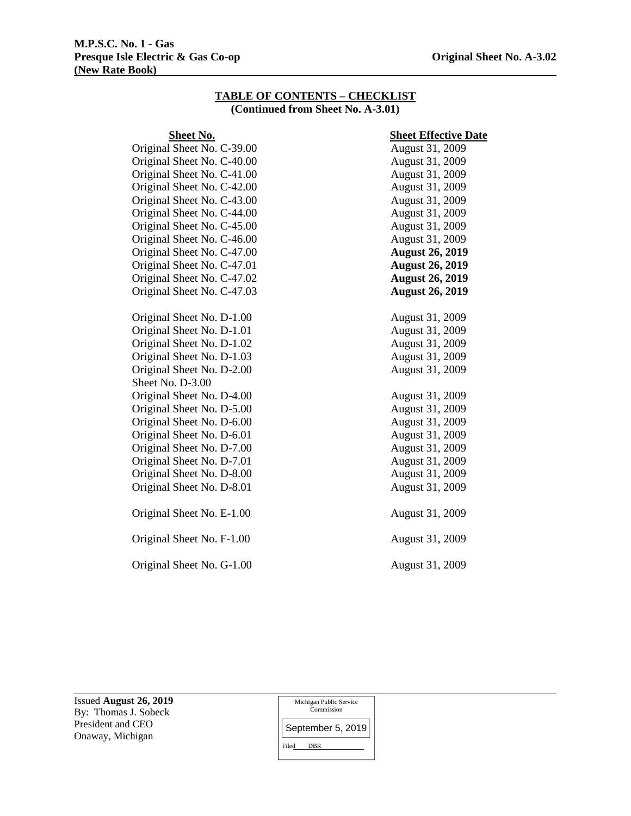#### **M.P.S.C. No. 1 - Gas Presque Isle Electric & Gas Co-op Original Sheet No. A-3.02 (New Rate Book)**

## **TABLE OF CONTENTS – CHECKLIST (Continued from Sheet No. A-3.01)**

# **Sheet No.** Sheet Effective Date Original Sheet No. C-39.00 August 31, 2009 Original Sheet No. C-40.00 August 31, 2009 Original Sheet No. C-41.00 August 31, 2009 Original Sheet No. C-42.00 August 31, 2009 Original Sheet No. C-43.00 August 31, 2009 Original Sheet No. C-44.00 August 31, 2009 Original Sheet No. C-45.00 August 31, 2009 Original Sheet No. C-46.00 Original Sheet No. C-47.00 Original Sheet No. C-47.01 Original Sheet No. C-47.02 Original Sheet No. C-47.03

Original Sheet No. D-1.00 August 31, 2009 Original Sheet No. D-1.01 August 31, 2009 Original Sheet No. D-1.02 August 31, 2009 Original Sheet No. D-1.03 August 31, 2009 Original Sheet No. D-2.00 August 31, 2009 Sheet No. D-3.00 Original Sheet No. D-4.00 August 31, 2009 Original Sheet No. D-5.00 August 31, 2009 Original Sheet No. D-6.00 August 31, 2009 Original Sheet No. D-6.01 August 31, 2009 Original Sheet No. D-7.00 August 31, 2009 Original Sheet No. D-7.01 August 31, 2009 Original Sheet No. D-8.00 August 31, 2009 Original Sheet No. D-8.01 August 31, 2009 Original Sheet No. E-1.00 August 31, 2009

Original Sheet No. F-1.00 August 31, 2009

Original Sheet No. G-1.00 August 31, 2009

August 31, 2009 **August 26, 2019 August 26, 2019 August 26, 2019 August 26, 2019** 

Issued **August 26, 2019**  By: Thomas J. Sobeck President and CEO Onaway, Michigan

Michigan Public Service Commission

Filed DBR September 5, 2019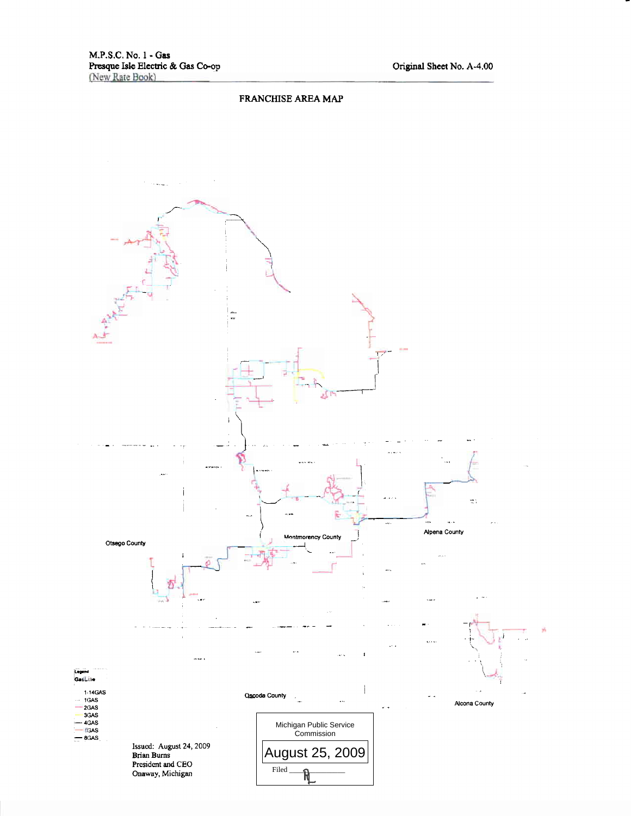#### FRANCHISE AREA MAP

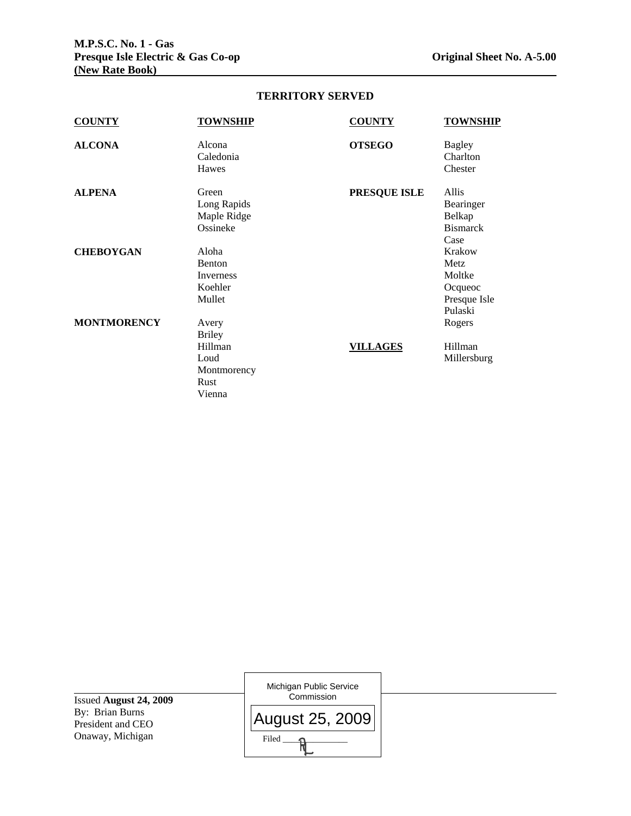| <b>COUNTY</b>      | <b>TOWNSHIP</b>     | <b>COUNTY</b>       | <b>TOWNSHIP</b>           |
|--------------------|---------------------|---------------------|---------------------------|
| <b>ALCONA</b>      | Alcona<br>Caledonia | <b>OTSEGO</b>       | <b>Bagley</b><br>Charlton |
|                    | Hawes               |                     | Chester                   |
| <b>ALPENA</b>      | Green               | <b>PRESQUE ISLE</b> | Allis                     |
|                    | Long Rapids         |                     | Bearinger                 |
|                    | Maple Ridge         |                     | Belkap                    |
|                    | Ossineke            |                     | <b>Bismarck</b>           |
|                    |                     |                     | Case                      |
| <b>CHEBOYGAN</b>   | Aloha               |                     | Krakow                    |
|                    | <b>Benton</b>       |                     | Metz                      |
|                    | Inverness           |                     | Moltke                    |
|                    | Koehler             |                     | Ocqueoc                   |
|                    | Mullet              |                     | Presque Isle              |
|                    |                     |                     | Pulaski                   |
| <b>MONTMORENCY</b> | Avery               |                     | Rogers                    |
|                    | Briley              |                     |                           |
|                    | Hillman             | <b>VILLAGES</b>     | Hillman                   |
|                    | Loud                |                     | Millersburg               |
|                    | Montmorency         |                     |                           |
|                    | Rust                |                     |                           |
|                    | Vienna              |                     |                           |

## **TERRITORY SERVED**

Issued **August 24, 2009**  By: Brian Burns President and CEO Onaway, Michigan Michigan Public Service Commission Filed  $\qquad \qquad \mathsf{R}$ August 25, 2009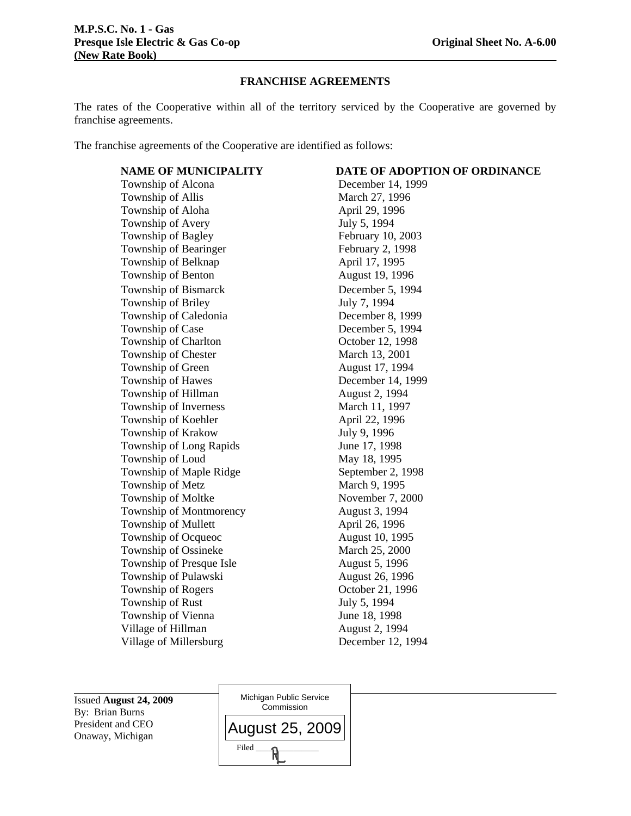#### **FRANCHISE AGREEMENTS**

The rates of the Cooperative within all of the territory serviced by the Cooperative are governed by franchise agreements.

The franchise agreements of the Cooperative are identified as follows:

Township of Alcona December 14, 1999 Township of Allis March 27, 1996 Township of Aloha April 29, 1996 Township of Avery July 5, 1994 Township of Bagley February 10, 2003 Township of Bearinger February 2, 1998 Township of Belknap April 17, 1995 Township of Benton August 19, 1996 Township of Bismarck December 5, 1994 Township of Briley July 7, 1994 Township of Caledonia December 8, 1999 Township of Case December 5, 1994 Township of Charlton **October 12, 1998** Township of Chester March 13, 2001 Township of Green August 17, 1994 Township of Hawes December 14, 1999 Township of Hillman August 2, 1994 Township of Inverness March 11, 1997 Township of Koehler April 22, 1996 Township of Krakow July 9, 1996 Township of Long Rapids June 17, 1998 Township of Loud May 18, 1995 Township of Maple Ridge September 2, 1998 Township of Metz March 9, 1995 Township of Moltke November 7, 2000 Township of Montmorency August 3, 1994 Township of Mullett April 26, 1996 Township of Ocqueoc August 10, 1995 Township of Ossineke March 25, 2000 Township of Presque Isle August 5, 1996 Township of Pulawski August 26, 1996 Township of Rogers Corober 21, 1996 Township of Rust July 5, 1994 Township of Vienna June 18, 1998 Village of Hillman August 2, 1994 Village of Millersburg December 12, 1994

Issued **August 24, 2009**  By: Brian Burns President and CEO Onaway, Michigan

Michigan Public Service **Commission**  $Filed$   $\longrightarrow$ August 25, 2009

# **NAME OF MUNICIPALITY DATE OF ADOPTION OF ORDINANCE**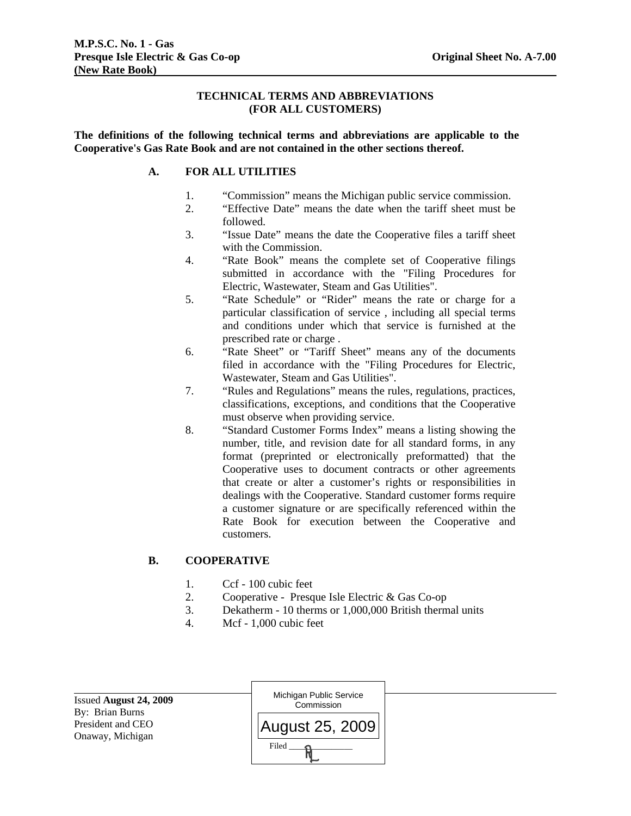## **TECHNICAL TERMS AND ABBREVIATIONS (FOR ALL CUSTOMERS)**

**The definitions of the following technical terms and abbreviations are applicable to the Cooperative's Gas Rate Book and are not contained in the other sections thereof.** 

## **A. FOR ALL UTILITIES**

- 1. "Commission" means the Michigan public service commission.
- 2. "Effective Date" means the date when the tariff sheet must be followed.
- 3. "Issue Date" means the date the Cooperative files a tariff sheet with the Commission.
- 4. "Rate Book" means the complete set of Cooperative filings submitted in accordance with the "Filing Procedures for Electric, Wastewater, Steam and Gas Utilities".
- 5. "Rate Schedule" or "Rider" means the rate or charge for a particular classification of service , including all special terms and conditions under which that service is furnished at the prescribed rate or charge .
- 6. "Rate Sheet" or "Tariff Sheet" means any of the documents filed in accordance with the "Filing Procedures for Electric, Wastewater, Steam and Gas Utilities".
- 7. "Rules and Regulations" means the rules, regulations, practices, classifications, exceptions, and conditions that the Cooperative must observe when providing service.
- 8. "Standard Customer Forms Index" means a listing showing the number, title, and revision date for all standard forms, in any format (preprinted or electronically preformatted) that the Cooperative uses to document contracts or other agreements that create or alter a customer's rights or responsibilities in dealings with the Cooperative. Standard customer forms require a customer signature or are specifically referenced within the Rate Book for execution between the Cooperative and customers.

## **B. COOPERATIVE**

- 1. Ccf 100 cubic feet
- 2. Cooperative Presque Isle Electric & Gas Co-op
- 3. Dekatherm 10 therms or 1,000,000 British thermal units
- 4. Mcf 1,000 cubic feet

| Issued August 24, 2009<br>By: Brian Burns | Michigan Public Service<br>Commission |  |
|-------------------------------------------|---------------------------------------|--|
| President and CEO<br>Onaway, Michigan     | August 25, 2009                       |  |
|                                           | Filed                                 |  |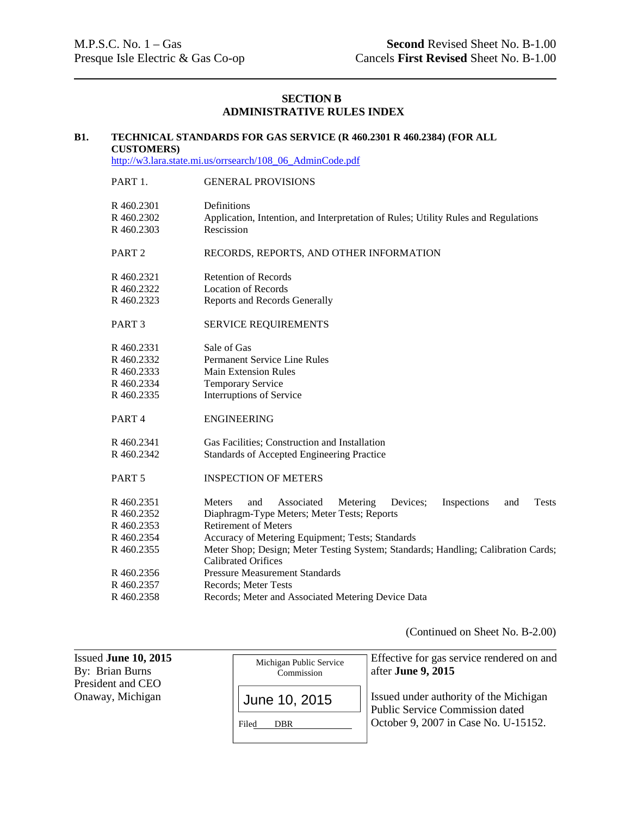# **SECTION B ADMINISTRATIVE RULES INDEX**

# **B1. TECHNICAL STANDARDS FOR GAS SERVICE (R 460.2301 R 460.2384) (FOR ALL CUSTOMERS)** http://w3.lara.state.mi.us/orrsearch/108\_06\_AdminCode.pdf

| PART 1.           | <b>GENERAL PROVISIONS</b>                                                                        |  |  |
|-------------------|--------------------------------------------------------------------------------------------------|--|--|
| R 460.2301        | Definitions                                                                                      |  |  |
| R460.2302         | Application, Intention, and Interpretation of Rules; Utility Rules and Regulations               |  |  |
| R 460.2303        | Rescission                                                                                       |  |  |
| PART <sub>2</sub> | RECORDS, REPORTS, AND OTHER INFORMATION                                                          |  |  |
| R460.2321         | <b>Retention of Records</b>                                                                      |  |  |
| R460.2322         | <b>Location of Records</b>                                                                       |  |  |
| R 460.2323        | Reports and Records Generally                                                                    |  |  |
| PART <sub>3</sub> | <b>SERVICE REQUIREMENTS</b>                                                                      |  |  |
| R 460.2331        | Sale of Gas                                                                                      |  |  |
| R460.2332         | <b>Permanent Service Line Rules</b>                                                              |  |  |
| R460.2333         | <b>Main Extension Rules</b>                                                                      |  |  |
| R 460.2334        | Temporary Service                                                                                |  |  |
| R 460.2335        | Interruptions of Service                                                                         |  |  |
| PART <sub>4</sub> | <b>ENGINEERING</b>                                                                               |  |  |
| R460.2341         | Gas Facilities; Construction and Installation                                                    |  |  |
| R460.2342         | Standards of Accepted Engineering Practice                                                       |  |  |
| PART <sub>5</sub> | <b>INSPECTION OF METERS</b>                                                                      |  |  |
| R460.2351         | Inspections<br><b>Tests</b><br><b>Meters</b><br>Associated<br>Metering<br>Devices:<br>and<br>and |  |  |
| R460.2352         | Diaphragm-Type Meters; Meter Tests; Reports                                                      |  |  |
| R460.2353         | <b>Retirement of Meters</b>                                                                      |  |  |
| R 460.2354        | Accuracy of Metering Equipment; Tests; Standards                                                 |  |  |
| R 460.2355        | Meter Shop; Design; Meter Testing System; Standards; Handling; Calibration Cards;                |  |  |
|                   | <b>Calibrated Orifices</b>                                                                       |  |  |
| R460.2356         | <b>Pressure Measurement Standards</b>                                                            |  |  |
| R460.2357         | Records; Meter Tests                                                                             |  |  |
| R460.2358         | Records; Meter and Associated Metering Device Data                                               |  |  |

(Continued on Sheet No. B-2.00)

| Issued June 10, 2015<br>By: Brian Burns<br>President and CEO | Michigan Public Service<br>Commission | Effective for gas service rendered on and<br>after June 9, 2015                  |
|--------------------------------------------------------------|---------------------------------------|----------------------------------------------------------------------------------|
| Onaway, Michigan                                             | June 10, 2015                         | Issued under authority of the Michigan<br><b>Public Service Commission dated</b> |
|                                                              | Filed<br><b>DBR</b>                   | October 9, 2007 in Case No. U-15152.                                             |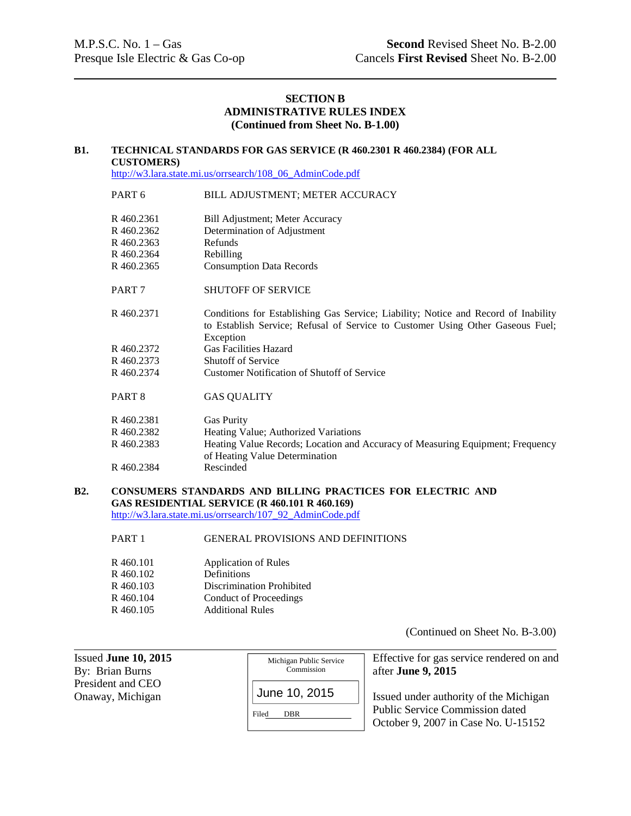## **SECTION B ADMINISTRATIVE RULES INDEX (Continued from Sheet No. B-1.00)**

#### **B1. TECHNICAL STANDARDS FOR GAS SERVICE (R 460.2301 R 460.2384) (FOR ALL CUSTOMERS)**

http://w3.lara.state.mi.us/orrsearch/108\_06\_AdminCode.pdf

## PART 6 BILL ADJUSTMENT; METER ACCURACY

| R 460.2361<br>R 460.2362<br>R 460.2363<br>R460.2364<br>R 460.2365 | Bill Adjustment; Meter Accuracy<br>Determination of Adjustment<br>Refunds<br>Rebilling<br><b>Consumption Data Records</b>                                                         |
|-------------------------------------------------------------------|-----------------------------------------------------------------------------------------------------------------------------------------------------------------------------------|
| PART <sub>7</sub>                                                 | <b>SHUTOFF OF SERVICE</b>                                                                                                                                                         |
| R460.2371                                                         | Conditions for Establishing Gas Service; Liability; Notice and Record of Inability<br>to Establish Service; Refusal of Service to Customer Using Other Gaseous Fuel;<br>Exception |
| R 460.2372                                                        | <b>Gas Facilities Hazard</b>                                                                                                                                                      |
| R 460.2373                                                        | <b>Shutoff of Service</b>                                                                                                                                                         |
| R 460.2374                                                        | <b>Customer Notification of Shutoff of Service</b>                                                                                                                                |
| PART <sub>8</sub>                                                 | <b>GAS QUALITY</b>                                                                                                                                                                |
| R 460.2381                                                        | <b>Gas Purity</b>                                                                                                                                                                 |
| R 460.2382                                                        | Heating Value; Authorized Variations                                                                                                                                              |
| R 460.2383                                                        | Heating Value Records; Location and Accuracy of Measuring Equipment; Frequency<br>of Heating Value Determination                                                                  |
| R 460.2384                                                        | Rescinded                                                                                                                                                                         |

# **B2. CONSUMERS STANDARDS AND BILLING PRACTICES FOR ELECTRIC AND GAS RESIDENTIAL SERVICE (R 460.101 R 460.169)**

http://w3.lara.state.mi.us/orrsearch/107\_92\_AdminCode.pdf

## PART 1 GENERAL PROVISIONS AND DEFINITIONS

| R 460.101 | <b>Application of Rules</b>      |
|-----------|----------------------------------|
| R 460.102 | Definitions                      |
| R 460.103 | <b>Discrimination Prohibited</b> |
| R 460.104 | Conduct of Proceedings           |
| R 460.105 | <b>Additional Rules</b>          |

(Continued on Sheet No. B-3.00)

| Issued June $10, 2015$                | Michigan Public Service              | Effective for gas service rendered on and                                                                               |
|---------------------------------------|--------------------------------------|-------------------------------------------------------------------------------------------------------------------------|
| By: Brian Burns                       | Commission                           | after June 9, 2015                                                                                                      |
| President and CEO<br>Onaway, Michigan | June 10, 2015<br>Filed<br><b>DBR</b> | Issued under authority of the Michigan<br><b>Public Service Commission dated</b><br>October 9, 2007 in Case No. U-15152 |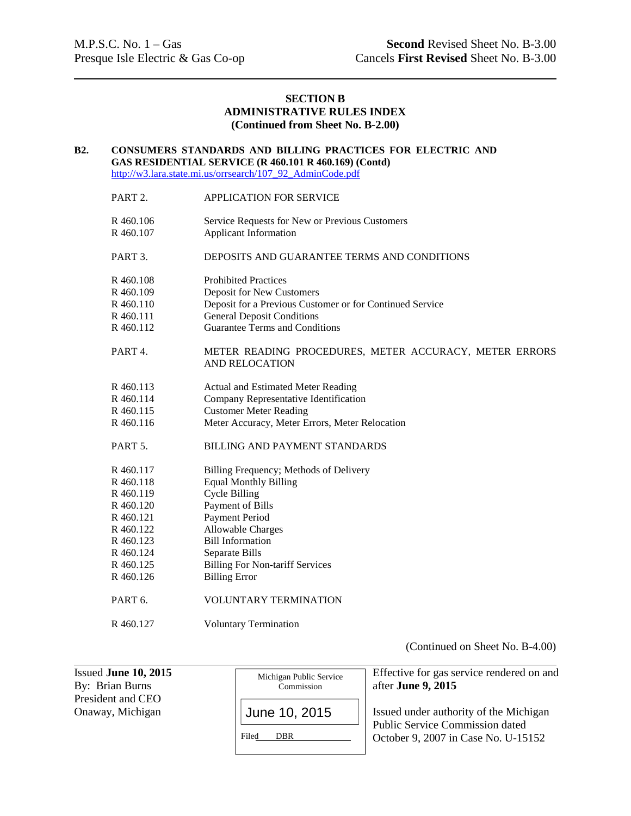## **SECTION B ADMINISTRATIVE RULES INDEX (Continued from Sheet No. B-2.00)**

#### **B2. CONSUMERS STANDARDS AND BILLING PRACTICES FOR ELECTRIC AND GAS RESIDENTIAL SERVICE (R 460.101 R 460.169) (Contd)** http://w3.lara.state.mi.us/orrsearch/107\_92\_AdminCode.pdf

PART 2. APPLICATION FOR SERVICE R 460.106 Service Requests for New or Previous Customers R 460.107 Applicant Information PART 3. DEPOSITS AND GUARANTEE TERMS AND CONDITIONS R 460.108 Prohibited Practices R 460.109 Deposit for New Customers R 460.110 Deposit for a Previous Customer or for Continued Service R 460.111 General Deposit Conditions R 460.112 Guarantee Terms and Conditions PART 4. METER READING PROCEDURES, METER ACCURACY, METER ERRORS AND RELOCATION R 460.113 Actual and Estimated Meter Reading R 460.114 Company Representative Identification R 460.115 Customer Meter Reading R 460.116 Meter Accuracy, Meter Errors, Meter Relocation PART 5. BILLING AND PAYMENT STANDARDS R 460.117 Billing Frequency; Methods of Delivery R 460.118 Equal Monthly Billing R 460.119 Cycle Billing R 460.120 Payment of Bills R 460.121 Payment Period R 460.122 Allowable Charges R 460.123 Bill Information R 460.124 Separate Bills R 460.125 Billing For Non-tariff Services R 460.126 Billing Error PART 6. VOLUNTARY TERMINATION R 460.127 Voluntary Termination

(Continued on Sheet No. B-4.00)

| Issued June $10, 2015$<br>By: Brian Burns | Michigan Public Service<br>Commission | Effective for gas service rendered on and<br>after June 9, 2015                  |
|-------------------------------------------|---------------------------------------|----------------------------------------------------------------------------------|
| President and CEO                         |                                       |                                                                                  |
| Onaway, Michigan                          | June 10, 2015                         | Issued under authority of the Michigan<br><b>Public Service Commission dated</b> |
|                                           | Filed<br><b>DBR</b>                   | October 9, 2007 in Case No. U-15152                                              |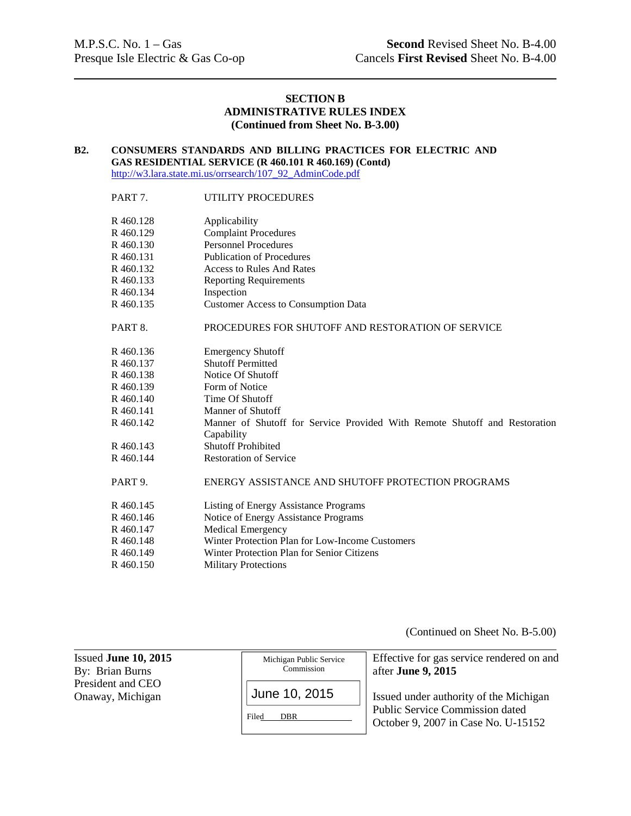## **SECTION B ADMINISTRATIVE RULES INDEX (Continued from Sheet No. B-3.00)**

#### **B2. CONSUMERS STANDARDS AND BILLING PRACTICES FOR ELECTRIC AND GAS RESIDENTIAL SERVICE (R 460.101 R 460.169) (Contd)** http://w3.lara.state.mi.us/orrsearch/107\_92\_AdminCode.pdf

## PART 7. UTILITY PROCEDURES

| R 460.128           | Applicability                                                                            |
|---------------------|------------------------------------------------------------------------------------------|
| R 460.129           | <b>Complaint Procedures</b>                                                              |
| R 460.130           | <b>Personnel Procedures</b>                                                              |
| R 460.131           | <b>Publication of Procedures</b>                                                         |
| R 460.132           | <b>Access to Rules And Rates</b>                                                         |
| R 460.133           | <b>Reporting Requirements</b>                                                            |
| R 460.134           | Inspection                                                                               |
| R 460.135           | <b>Customer Access to Consumption Data</b>                                               |
| PART 8.             | PROCEDURES FOR SHUTOFF AND RESTORATION OF SERVICE                                        |
| R 460.136           | <b>Emergency Shutoff</b>                                                                 |
| R 460.137           | <b>Shutoff Permitted</b>                                                                 |
| R 460.138           | Notice Of Shutoff                                                                        |
| R460.139            | Form of Notice                                                                           |
| R460.140            | Time Of Shutoff                                                                          |
| R 460.141           | Manner of Shutoff                                                                        |
| R 460.142           | Manner of Shutoff for Service Provided With Remote Shutoff and Restoration<br>Capability |
| R 460.143           | <b>Shutoff Prohibited</b>                                                                |
| R 460.144           | <b>Restoration of Service</b>                                                            |
| PART <sub>9</sub> . | ENERGY ASSISTANCE AND SHUTOFF PROTECTION PROGRAMS                                        |
| R 460.145           | Listing of Energy Assistance Programs                                                    |
| R 460.146           | Notice of Energy Assistance Programs                                                     |
| R 460.147           | <b>Medical Emergency</b>                                                                 |
| R 460.148           | Winter Protection Plan for Low-Income Customers                                          |
| R 460.149           | Winter Protection Plan for Senior Citizens                                               |
| R 460.150           | <b>Military Protections</b>                                                              |

(Continued on Sheet No. B-5.00)

| Issued June $10, 2015$<br>By: Brian Burns | Michigan Public Service<br>Commission | Effective for gas service rendered on and<br>after June 9, 2015                  |
|-------------------------------------------|---------------------------------------|----------------------------------------------------------------------------------|
| President and CEO<br>Onaway, Michigan     | June 10, 2015                         | Issued under authority of the Michigan<br><b>Public Service Commission dated</b> |
|                                           | Filed<br><b>DBR</b>                   | October 9, 2007 in Case No. U-15152                                              |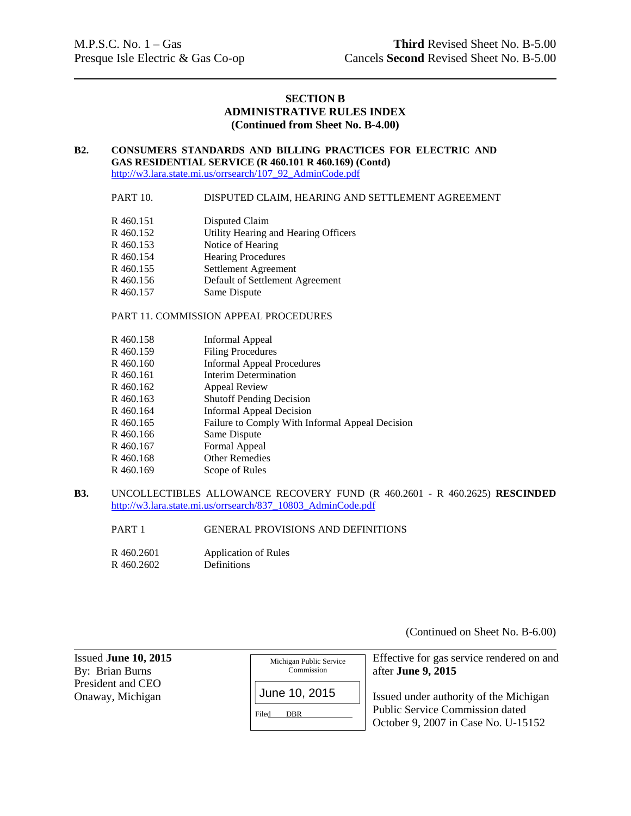## **SECTION B ADMINISTRATIVE RULES INDEX (Continued from Sheet No. B-4.00)**

# **B2. CONSUMERS STANDARDS AND BILLING PRACTICES FOR ELECTRIC AND GAS RESIDENTIAL SERVICE (R 460.101 R 460.169) (Contd)**

http://w3.lara.state.mi.us/orrsearch/107\_92\_AdminCode.pdf

#### PART 10. DISPUTED CLAIM, HEARING AND SETTLEMENT AGREEMENT

| R 460.151 | Disputed Claim                       |
|-----------|--------------------------------------|
|           |                                      |
| R 460.152 | Utility Hearing and Hearing Officers |
| R 460.153 | Notice of Hearing                    |
| R 460.154 | <b>Hearing Procedures</b>            |
| R 460.155 | Settlement Agreement                 |
| R460.156  | Default of Settlement Agreement      |
| R 460.157 | Same Dispute                         |

#### PART 11. COMMISSION APPEAL PROCEDURES

- R 460.158 Informal Appeal
- R 460.159 Filing Procedures
- R 460.160 Informal Appeal Procedures
- R 460.161 Interim Determination
- R 460.162 Appeal Review
- R 460.163 Shutoff Pending Decision
- R 460.164 Informal Appeal Decision
- R 460.165 Failure to Comply With Informal Appeal Decision
- R 460.166 Same Dispute
- R 460.167 Formal Appeal
- R 460.168 Other Remedies
- R 460.169 Scope of Rules
- **B3.** UNCOLLECTIBLES ALLOWANCE RECOVERY FUND (R 460.2601 R 460.2625) **RESCINDED** http://w3.lara.state.mi.us/orrsearch/837\_10803\_AdminCode.pdf

PART 1 GENERAL PROVISIONS AND DEFINITIONS

R 460.2601 Application of Rules R 460.2602 Definitions

(Continued on Sheet No. B-6.00)

| Issued June $10, 2015$                | Michigan Public Service              | Effective for gas service rendered on and                                                                               |
|---------------------------------------|--------------------------------------|-------------------------------------------------------------------------------------------------------------------------|
| By: Brian Burns                       | Commission                           | after June 9, 2015                                                                                                      |
| President and CEO<br>Onaway, Michigan | June 10, 2015<br>Filed<br><b>DBR</b> | Issued under authority of the Michigan<br><b>Public Service Commission dated</b><br>October 9, 2007 in Case No. U-15152 |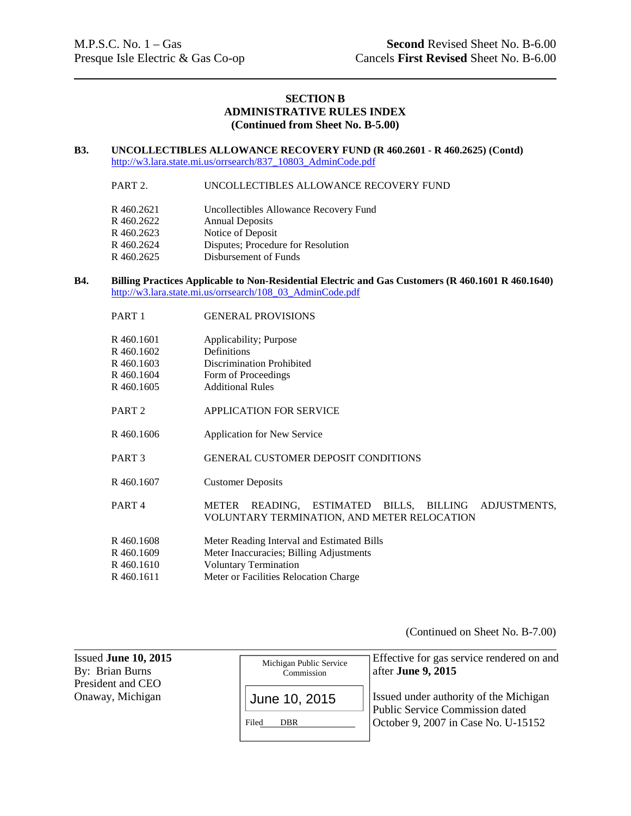## **SECTION B ADMINISTRATIVE RULES INDEX (Continued from Sheet No. B-5.00)**

#### **B3. UNCOLLECTIBLES ALLOWANCE RECOVERY FUND (R 460.2601 - R 460.2625) (Contd)** http://w3.lara.state.mi.us/orrsearch/837\_10803\_AdminCode.pdf

#### PART 2. UNCOLLECTIBLES ALLOWANCE RECOVERY FUND

| R 460.2621 | Uncollectibles Allowance Recovery Fund |
|------------|----------------------------------------|
| R460.2622  | <b>Annual Deposits</b>                 |
| R460.2623  | Notice of Deposit                      |
| R460.2624  | Disputes; Procedure for Resolution     |
| R460.2625  | Disbursement of Funds                  |

### **B4. Billing Practices Applicable to Non-Residential Electric and Gas Customers (R 460.1601 R 460.1640)** http://w3.lara.state.mi.us/orrsearch/108\_03\_AdminCode.pdf

| PART <sub>1</sub> | <b>GENERAL PROVISIONS</b>                                                                                    |  |
|-------------------|--------------------------------------------------------------------------------------------------------------|--|
| R 460.1601        | Applicability; Purpose                                                                                       |  |
| R 460.1602        | <b>Definitions</b>                                                                                           |  |
| R 460.1603        | Discrimination Prohibited                                                                                    |  |
| R460.1604         | Form of Proceedings                                                                                          |  |
| R460.1605         | <b>Additional Rules</b>                                                                                      |  |
| PART <sub>2</sub> | <b>APPLICATION FOR SERVICE</b>                                                                               |  |
| R460.1606         | <b>Application for New Service</b>                                                                           |  |
| PART <sub>3</sub> | <b>GENERAL CUSTOMER DEPOSIT CONDITIONS</b>                                                                   |  |
| R460.1607         | <b>Customer Deposits</b>                                                                                     |  |
| PART <sub>4</sub> | READING, ESTIMATED<br>BILLS, BILLING<br>ADJUSTMENTS,<br>METER<br>VOLUNTARY TERMINATION, AND METER RELOCATION |  |
| R460.1608         | Meter Reading Interval and Estimated Bills                                                                   |  |
| R 460.1609        | Meter Inaccuracies; Billing Adjustments                                                                      |  |
| R 460.1610        | <b>Voluntary Termination</b>                                                                                 |  |
| R460.1611         | Meter or Facilities Relocation Charge                                                                        |  |
|                   |                                                                                                              |  |

(Continued on Sheet No. B-7.00)

| Issued June $10, 2015$<br>By: Brian Burns<br>President and CEO | Michigan Public Service<br>Commission | Effective for gas service rendered on and<br>$\vert$ after <b>June 9, 2015</b>   |
|----------------------------------------------------------------|---------------------------------------|----------------------------------------------------------------------------------|
| Onaway, Michigan                                               | June 10, 2015                         | Issued under authority of the Michigan<br><b>Public Service Commission dated</b> |
|                                                                | Filed<br><b>DBR</b>                   | October 9, 2007 in Case No. U-15152                                              |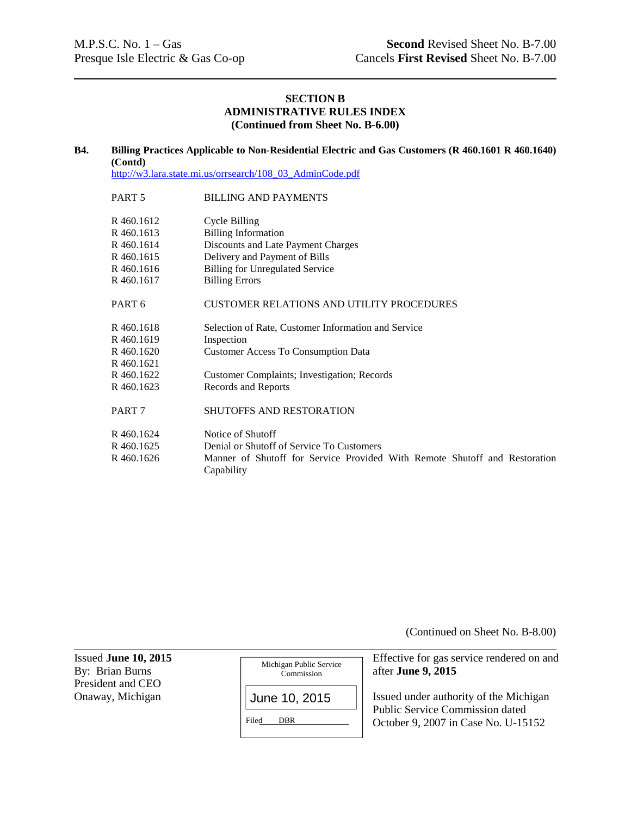## **SECTION B ADMINISTRATIVE RULES INDEX (Continued from Sheet No. B-6.00)**

#### **B4. Billing Practices Applicable to Non-Residential Electric and Gas Customers (R 460.1601 R 460.1640) (Contd)**

http://w3.lara.state.mi.us/orrsearch/108\_03\_AdminCode.pdf

| PART <sub>5</sub>                                                  | <b>BILLING AND PAYMENTS</b>                                                                                                                                  |
|--------------------------------------------------------------------|--------------------------------------------------------------------------------------------------------------------------------------------------------------|
| R 460.1612<br>R 460.1613<br>R 460.1614<br>R 460.1615<br>R 460.1616 | Cycle Billing<br><b>Billing Information</b><br>Discounts and Late Payment Charges<br>Delivery and Payment of Bills<br><b>Billing for Unregulated Service</b> |
| R 460.1617                                                         | <b>Billing Errors</b>                                                                                                                                        |
| PART <sub>6</sub>                                                  | <b>CUSTOMER RELATIONS AND UTILITY PROCEDURES</b>                                                                                                             |
| R 460.1618<br>R 460.1619                                           | Selection of Rate, Customer Information and Service<br>Inspection                                                                                            |
| R 460.1620<br>R 460.1621                                           | <b>Customer Access To Consumption Data</b>                                                                                                                   |
| R 460.1622<br>R 460.1623                                           | <b>Customer Complaints; Investigation; Records</b><br>Records and Reports                                                                                    |
| PART <sub>7</sub>                                                  | SHUTOFFS AND RESTORATION                                                                                                                                     |
| R 460.1624<br>R 460.1625<br>R 460.1626                             | Notice of Shutoff<br>Denial or Shutoff of Service To Customers<br>Manner of Shutoff for Service Provided With Remote Shutoff and Restoration<br>Capability   |

(Continued on Sheet No. B-8.00)

Issued **June 10, 2015**<br>By: Brian Burns<br>By: Brian Burns<br>Commission<br>Geometrical Reservice **Properties**<br>Geometrical Reservice **Properties** President and CEO Onaway, Michigan  $\vert$  June 10, 2015  $\vert$  Issued under authority of the Michigan Michigan Public Service Commission Filed DBR June 10, 2015

after **June 9, 2015** Public Service Commission dated

October 9, 2007 in Case No. U-15152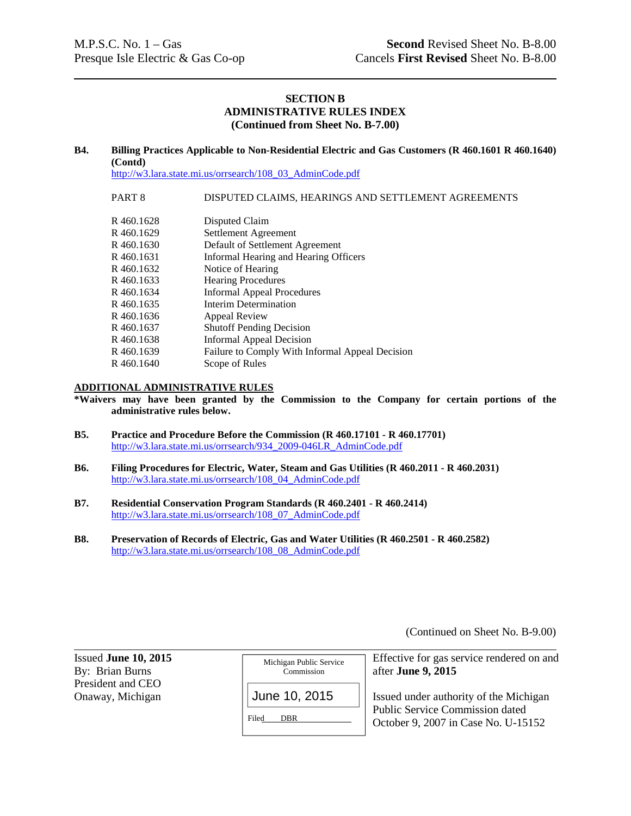## **SECTION B ADMINISTRATIVE RULES INDEX (Continued from Sheet No. B-7.00)**

#### **B4. Billing Practices Applicable to Non-Residential Electric and Gas Customers (R 460.1601 R 460.1640) (Contd)**

http://w3.lara.state.mi.us/orrsearch/108\_03\_AdminCode.pdf

#### PART 8 DISPUTED CLAIMS, HEARINGS AND SETTLEMENT AGREEMENTS

| R 460.1628 | Disputed Claim                                  |
|------------|-------------------------------------------------|
| R460.1629  | Settlement Agreement                            |
| R 460.1630 | Default of Settlement Agreement                 |
| R 460.1631 | Informal Hearing and Hearing Officers           |
| R 460.1632 | Notice of Hearing                               |
| R460.1633  | <b>Hearing Procedures</b>                       |
| R 460.1634 | <b>Informal Appeal Procedures</b>               |
| R 460.1635 | Interim Determination                           |
| R 460.1636 | <b>Appeal Review</b>                            |
| R 460.1637 | <b>Shutoff Pending Decision</b>                 |
| R 460.1638 | Informal Appeal Decision                        |
| R 460.1639 | Failure to Comply With Informal Appeal Decision |
| R460.1640  | Scope of Rules                                  |

#### **ADDITIONAL ADMINISTRATIVE RULES**

**\*Waivers may have been granted by the Commission to the Company for certain portions of the administrative rules below.**

- **B5. Practice and Procedure Before the Commission (R 460.17101 R 460.17701)** http://w3.lara.state.mi.us/orrsearch/934\_2009-046LR\_AdminCode.pdf
- **B6. Filing Procedures for Electric, Water, Steam and Gas Utilities (R 460.2011 R 460.2031)** http://w3.lara.state.mi.us/orrsearch/108\_04\_AdminCode.pdf
- **B7. Residential Conservation Program Standards (R 460.2401 R 460.2414)** http://w3.lara.state.mi.us/orrsearch/108\_07\_AdminCode.pdf
- **B8. Preservation of Records of Electric, Gas and Water Utilities (R 460.2501 R 460.2582)** http://w3.lara.state.mi.us/orrsearch/108\_08\_AdminCode.pdf

(Continued on Sheet No. B-9.00)

| Issued June $10, 2015$<br>By: Brian Burns | Michigan Public Service<br>Commission | Effective for gas service rendered on and<br>after June 9, 2015               |
|-------------------------------------------|---------------------------------------|-------------------------------------------------------------------------------|
| President and CEO<br>Onaway, Michigan     | June 10, 2015                         | Issued under authority of the Michigan                                        |
|                                           | Filed<br><b>DBR</b>                   | <b>Public Service Commission dated</b><br>October 9, 2007 in Case No. U-15152 |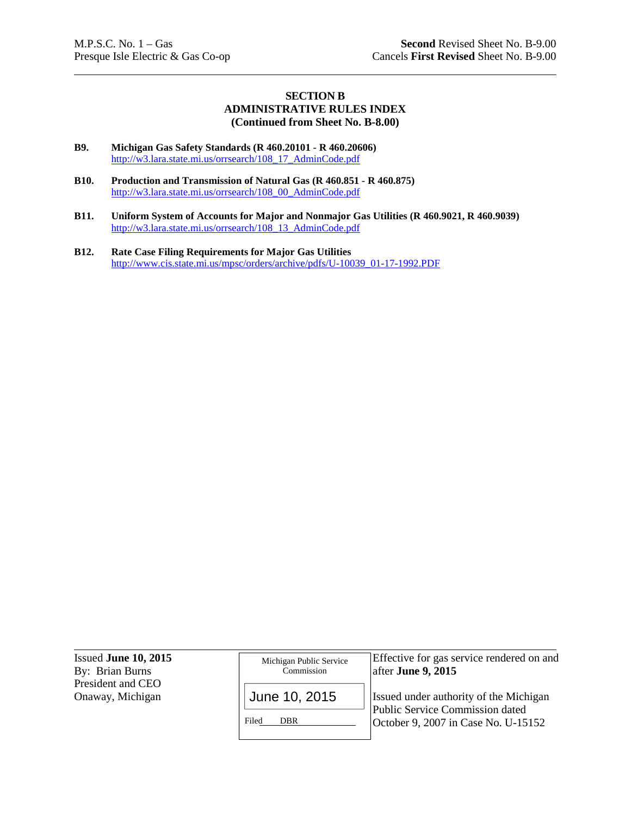## **SECTION B ADMINISTRATIVE RULES INDEX (Continued from Sheet No. B-8.00)**

- **B9. Michigan Gas Safety Standards (R 460.20101 R 460.20606)** http://w3.lara.state.mi.us/orrsearch/108\_17\_AdminCode.pdf
- **B10. Production and Transmission of Natural Gas (R 460.851 R 460.875)** http://w3.lara.state.mi.us/orrsearch/108\_00\_AdminCode.pdf
- **B11. Uniform System of Accounts for Major and Nonmajor Gas Utilities (R 460.9021, R 460.9039)** http://w3.lara.state.mi.us/orrsearch/108\_13\_AdminCode.pdf
- **B12. Rate Case Filing Requirements for Major Gas Utilities** http://www.cis.state.mi.us/mpsc/orders/archive/pdfs/U-10039\_01-17-1992.PDF

| Issued June 10, 2015<br>By: Brian Burns | Michigan Public Service<br>Commission | Effective for gas service rendered on and<br>after June 9, $2015$         |
|-----------------------------------------|---------------------------------------|---------------------------------------------------------------------------|
| President and CEO<br>Onaway, Michigan   | June 10, 2015                         | Issued under authority of the Michigan<br>Public Service Commission dated |
|                                         | Filed<br><b>DBR</b>                   | October 9, 2007 in Case No. U-15152                                       |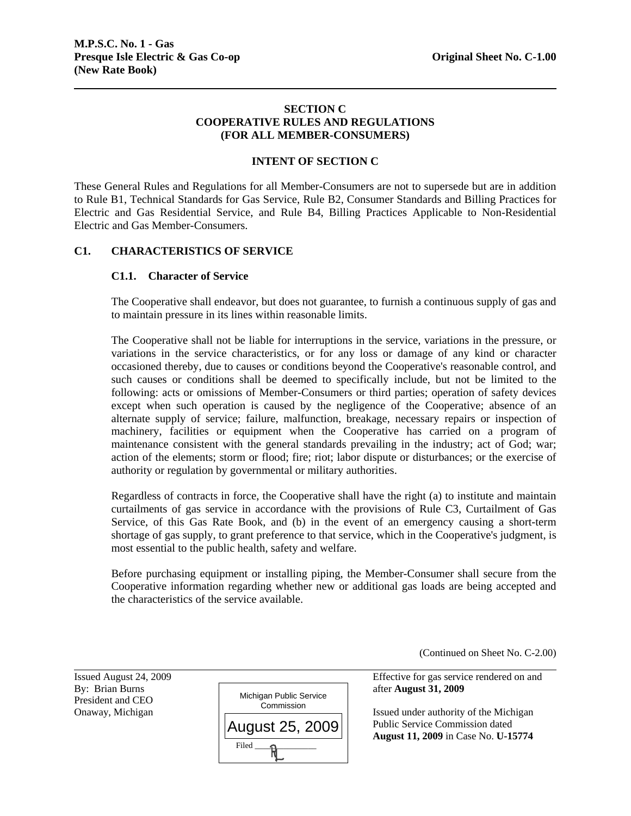## **SECTION C COOPERATIVE RULES AND REGULATIONS (FOR ALL MEMBER-CONSUMERS)**

## **INTENT OF SECTION C**

These General Rules and Regulations for all Member-Consumers are not to supersede but are in addition to Rule B1, Technical Standards for Gas Service, Rule B2, Consumer Standards and Billing Practices for Electric and Gas Residential Service, and Rule B4, Billing Practices Applicable to Non-Residential Electric and Gas Member-Consumers.

## **C1. CHARACTERISTICS OF SERVICE**

## **C1.1. Character of Service**

The Cooperative shall endeavor, but does not guarantee, to furnish a continuous supply of gas and to maintain pressure in its lines within reasonable limits.

The Cooperative shall not be liable for interruptions in the service, variations in the pressure, or variations in the service characteristics, or for any loss or damage of any kind or character occasioned thereby, due to causes or conditions beyond the Cooperative's reasonable control, and such causes or conditions shall be deemed to specifically include, but not be limited to the following: acts or omissions of Member-Consumers or third parties; operation of safety devices except when such operation is caused by the negligence of the Cooperative; absence of an alternate supply of service; failure, malfunction, breakage, necessary repairs or inspection of machinery, facilities or equipment when the Cooperative has carried on a program of maintenance consistent with the general standards prevailing in the industry; act of God; war; action of the elements; storm or flood; fire; riot; labor dispute or disturbances; or the exercise of authority or regulation by governmental or military authorities.

Regardless of contracts in force, the Cooperative shall have the right (a) to institute and maintain curtailments of gas service in accordance with the provisions of Rule C3, Curtailment of Gas Service, of this Gas Rate Book, and (b) in the event of an emergency causing a short-term shortage of gas supply, to grant preference to that service, which in the Cooperative's judgment, is most essential to the public health, safety and welfare.

Before purchasing equipment or installing piping, the Member-Consumer shall secure from the Cooperative information regarding whether new or additional gas loads are being accepted and the characteristics of the service available.

(Continued on Sheet No. C-2.00)

President and CEO

l



Issued August 24, 2009 Effective for gas service rendered on and

Onaway, Michigan **Issued under authority of the Michigan**  Public Service Commission dated **August 11, 2009** in Case No. **U-15774**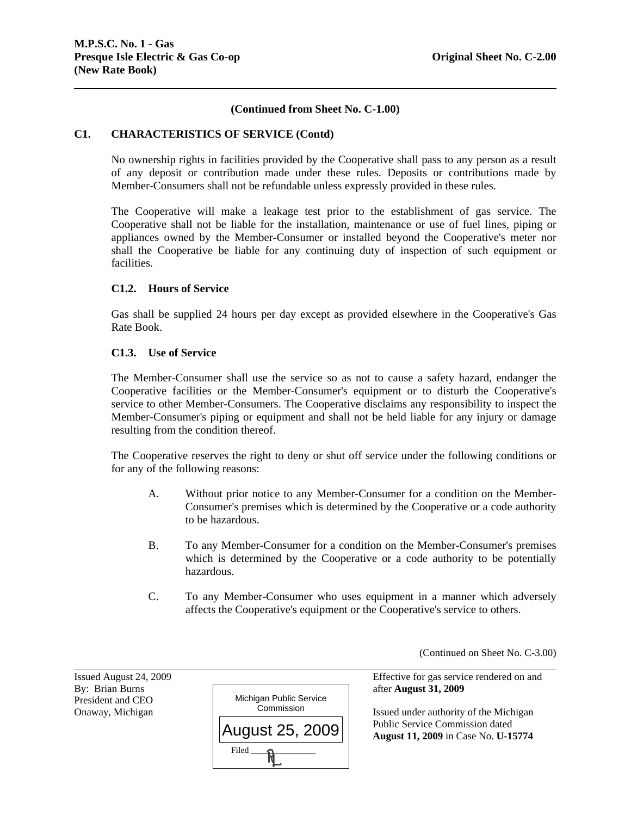## **(Continued from Sheet No. C-1.00)**

#### **C1. CHARACTERISTICS OF SERVICE (Contd)**

No ownership rights in facilities provided by the Cooperative shall pass to any person as a result of any deposit or contribution made under these rules. Deposits or contributions made by Member-Consumers shall not be refundable unless expressly provided in these rules.

The Cooperative will make a leakage test prior to the establishment of gas service. The Cooperative shall not be liable for the installation, maintenance or use of fuel lines, piping or appliances owned by the Member-Consumer or installed beyond the Cooperative's meter nor shall the Cooperative be liable for any continuing duty of inspection of such equipment or facilities.

#### **C1.2. Hours of Service**

Gas shall be supplied 24 hours per day except as provided elsewhere in the Cooperative's Gas Rate Book.

#### **C1.3. Use of Service**

The Member-Consumer shall use the service so as not to cause a safety hazard, endanger the Cooperative facilities or the Member-Consumer's equipment or to disturb the Cooperative's service to other Member-Consumers. The Cooperative disclaims any responsibility to inspect the Member-Consumer's piping or equipment and shall not be held liable for any injury or damage resulting from the condition thereof.

The Cooperative reserves the right to deny or shut off service under the following conditions or for any of the following reasons:

- A. Without prior notice to any Member-Consumer for a condition on the Member-Consumer's premises which is determined by the Cooperative or a code authority to be hazardous.
- B. To any Member-Consumer for a condition on the Member-Consumer's premises which is determined by the Cooperative or a code authority to be potentially hazardous.
- C. To any Member-Consumer who uses equipment in a manner which adversely affects the Cooperative's equipment or the Cooperative's service to others.

(Continued on Sheet No. C-3.00)

President and CEO

l



Issued August 24, 2009 Effective for gas service rendered on and

Onaway, Michigan **Issued under authority of the Michigan** Issued under authority of the Michigan Public Service Commission dated **August 11, 2009** in Case No. **U-15774**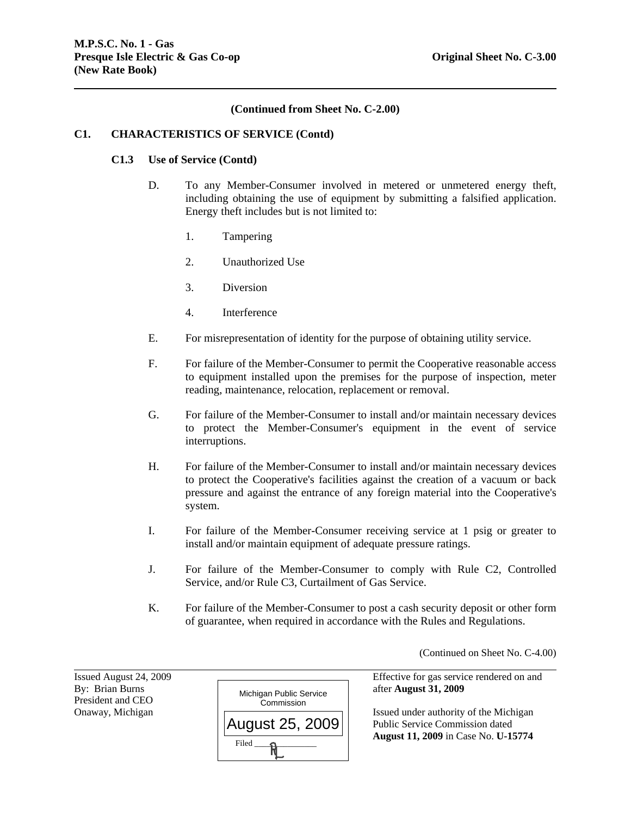#### **(Continued from Sheet No. C-2.00)**

#### **C1. CHARACTERISTICS OF SERVICE (Contd)**

#### **C1.3 Use of Service (Contd)**

- D. To any Member-Consumer involved in metered or unmetered energy theft, including obtaining the use of equipment by submitting a falsified application. Energy theft includes but is not limited to:
	- 1. Tampering
	- 2. Unauthorized Use
	- 3. Diversion
	- 4. Interference
- E. For misrepresentation of identity for the purpose of obtaining utility service.
- F. For failure of the Member-Consumer to permit the Cooperative reasonable access to equipment installed upon the premises for the purpose of inspection, meter reading, maintenance, relocation, replacement or removal.
- G. For failure of the Member-Consumer to install and/or maintain necessary devices to protect the Member-Consumer's equipment in the event of service interruptions.
- H. For failure of the Member-Consumer to install and/or maintain necessary devices to protect the Cooperative's facilities against the creation of a vacuum or back pressure and against the entrance of any foreign material into the Cooperative's system.
- I. For failure of the Member-Consumer receiving service at 1 psig or greater to install and/or maintain equipment of adequate pressure ratings.
- J. For failure of the Member-Consumer to comply with Rule C2, Controlled Service, and/or Rule C3, Curtailment of Gas Service.
- K. For failure of the Member-Consumer to post a cash security deposit or other form of guarantee, when required in accordance with the Rules and Regulations.

(Continued on Sheet No. C-4.00)

President and CEO

l



Issued August 24, 2009 Effective for gas service rendered on and

Onaway, Michigan  $\Box$  Public Service Commission dated **August 11, 2009** in Case No. **U-15774**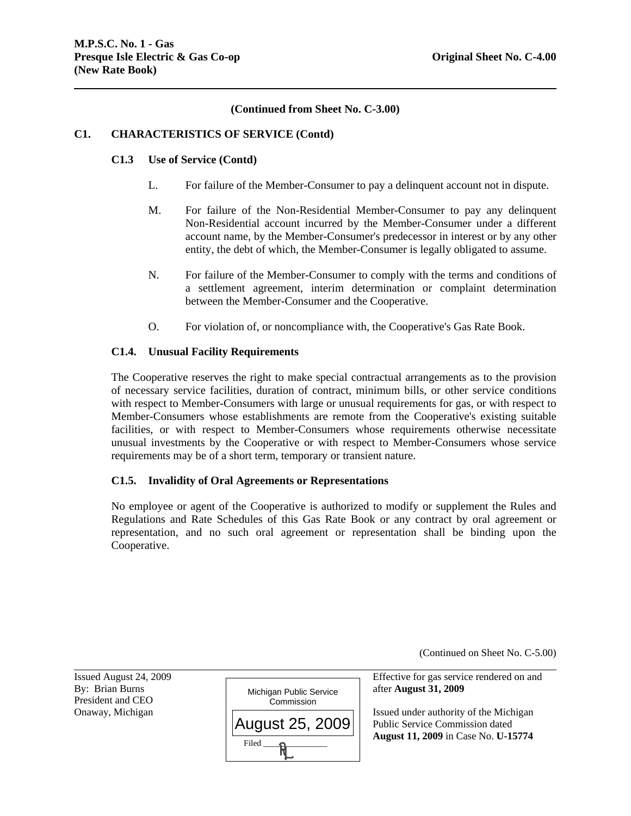## **(Continued from Sheet No. C-3.00)**

#### **C1. CHARACTERISTICS OF SERVICE (Contd)**

## **C1.3 Use of Service (Contd)**

- L. For failure of the Member-Consumer to pay a delinquent account not in dispute.
- M. For failure of the Non-Residential Member-Consumer to pay any delinquent Non-Residential account incurred by the Member-Consumer under a different account name, by the Member-Consumer's predecessor in interest or by any other entity, the debt of which, the Member-Consumer is legally obligated to assume.
- N. For failure of the Member-Consumer to comply with the terms and conditions of a settlement agreement, interim determination or complaint determination between the Member-Consumer and the Cooperative.
- O. For violation of, or noncompliance with, the Cooperative's Gas Rate Book.

## **C1.4. Unusual Facility Requirements**

The Cooperative reserves the right to make special contractual arrangements as to the provision of necessary service facilities, duration of contract, minimum bills, or other service conditions with respect to Member-Consumers with large or unusual requirements for gas, or with respect to Member-Consumers whose establishments are remote from the Cooperative's existing suitable facilities, or with respect to Member-Consumers whose requirements otherwise necessitate unusual investments by the Cooperative or with respect to Member-Consumers whose service requirements may be of a short term, temporary or transient nature.

#### **C1.5. Invalidity of Oral Agreements or Representations**

No employee or agent of the Cooperative is authorized to modify or supplement the Rules and Regulations and Rate Schedules of this Gas Rate Book or any contract by oral agreement or representation, and no such oral agreement or representation shall be binding upon the Cooperative.

(Continued on Sheet No. C-5.00)

l Issued August 24, 2009 Effective for gas service rendered on and By: Brian Burns **and August 31, 2009** Michigan Public Service after **August 31, 2009** President and CEO Onaway, Michigan **Issued under authority of the Michigan**  Public Service Commission dated **August 11, 2009** in Case No. **U-15774** Michigan Public Service **Commission**  $Filed$   $\longrightarrow$   $\mathbb{R}$ August 25, 2009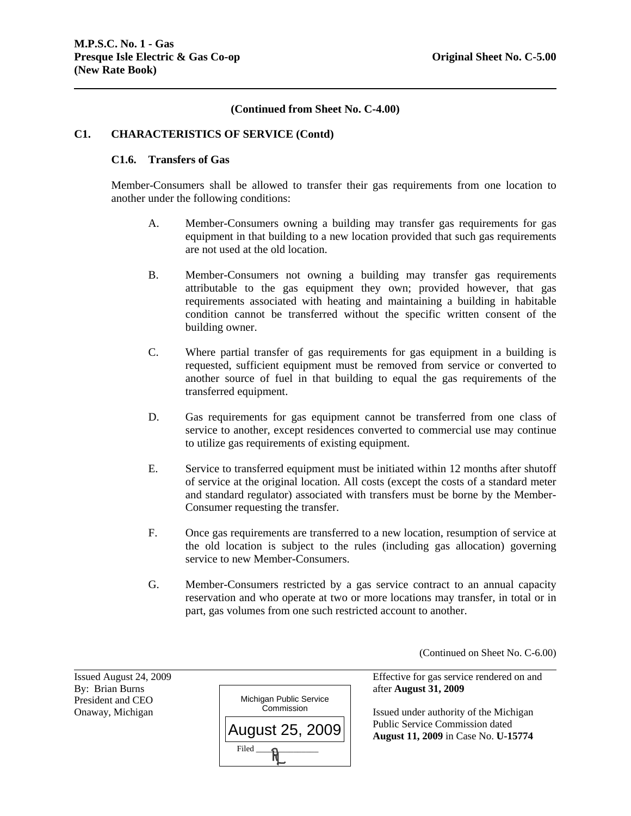## **(Continued from Sheet No. C-4.00)**

#### **C1. CHARACTERISTICS OF SERVICE (Contd)**

#### **C1.6. Transfers of Gas**

Member-Consumers shall be allowed to transfer their gas requirements from one location to another under the following conditions:

- A. Member-Consumers owning a building may transfer gas requirements for gas equipment in that building to a new location provided that such gas requirements are not used at the old location.
- B. Member-Consumers not owning a building may transfer gas requirements attributable to the gas equipment they own; provided however, that gas requirements associated with heating and maintaining a building in habitable condition cannot be transferred without the specific written consent of the building owner.
- C. Where partial transfer of gas requirements for gas equipment in a building is requested, sufficient equipment must be removed from service or converted to another source of fuel in that building to equal the gas requirements of the transferred equipment.
- D. Gas requirements for gas equipment cannot be transferred from one class of service to another, except residences converted to commercial use may continue to utilize gas requirements of existing equipment.
- E. Service to transferred equipment must be initiated within 12 months after shutoff of service at the original location. All costs (except the costs of a standard meter and standard regulator) associated with transfers must be borne by the Member-Consumer requesting the transfer.
- F. Once gas requirements are transferred to a new location, resumption of service at the old location is subject to the rules (including gas allocation) governing service to new Member-Consumers.
- G. Member-Consumers restricted by a gas service contract to an annual capacity reservation and who operate at two or more locations may transfer, in total or in part, gas volumes from one such restricted account to another.

(Continued on Sheet No. C-6.00)

President and CEO

l



Issued August 24, 2009 Effective for gas service rendered on and

Onaway, Michigan **Issued under authority of the Michigan** Issued under authority of the Michigan Public Service Commission dated **August 11, 2009** in Case No. **U-15774**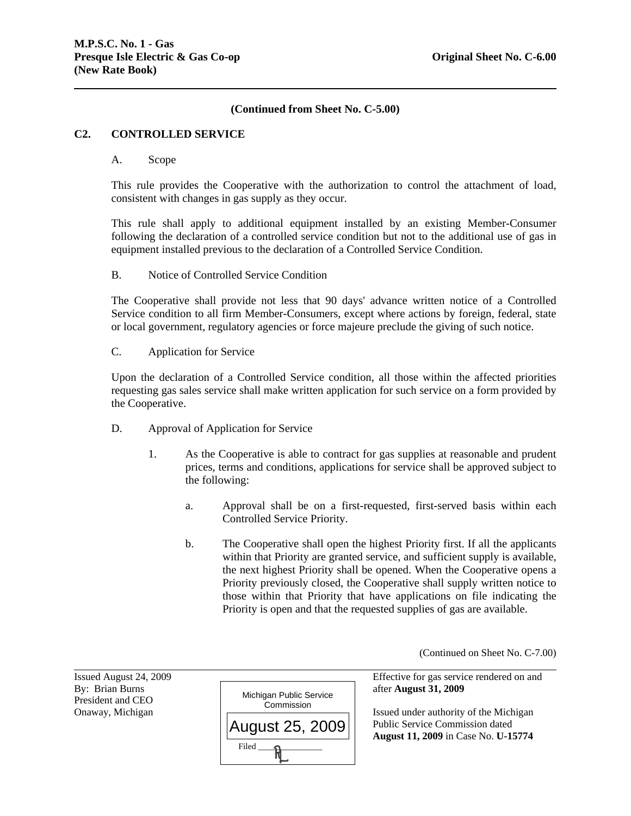## **(Continued from Sheet No. C-5.00)**

#### **C2. CONTROLLED SERVICE**

#### A. Scope

This rule provides the Cooperative with the authorization to control the attachment of load, consistent with changes in gas supply as they occur.

This rule shall apply to additional equipment installed by an existing Member-Consumer following the declaration of a controlled service condition but not to the additional use of gas in equipment installed previous to the declaration of a Controlled Service Condition.

#### B. Notice of Controlled Service Condition

The Cooperative shall provide not less that 90 days' advance written notice of a Controlled Service condition to all firm Member-Consumers, except where actions by foreign, federal, state or local government, regulatory agencies or force majeure preclude the giving of such notice.

C. Application for Service

Upon the declaration of a Controlled Service condition, all those within the affected priorities requesting gas sales service shall make written application for such service on a form provided by the Cooperative.

- D. Approval of Application for Service
	- 1. As the Cooperative is able to contract for gas supplies at reasonable and prudent prices, terms and conditions, applications for service shall be approved subject to the following:
		- a. Approval shall be on a first-requested, first-served basis within each Controlled Service Priority.
		- b. The Cooperative shall open the highest Priority first. If all the applicants within that Priority are granted service, and sufficient supply is available, the next highest Priority shall be opened. When the Cooperative opens a Priority previously closed, the Cooperative shall supply written notice to those within that Priority that have applications on file indicating the Priority is open and that the requested supplies of gas are available.

(Continued on Sheet No. C-7.00)

President and CEO

l



Issued August 24, 2009 Effective for gas service rendered on and

Onaway, Michigan  $\Box$  Public Service Commission dated **August 11, 2009** in Case No. **U-15774**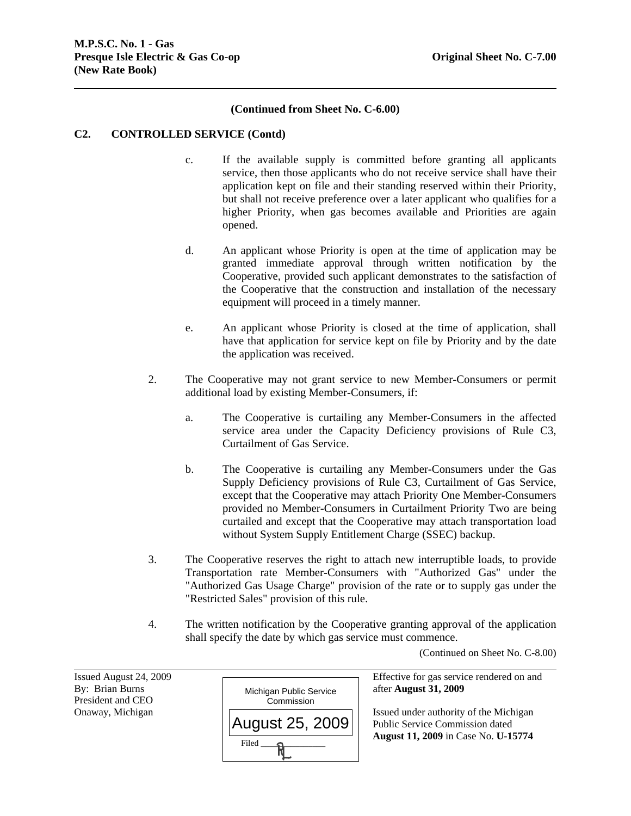## **(Continued from Sheet No. C-6.00)**

#### **C2. CONTROLLED SERVICE (Contd)**

- c. If the available supply is committed before granting all applicants service, then those applicants who do not receive service shall have their application kept on file and their standing reserved within their Priority, but shall not receive preference over a later applicant who qualifies for a higher Priority, when gas becomes available and Priorities are again opened.
- d. An applicant whose Priority is open at the time of application may be granted immediate approval through written notification by the Cooperative, provided such applicant demonstrates to the satisfaction of the Cooperative that the construction and installation of the necessary equipment will proceed in a timely manner.
- e. An applicant whose Priority is closed at the time of application, shall have that application for service kept on file by Priority and by the date the application was received.
- 2. The Cooperative may not grant service to new Member-Consumers or permit additional load by existing Member-Consumers, if:
	- a. The Cooperative is curtailing any Member-Consumers in the affected service area under the Capacity Deficiency provisions of Rule C3, Curtailment of Gas Service.
	- b. The Cooperative is curtailing any Member-Consumers under the Gas Supply Deficiency provisions of Rule C3, Curtailment of Gas Service, except that the Cooperative may attach Priority One Member-Consumers provided no Member-Consumers in Curtailment Priority Two are being curtailed and except that the Cooperative may attach transportation load without System Supply Entitlement Charge (SSEC) backup.
- 3. The Cooperative reserves the right to attach new interruptible loads, to provide Transportation rate Member-Consumers with "Authorized Gas" under the "Authorized Gas Usage Charge" provision of the rate or to supply gas under the "Restricted Sales" provision of this rule.
- 4. The written notification by the Cooperative granting approval of the application shall specify the date by which gas service must commence.

(Continued on Sheet No. C-8.00)

President and CEO

l



Issued August 24, 2009 Effective for gas service rendered on and

Onaway, Michigan **Issued under authority of the Michigan**  Public Service Commission dated **August 11, 2009** in Case No. **U-15774**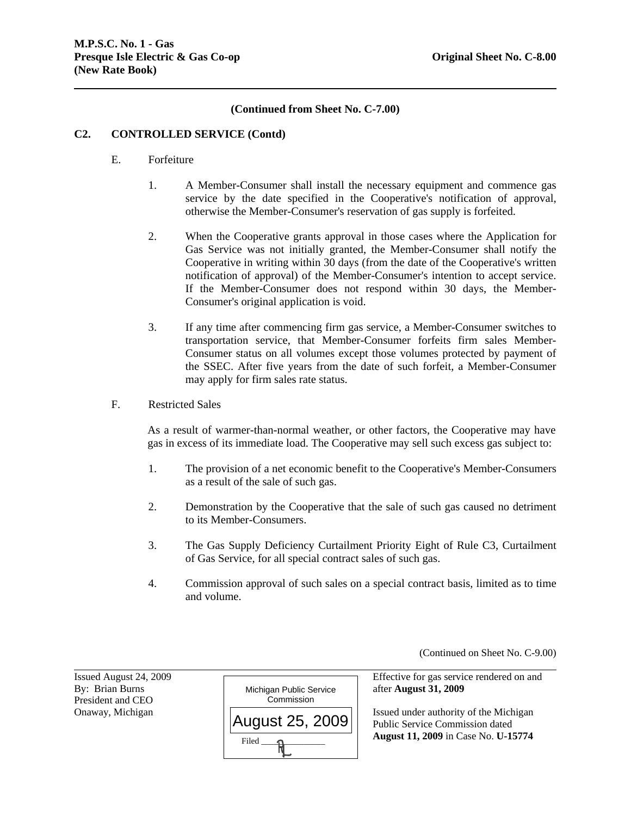## **(Continued from Sheet No. C-7.00)**

#### **C2. CONTROLLED SERVICE (Contd)**

- E. Forfeiture
	- 1. A Member-Consumer shall install the necessary equipment and commence gas service by the date specified in the Cooperative's notification of approval, otherwise the Member-Consumer's reservation of gas supply is forfeited.
	- 2. When the Cooperative grants approval in those cases where the Application for Gas Service was not initially granted, the Member-Consumer shall notify the Cooperative in writing within 30 days (from the date of the Cooperative's written notification of approval) of the Member-Consumer's intention to accept service. If the Member-Consumer does not respond within 30 days, the Member-Consumer's original application is void.
	- 3. If any time after commencing firm gas service, a Member-Consumer switches to transportation service, that Member-Consumer forfeits firm sales Member-Consumer status on all volumes except those volumes protected by payment of the SSEC. After five years from the date of such forfeit, a Member-Consumer may apply for firm sales rate status.
- F. Restricted Sales

As a result of warmer-than-normal weather, or other factors, the Cooperative may have gas in excess of its immediate load. The Cooperative may sell such excess gas subject to:

- 1. The provision of a net economic benefit to the Cooperative's Member-Consumers as a result of the sale of such gas.
- 2. Demonstration by the Cooperative that the sale of such gas caused no detriment to its Member-Consumers.
- 3. The Gas Supply Deficiency Curtailment Priority Eight of Rule C3, Curtailment of Gas Service, for all special contract sales of such gas.
- 4. Commission approval of such sales on a special contract basis, limited as to time and volume.

(Continued on Sheet No. C-9.00)

President and CEO

l



Issued August 24, 2009 Effective for gas service rendered on and

Onaway, Michigan Issued under authority of the Michigan Public Service Commission dated **August 11, 2009** in Case No. **U-15774**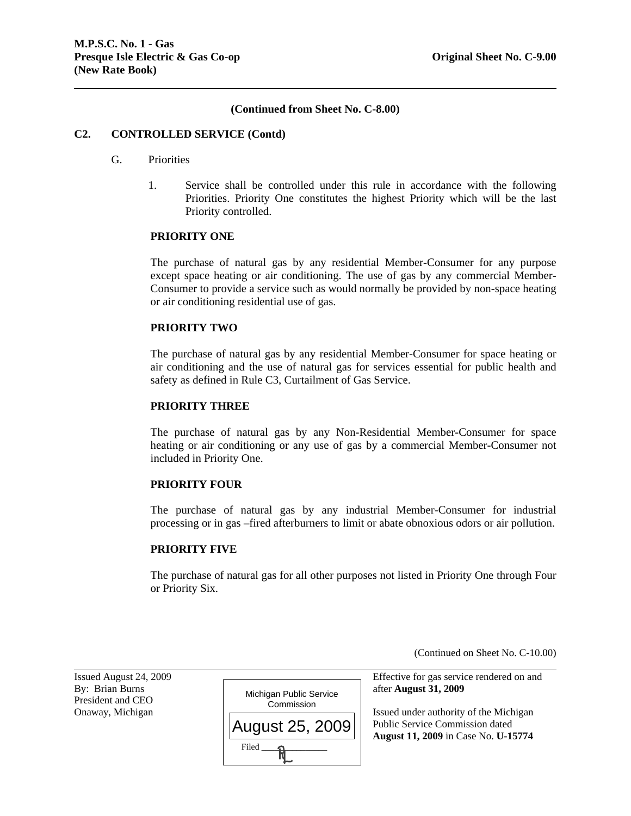#### **(Continued from Sheet No. C-8.00)**

#### **C2. CONTROLLED SERVICE (Contd)**

#### G. Priorities

1. Service shall be controlled under this rule in accordance with the following Priorities. Priority One constitutes the highest Priority which will be the last Priority controlled.

#### **PRIORITY ONE**

The purchase of natural gas by any residential Member-Consumer for any purpose except space heating or air conditioning. The use of gas by any commercial Member-Consumer to provide a service such as would normally be provided by non-space heating or air conditioning residential use of gas.

#### **PRIORITY TWO**

The purchase of natural gas by any residential Member-Consumer for space heating or air conditioning and the use of natural gas for services essential for public health and safety as defined in Rule C3, Curtailment of Gas Service.

#### **PRIORITY THREE**

The purchase of natural gas by any Non-Residential Member-Consumer for space heating or air conditioning or any use of gas by a commercial Member-Consumer not included in Priority One.

#### **PRIORITY FOUR**

The purchase of natural gas by any industrial Member-Consumer for industrial processing or in gas –fired afterburners to limit or abate obnoxious odors or air pollution.

#### **PRIORITY FIVE**

The purchase of natural gas for all other purposes not listed in Priority One through Four or Priority Six.

(Continued on Sheet No. C-10.00)

President and CEO

l



Issued August 24, 2009 Effective for gas service rendered on and

Onaway, Michigan  $\Box$  Public Service Commission dated **August 11, 2009** in Case No. **U-15774**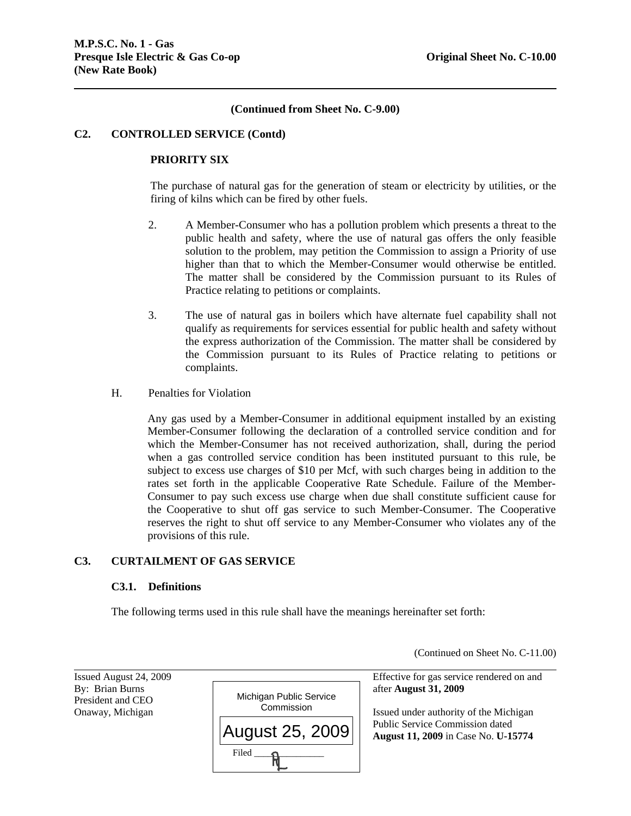(Continued on Sheet No. C-11.00)

#### **(Continued from Sheet No. C-9.00)**

#### **C2. CONTROLLED SERVICE (Contd)**

#### **PRIORITY SIX**

The purchase of natural gas for the generation of steam or electricity by utilities, or the firing of kilns which can be fired by other fuels.

- 2. A Member-Consumer who has a pollution problem which presents a threat to the public health and safety, where the use of natural gas offers the only feasible solution to the problem, may petition the Commission to assign a Priority of use higher than that to which the Member-Consumer would otherwise be entitled. The matter shall be considered by the Commission pursuant to its Rules of Practice relating to petitions or complaints.
- 3. The use of natural gas in boilers which have alternate fuel capability shall not qualify as requirements for services essential for public health and safety without the express authorization of the Commission. The matter shall be considered by the Commission pursuant to its Rules of Practice relating to petitions or complaints.
- H. Penalties for Violation

Any gas used by a Member-Consumer in additional equipment installed by an existing Member-Consumer following the declaration of a controlled service condition and for which the Member-Consumer has not received authorization, shall, during the period when a gas controlled service condition has been instituted pursuant to this rule, be subject to excess use charges of \$10 per Mcf, with such charges being in addition to the rates set forth in the applicable Cooperative Rate Schedule. Failure of the Member-Consumer to pay such excess use charge when due shall constitute sufficient cause for the Cooperative to shut off gas service to such Member-Consumer. The Cooperative reserves the right to shut off service to any Member-Consumer who violates any of the provisions of this rule.

## **C3. CURTAILMENT OF GAS SERVICE**

#### **C3.1. Definitions**

The following terms used in this rule shall have the meanings hereinafter set forth:

l Issued August 24, 2009 Effective for gas service rendered on and By: Brian Burns **and Structure 1. August 31, 2009** after **August 31, 2009** President and CEO Onaway, Michigan **Issued under authority of the Michigan** Issued under authority of the Michigan Public Service Commission dated **August 11, 2009** in Case No. **U-15774** Michigan Public Service **Commission**  $Filed$   $\longrightarrow$   $\bigcap$ August 25, 2009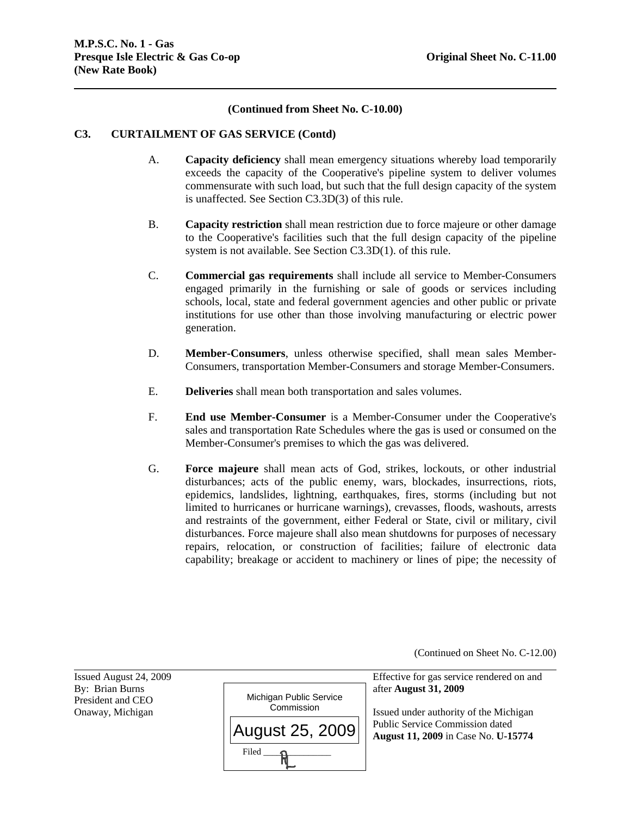## **(Continued from Sheet No. C-10.00)**

#### **C3. CURTAILMENT OF GAS SERVICE (Contd)**

- A. **Capacity deficiency** shall mean emergency situations whereby load temporarily exceeds the capacity of the Cooperative's pipeline system to deliver volumes commensurate with such load, but such that the full design capacity of the system is unaffected. See Section C3.3D(3) of this rule.
- B. **Capacity restriction** shall mean restriction due to force majeure or other damage to the Cooperative's facilities such that the full design capacity of the pipeline system is not available. See Section C3.3D(1). of this rule.
- C. **Commercial gas requirements** shall include all service to Member-Consumers engaged primarily in the furnishing or sale of goods or services including schools, local, state and federal government agencies and other public or private institutions for use other than those involving manufacturing or electric power generation.
- D. **Member-Consumers**, unless otherwise specified, shall mean sales Member-Consumers, transportation Member-Consumers and storage Member-Consumers.
- E. **Deliveries** shall mean both transportation and sales volumes.
- F. **End use Member-Consumer** is a Member-Consumer under the Cooperative's sales and transportation Rate Schedules where the gas is used or consumed on the Member-Consumer's premises to which the gas was delivered.
- G. **Force majeure** shall mean acts of God, strikes, lockouts, or other industrial disturbances; acts of the public enemy, wars, blockades, insurrections, riots, epidemics, landslides, lightning, earthquakes, fires, storms (including but not limited to hurricanes or hurricane warnings), crevasses, floods, washouts, arrests and restraints of the government, either Federal or State, civil or military, civil disturbances. Force majeure shall also mean shutdowns for purposes of necessary repairs, relocation, or construction of facilities; failure of electronic data capability; breakage or accident to machinery or lines of pipe; the necessity of

(Continued on Sheet No. C-12.00)

President and CEO

l



Issued August 24, 2009 Effective for gas service rendered on and

Onaway, Michigan **Issued under authority of the Michigan** Issued under authority of the Michigan Public Service Commission dated **August 11, 2009** in Case No. **U-15774**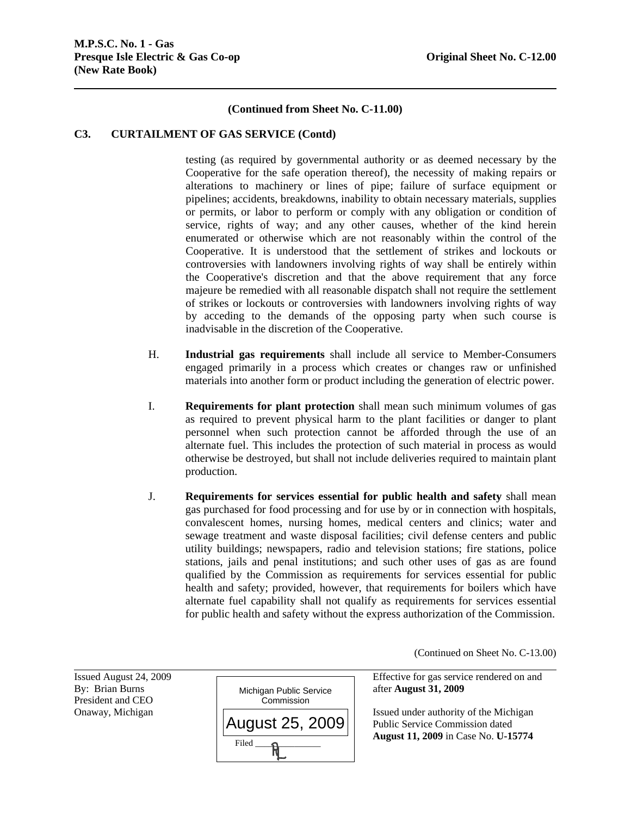## **(Continued from Sheet No. C-11.00)**

## **C3. CURTAILMENT OF GAS SERVICE (Contd)**

testing (as required by governmental authority or as deemed necessary by the Cooperative for the safe operation thereof), the necessity of making repairs or alterations to machinery or lines of pipe; failure of surface equipment or pipelines; accidents, breakdowns, inability to obtain necessary materials, supplies or permits, or labor to perform or comply with any obligation or condition of service, rights of way; and any other causes, whether of the kind herein enumerated or otherwise which are not reasonably within the control of the Cooperative. It is understood that the settlement of strikes and lockouts or controversies with landowners involving rights of way shall be entirely within the Cooperative's discretion and that the above requirement that any force majeure be remedied with all reasonable dispatch shall not require the settlement of strikes or lockouts or controversies with landowners involving rights of way by acceding to the demands of the opposing party when such course is inadvisable in the discretion of the Cooperative.

- H. **Industrial gas requirements** shall include all service to Member-Consumers engaged primarily in a process which creates or changes raw or unfinished materials into another form or product including the generation of electric power.
- I. **Requirements for plant protection** shall mean such minimum volumes of gas as required to prevent physical harm to the plant facilities or danger to plant personnel when such protection cannot be afforded through the use of an alternate fuel. This includes the protection of such material in process as would otherwise be destroyed, but shall not include deliveries required to maintain plant production.
- J. **Requirements for services essential for public health and safety** shall mean gas purchased for food processing and for use by or in connection with hospitals, convalescent homes, nursing homes, medical centers and clinics; water and sewage treatment and waste disposal facilities; civil defense centers and public utility buildings; newspapers, radio and television stations; fire stations, police stations, jails and penal institutions; and such other uses of gas as are found qualified by the Commission as requirements for services essential for public health and safety; provided, however, that requirements for boilers which have alternate fuel capability shall not qualify as requirements for services essential for public health and safety without the express authorization of the Commission.

(Continued on Sheet No. C-13.00)

President and CEO

l



 Public Service Commission dated **August 11, 2009** in Case No. **U-15774**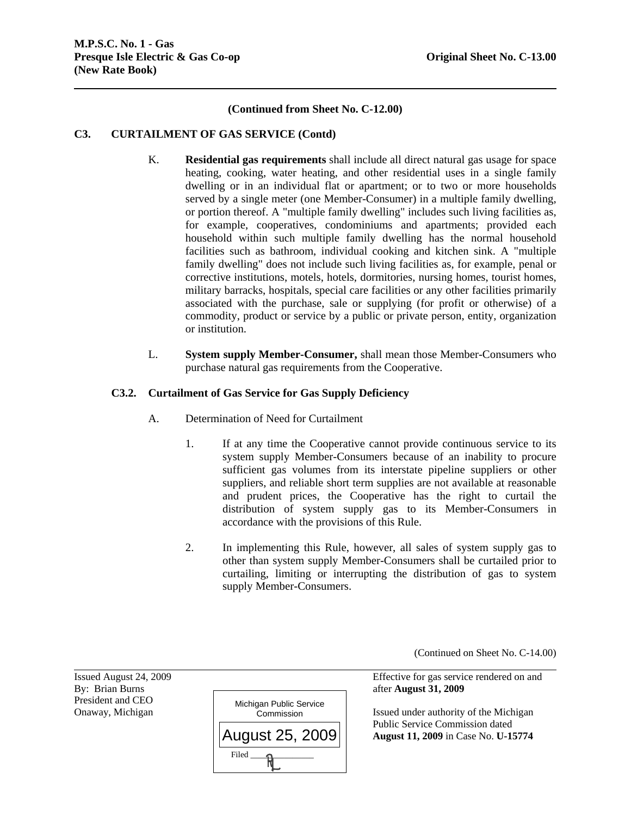## **(Continued from Sheet No. C-12.00)**

## **C3. CURTAILMENT OF GAS SERVICE (Contd)**

- K. **Residential gas requirements** shall include all direct natural gas usage for space heating, cooking, water heating, and other residential uses in a single family dwelling or in an individual flat or apartment; or to two or more households served by a single meter (one Member-Consumer) in a multiple family dwelling, or portion thereof. A "multiple family dwelling" includes such living facilities as, for example, cooperatives, condominiums and apartments; provided each household within such multiple family dwelling has the normal household facilities such as bathroom, individual cooking and kitchen sink. A "multiple family dwelling" does not include such living facilities as, for example, penal or corrective institutions, motels, hotels, dormitories, nursing homes, tourist homes, military barracks, hospitals, special care facilities or any other facilities primarily associated with the purchase, sale or supplying (for profit or otherwise) of a commodity, product or service by a public or private person, entity, organization or institution.
- L. **System supply Member-Consumer,** shall mean those Member-Consumers who purchase natural gas requirements from the Cooperative.

## **C3.2. Curtailment of Gas Service for Gas Supply Deficiency**

- A. Determination of Need for Curtailment
	- 1. If at any time the Cooperative cannot provide continuous service to its system supply Member-Consumers because of an inability to procure sufficient gas volumes from its interstate pipeline suppliers or other suppliers, and reliable short term supplies are not available at reasonable and prudent prices, the Cooperative has the right to curtail the distribution of system supply gas to its Member-Consumers in accordance with the provisions of this Rule.
	- 2. In implementing this Rule, however, all sales of system supply gas to other than system supply Member-Consumers shall be curtailed prior to curtailing, limiting or interrupting the distribution of gas to system supply Member-Consumers.

(Continued on Sheet No. C-14.00)

Issued August 24, 2009 Effective for gas service rendered on and

Onaway, Michigan **Issued under authority of the Michigan** Issued under authority of the Michigan Public Service Commission dated **August 11, 2009** in Case No. **U-15774**

l President and CEO

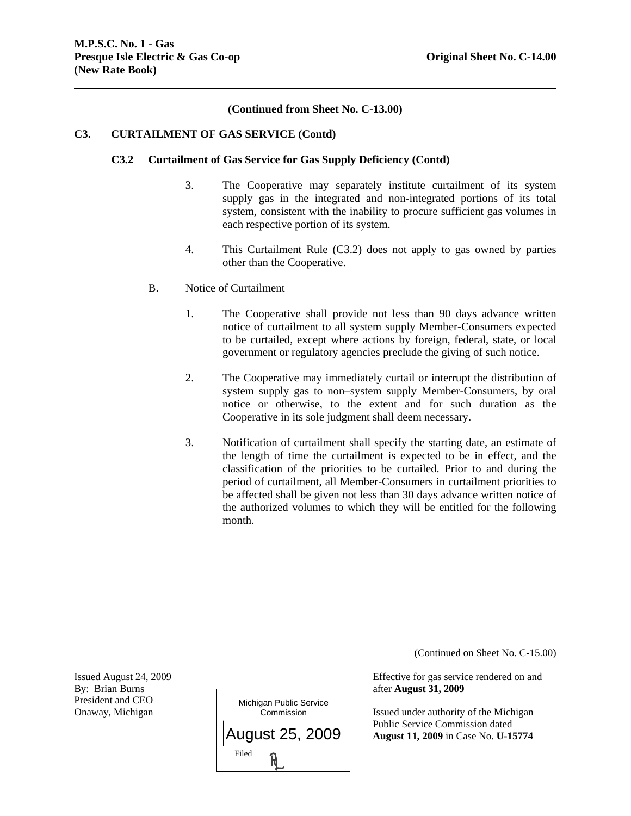## **(Continued from Sheet No. C-13.00)**

#### **C3. CURTAILMENT OF GAS SERVICE (Contd)**

#### **C3.2 Curtailment of Gas Service for Gas Supply Deficiency (Contd)**

- 3. The Cooperative may separately institute curtailment of its system supply gas in the integrated and non-integrated portions of its total system, consistent with the inability to procure sufficient gas volumes in each respective portion of its system.
- 4. This Curtailment Rule (C3.2) does not apply to gas owned by parties other than the Cooperative.
- B. Notice of Curtailment
	- 1. The Cooperative shall provide not less than 90 days advance written notice of curtailment to all system supply Member-Consumers expected to be curtailed, except where actions by foreign, federal, state, or local government or regulatory agencies preclude the giving of such notice.
	- 2. The Cooperative may immediately curtail or interrupt the distribution of system supply gas to non–system supply Member-Consumers, by oral notice or otherwise, to the extent and for such duration as the Cooperative in its sole judgment shall deem necessary.
	- 3. Notification of curtailment shall specify the starting date, an estimate of the length of time the curtailment is expected to be in effect, and the classification of the priorities to be curtailed. Prior to and during the period of curtailment, all Member-Consumers in curtailment priorities to be affected shall be given not less than 30 days advance written notice of the authorized volumes to which they will be entitled for the following month.

(Continued on Sheet No. C-15.00)

Issued August 24, 2009 Effective for gas service rendered on and

Onaway, Michigan **Issued under authority of the Michigan** Commission Issued under authority of the Michigan Public Service Commission dated **August 11, 2009** in Case No. **U-15774**

President and CEO

l

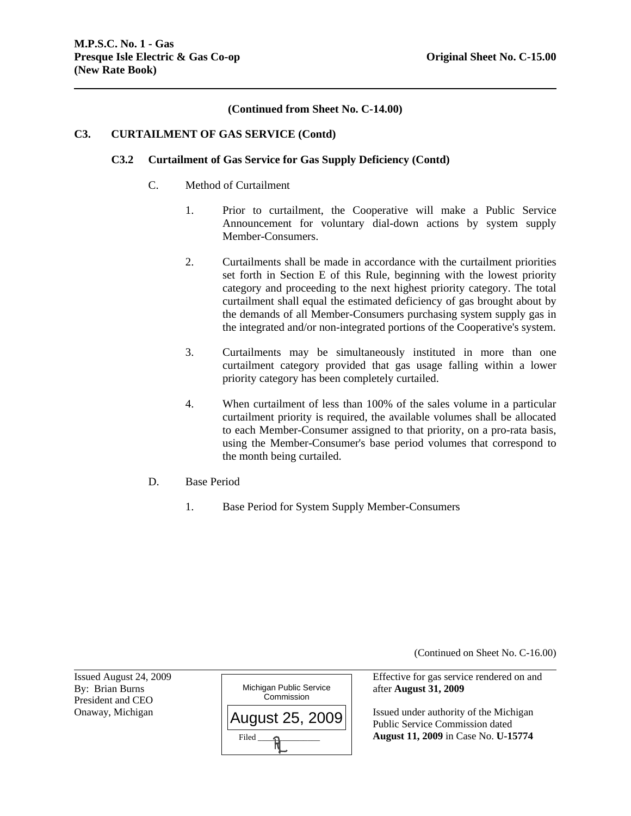# **(Continued from Sheet No. C-14.00)**

# **C3. CURTAILMENT OF GAS SERVICE (Contd)**

# **C3.2 Curtailment of Gas Service for Gas Supply Deficiency (Contd)**

- C. Method of Curtailment
	- 1. Prior to curtailment, the Cooperative will make a Public Service Announcement for voluntary dial-down actions by system supply Member-Consumers.
	- 2. Curtailments shall be made in accordance with the curtailment priorities set forth in Section E of this Rule, beginning with the lowest priority category and proceeding to the next highest priority category. The total curtailment shall equal the estimated deficiency of gas brought about by the demands of all Member-Consumers purchasing system supply gas in the integrated and/or non-integrated portions of the Cooperative's system.
	- 3. Curtailments may be simultaneously instituted in more than one curtailment category provided that gas usage falling within a lower priority category has been completely curtailed.
	- 4. When curtailment of less than 100% of the sales volume in a particular curtailment priority is required, the available volumes shall be allocated to each Member-Consumer assigned to that priority, on a pro-rata basis, using the Member-Consumer's base period volumes that correspond to the month being curtailed.
- D. Base Period
	- 1. Base Period for System Supply Member-Consumers

(Continued on Sheet No. C-16.00)

President and CEO

l



Issued August 24, 2009 Effective for gas service rendered on and

Onaway, Michigan  $\left| \right|_{\Delta}$   $\left| \right|_{\Delta}$   $\left| \right|$   $\left| \right|$   $\left| \right|$  Issued under authority of the Michigan Public Service Commission dated **August 11, 2009** in Case No. **U-15774**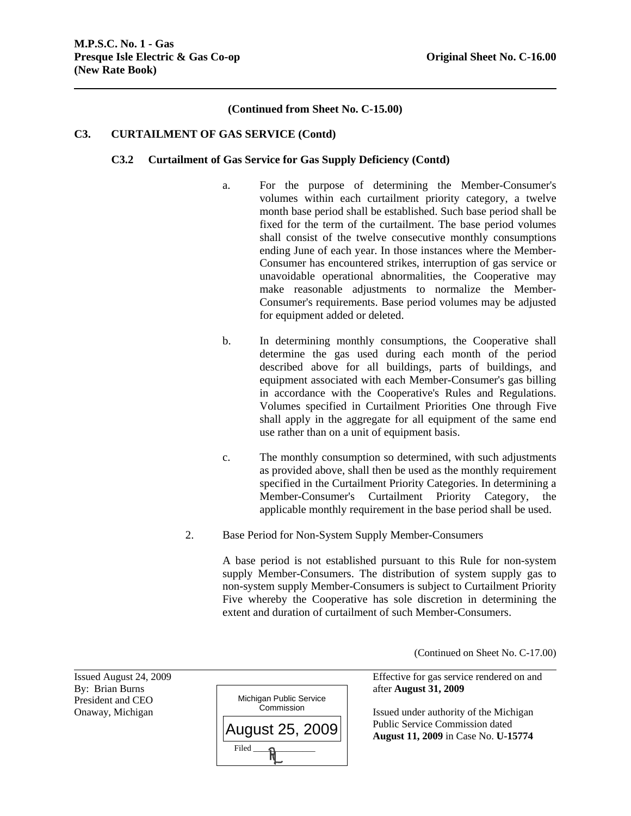# **(Continued from Sheet No. C-15.00)**

## **C3. CURTAILMENT OF GAS SERVICE (Contd)**

#### **C3.2 Curtailment of Gas Service for Gas Supply Deficiency (Contd)**

- a. For the purpose of determining the Member-Consumer's volumes within each curtailment priority category, a twelve month base period shall be established. Such base period shall be fixed for the term of the curtailment. The base period volumes shall consist of the twelve consecutive monthly consumptions ending June of each year. In those instances where the Member-Consumer has encountered strikes, interruption of gas service or unavoidable operational abnormalities, the Cooperative may make reasonable adjustments to normalize the Member-Consumer's requirements. Base period volumes may be adjusted for equipment added or deleted.
- b. In determining monthly consumptions, the Cooperative shall determine the gas used during each month of the period described above for all buildings, parts of buildings, and equipment associated with each Member-Consumer's gas billing in accordance with the Cooperative's Rules and Regulations. Volumes specified in Curtailment Priorities One through Five shall apply in the aggregate for all equipment of the same end use rather than on a unit of equipment basis.
- c. The monthly consumption so determined, with such adjustments as provided above, shall then be used as the monthly requirement specified in the Curtailment Priority Categories. In determining a Member-Consumer's Curtailment Priority Category, the applicable monthly requirement in the base period shall be used.
- 2. Base Period for Non-System Supply Member-Consumers

A base period is not established pursuant to this Rule for non-system supply Member-Consumers. The distribution of system supply gas to non-system supply Member-Consumers is subject to Curtailment Priority Five whereby the Cooperative has sole discretion in determining the extent and duration of curtailment of such Member-Consumers.

(Continued on Sheet No. C-17.00)

Issued August 24, 2009 Effective for gas service rendered on and

Onaway, Michigan **Issued under authority of the Michigan** Issued under authority of the Michigan Public Service Commission dated **August 11, 2009** in Case No. **U-15774**

President and CEO

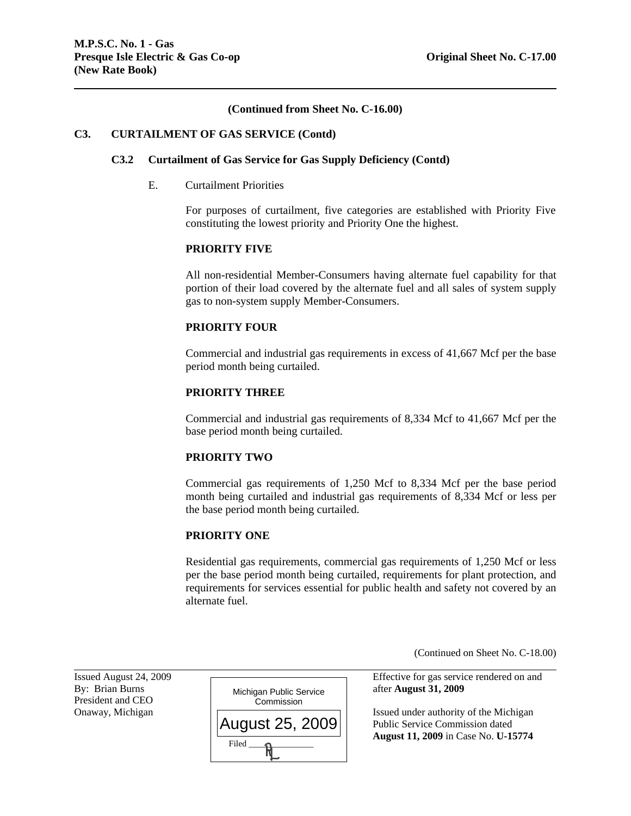# **(Continued from Sheet No. C-16.00)**

## **C3. CURTAILMENT OF GAS SERVICE (Contd)**

#### **C3.2 Curtailment of Gas Service for Gas Supply Deficiency (Contd)**

## E. Curtailment Priorities

For purposes of curtailment, five categories are established with Priority Five constituting the lowest priority and Priority One the highest.

# **PRIORITY FIVE**

All non-residential Member-Consumers having alternate fuel capability for that portion of their load covered by the alternate fuel and all sales of system supply gas to non-system supply Member-Consumers.

#### **PRIORITY FOUR**

Commercial and industrial gas requirements in excess of 41,667 Mcf per the base period month being curtailed.

# **PRIORITY THREE**

Commercial and industrial gas requirements of 8,334 Mcf to 41,667 Mcf per the base period month being curtailed.

## **PRIORITY TWO**

Commercial gas requirements of 1,250 Mcf to 8,334 Mcf per the base period month being curtailed and industrial gas requirements of 8,334 Mcf or less per the base period month being curtailed.

## **PRIORITY ONE**

Residential gas requirements, commercial gas requirements of 1,250 Mcf or less per the base period month being curtailed, requirements for plant protection, and requirements for services essential for public health and safety not covered by an alternate fuel.

(Continued on Sheet No. C-18.00)

Issued August 24, 2009 Effective for gas service rendered on and

Onaway, Michigan  $\Box$  Public Service Commission dated **August 11, 2009** in Case No. **U-15774**

President and CEO

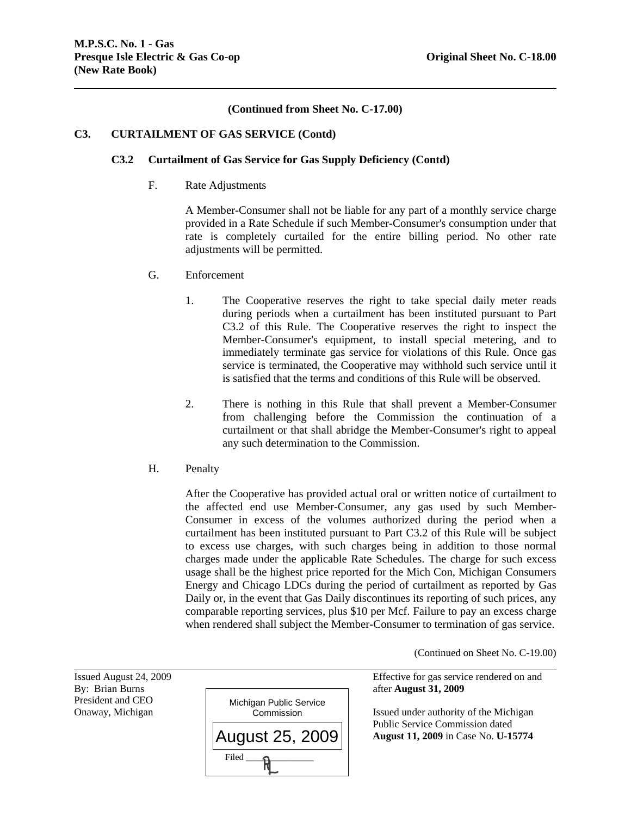# **(Continued from Sheet No. C-17.00)**

## **C3. CURTAILMENT OF GAS SERVICE (Contd)**

#### **C3.2 Curtailment of Gas Service for Gas Supply Deficiency (Contd)**

F. Rate Adjustments

A Member-Consumer shall not be liable for any part of a monthly service charge provided in a Rate Schedule if such Member-Consumer's consumption under that rate is completely curtailed for the entire billing period. No other rate adjustments will be permitted.

- G. Enforcement
	- 1. The Cooperative reserves the right to take special daily meter reads during periods when a curtailment has been instituted pursuant to Part C3.2 of this Rule. The Cooperative reserves the right to inspect the Member-Consumer's equipment, to install special metering, and to immediately terminate gas service for violations of this Rule. Once gas service is terminated, the Cooperative may withhold such service until it is satisfied that the terms and conditions of this Rule will be observed.
	- 2. There is nothing in this Rule that shall prevent a Member-Consumer from challenging before the Commission the continuation of a curtailment or that shall abridge the Member-Consumer's right to appeal any such determination to the Commission.
- H. Penalty

After the Cooperative has provided actual oral or written notice of curtailment to the affected end use Member-Consumer, any gas used by such Member-Consumer in excess of the volumes authorized during the period when a curtailment has been instituted pursuant to Part C3.2 of this Rule will be subject to excess use charges, with such charges being in addition to those normal charges made under the applicable Rate Schedules. The charge for such excess usage shall be the highest price reported for the Mich Con, Michigan Consumers Energy and Chicago LDCs during the period of curtailment as reported by Gas Daily or, in the event that Gas Daily discontinues its reporting of such prices, any comparable reporting services, plus \$10 per Mcf. Failure to pay an excess charge when rendered shall subject the Member-Consumer to termination of gas service.

(Continued on Sheet No. C-19.00)

President and CEO

l



Issued August 24, 2009 Effective for gas service rendered on and

 Public Service Commission dated **August 11, 2009** in Case No. **U-15774**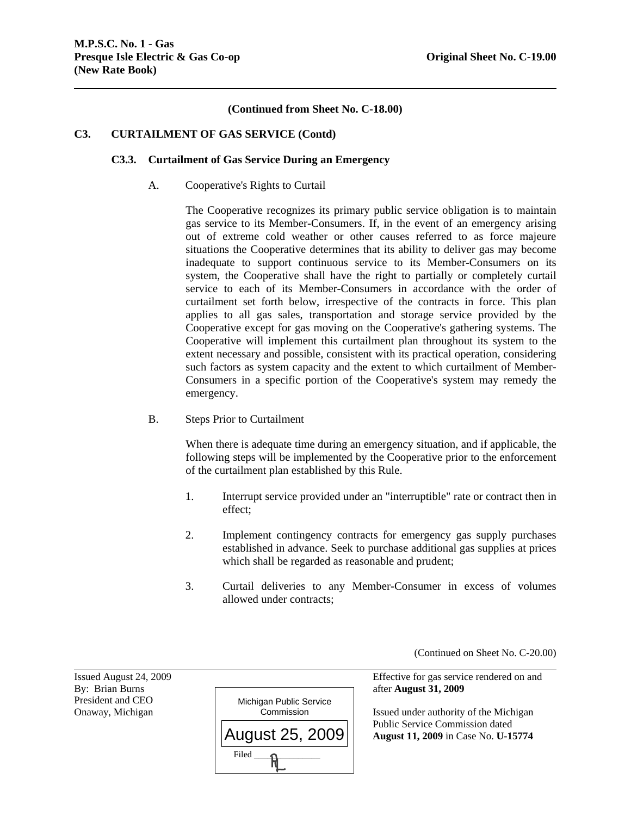# **(Continued from Sheet No. C-18.00)**

# **C3. CURTAILMENT OF GAS SERVICE (Contd)**

## **C3.3. Curtailment of Gas Service During an Emergency**

A. Cooperative's Rights to Curtail

The Cooperative recognizes its primary public service obligation is to maintain gas service to its Member-Consumers. If, in the event of an emergency arising out of extreme cold weather or other causes referred to as force majeure situations the Cooperative determines that its ability to deliver gas may become inadequate to support continuous service to its Member-Consumers on its system, the Cooperative shall have the right to partially or completely curtail service to each of its Member-Consumers in accordance with the order of curtailment set forth below, irrespective of the contracts in force. This plan applies to all gas sales, transportation and storage service provided by the Cooperative except for gas moving on the Cooperative's gathering systems. The Cooperative will implement this curtailment plan throughout its system to the extent necessary and possible, consistent with its practical operation, considering such factors as system capacity and the extent to which curtailment of Member-Consumers in a specific portion of the Cooperative's system may remedy the emergency.

B. Steps Prior to Curtailment

When there is adequate time during an emergency situation, and if applicable, the following steps will be implemented by the Cooperative prior to the enforcement of the curtailment plan established by this Rule.

- 1. Interrupt service provided under an "interruptible" rate or contract then in effect;
- 2. Implement contingency contracts for emergency gas supply purchases established in advance. Seek to purchase additional gas supplies at prices which shall be regarded as reasonable and prudent;
- 3. Curtail deliveries to any Member-Consumer in excess of volumes allowed under contracts;

(Continued on Sheet No. C-20.00)

President and CEO

l



Issued August 24, 2009 Effective for gas service rendered on and

Onaway, Michigan **Issued under authority of the Michigan** Commission Issued under authority of the Michigan Public Service Commission dated **August 11, 2009** in Case No. **U-15774**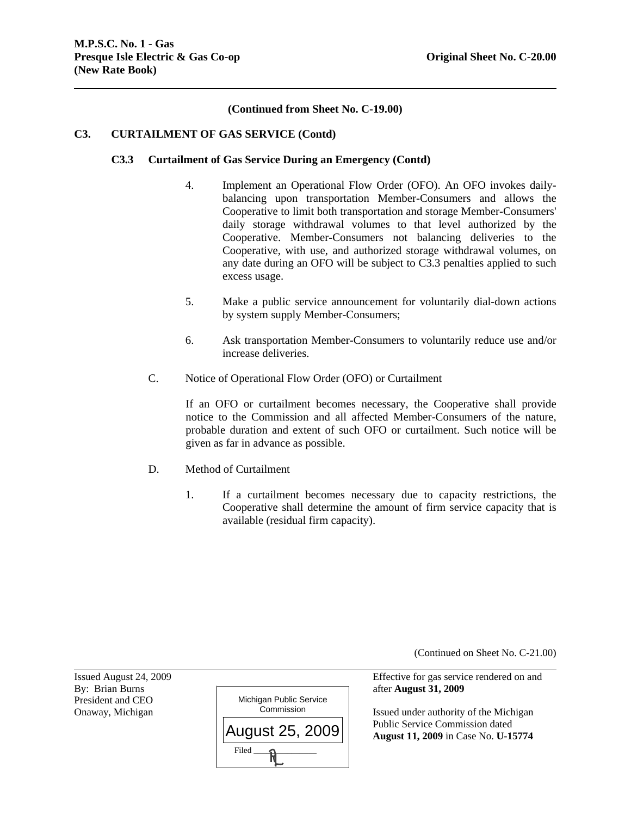# **(Continued from Sheet No. C-19.00)**

## **C3. CURTAILMENT OF GAS SERVICE (Contd)**

## **C3.3 Curtailment of Gas Service During an Emergency (Contd)**

- 4. Implement an Operational Flow Order (OFO). An OFO invokes dailybalancing upon transportation Member-Consumers and allows the Cooperative to limit both transportation and storage Member-Consumers' daily storage withdrawal volumes to that level authorized by the Cooperative. Member-Consumers not balancing deliveries to the Cooperative, with use, and authorized storage withdrawal volumes, on any date during an OFO will be subject to C3.3 penalties applied to such excess usage.
- 5. Make a public service announcement for voluntarily dial-down actions by system supply Member-Consumers;
- 6. Ask transportation Member-Consumers to voluntarily reduce use and/or increase deliveries.
- C. Notice of Operational Flow Order (OFO) or Curtailment

If an OFO or curtailment becomes necessary, the Cooperative shall provide notice to the Commission and all affected Member-Consumers of the nature, probable duration and extent of such OFO or curtailment. Such notice will be given as far in advance as possible.

- D. Method of Curtailment
	- 1. If a curtailment becomes necessary due to capacity restrictions, the Cooperative shall determine the amount of firm service capacity that is available (residual firm capacity).

(Continued on Sheet No. C-21.00)

Issued August 24, 2009 Effective for gas service rendered on and

Onaway, Michigan **Issued under authority of the Michigan** Issued under authority of the Michigan Public Service Commission dated **August 11, 2009** in Case No. **U-15774**

l President and CEO

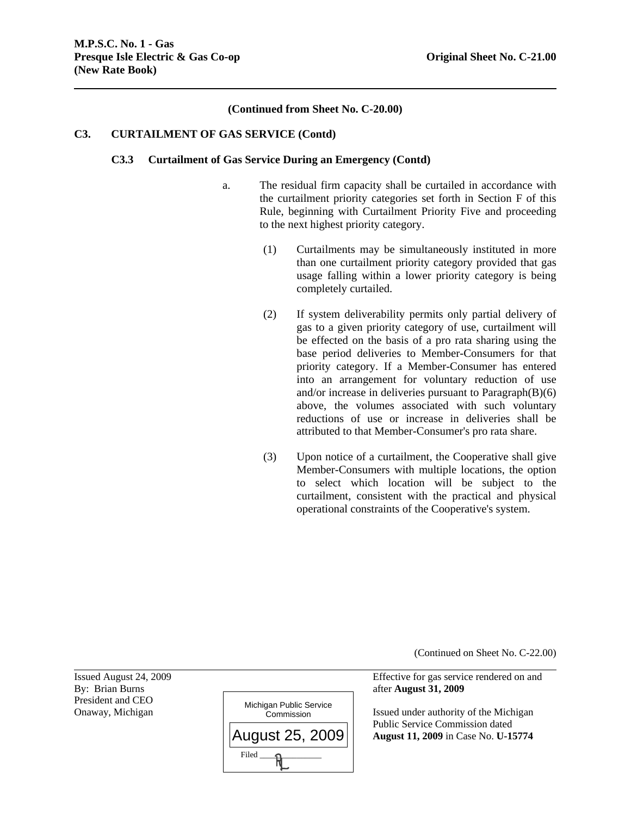# **(Continued from Sheet No. C-20.00)**

## **C3. CURTAILMENT OF GAS SERVICE (Contd)**

#### **C3.3 Curtailment of Gas Service During an Emergency (Contd)**

- a. The residual firm capacity shall be curtailed in accordance with the curtailment priority categories set forth in Section F of this Rule, beginning with Curtailment Priority Five and proceeding to the next highest priority category.
	- (1) Curtailments may be simultaneously instituted in more than one curtailment priority category provided that gas usage falling within a lower priority category is being completely curtailed.
	- (2) If system deliverability permits only partial delivery of gas to a given priority category of use, curtailment will be effected on the basis of a pro rata sharing using the base period deliveries to Member-Consumers for that priority category. If a Member-Consumer has entered into an arrangement for voluntary reduction of use and/or increase in deliveries pursuant to Paragraph(B)(6) above, the volumes associated with such voluntary reductions of use or increase in deliveries shall be attributed to that Member-Consumer's pro rata share.
	- (3) Upon notice of a curtailment, the Cooperative shall give Member-Consumers with multiple locations, the option to select which location will be subject to the curtailment, consistent with the practical and physical operational constraints of the Cooperative's system.

(Continued on Sheet No. C-22.00)

Issued August 24, 2009 Effective for gas service rendered on and

Onaway, Michigan **Issued under authority of the Michigan** Issued under authority of the Michigan Public Service Commission dated **August 11, 2009** in Case No. **U-15774**

President and CEO

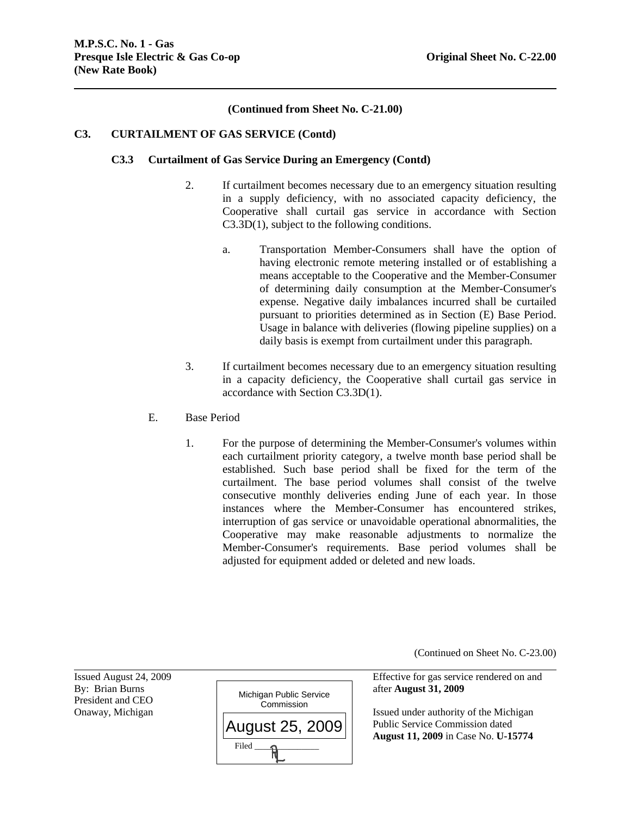# **(Continued from Sheet No. C-21.00)**

## **C3. CURTAILMENT OF GAS SERVICE (Contd)**

## **C3.3 Curtailment of Gas Service During an Emergency (Contd)**

- 2. If curtailment becomes necessary due to an emergency situation resulting in a supply deficiency, with no associated capacity deficiency, the Cooperative shall curtail gas service in accordance with Section C3.3D(1), subject to the following conditions.
	- a. Transportation Member-Consumers shall have the option of having electronic remote metering installed or of establishing a means acceptable to the Cooperative and the Member-Consumer of determining daily consumption at the Member-Consumer's expense. Negative daily imbalances incurred shall be curtailed pursuant to priorities determined as in Section (E) Base Period. Usage in balance with deliveries (flowing pipeline supplies) on a daily basis is exempt from curtailment under this paragraph.
- 3. If curtailment becomes necessary due to an emergency situation resulting in a capacity deficiency, the Cooperative shall curtail gas service in accordance with Section C3.3D(1).
- E. Base Period
	- 1. For the purpose of determining the Member-Consumer's volumes within each curtailment priority category, a twelve month base period shall be established. Such base period shall be fixed for the term of the curtailment. The base period volumes shall consist of the twelve consecutive monthly deliveries ending June of each year. In those instances where the Member-Consumer has encountered strikes, interruption of gas service or unavoidable operational abnormalities, the Cooperative may make reasonable adjustments to normalize the Member-Consumer's requirements. Base period volumes shall be adjusted for equipment added or deleted and new loads.

(Continued on Sheet No. C-23.00)

President and CEO

l



Issued August 24, 2009 Effective for gas service rendered on and

Onaway, Michigan  $\Box$  Issued under authority of the Michigan Public Service Commission dated **August 11, 2009** in Case No. **U-15774**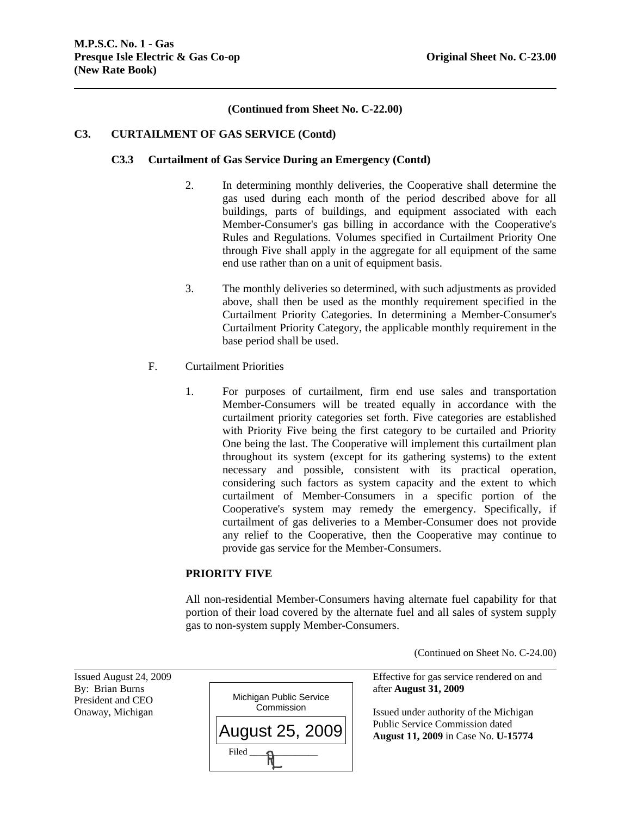# **(Continued from Sheet No. C-22.00)**

# **C3. CURTAILMENT OF GAS SERVICE (Contd)**

# **C3.3 Curtailment of Gas Service During an Emergency (Contd)**

- 2. In determining monthly deliveries, the Cooperative shall determine the gas used during each month of the period described above for all buildings, parts of buildings, and equipment associated with each Member-Consumer's gas billing in accordance with the Cooperative's Rules and Regulations. Volumes specified in Curtailment Priority One through Five shall apply in the aggregate for all equipment of the same end use rather than on a unit of equipment basis.
- 3. The monthly deliveries so determined, with such adjustments as provided above, shall then be used as the monthly requirement specified in the Curtailment Priority Categories. In determining a Member-Consumer's Curtailment Priority Category, the applicable monthly requirement in the base period shall be used.
- F. Curtailment Priorities
	- 1. For purposes of curtailment, firm end use sales and transportation Member-Consumers will be treated equally in accordance with the curtailment priority categories set forth. Five categories are established with Priority Five being the first category to be curtailed and Priority One being the last. The Cooperative will implement this curtailment plan throughout its system (except for its gathering systems) to the extent necessary and possible, consistent with its practical operation, considering such factors as system capacity and the extent to which curtailment of Member-Consumers in a specific portion of the Cooperative's system may remedy the emergency. Specifically, if curtailment of gas deliveries to a Member-Consumer does not provide any relief to the Cooperative, then the Cooperative may continue to provide gas service for the Member-Consumers.

# **PRIORITY FIVE**

All non-residential Member-Consumers having alternate fuel capability for that portion of their load covered by the alternate fuel and all sales of system supply gas to non-system supply Member-Consumers.

(Continued on Sheet No. C-24.00)

President and CEO

l



Issued August 24, 2009 Effective for gas service rendered on and

Onaway, Michigan **Issued under authority of the Michigan** Issued under authority of the Michigan Public Service Commission dated **August 11, 2009** in Case No. **U-15774**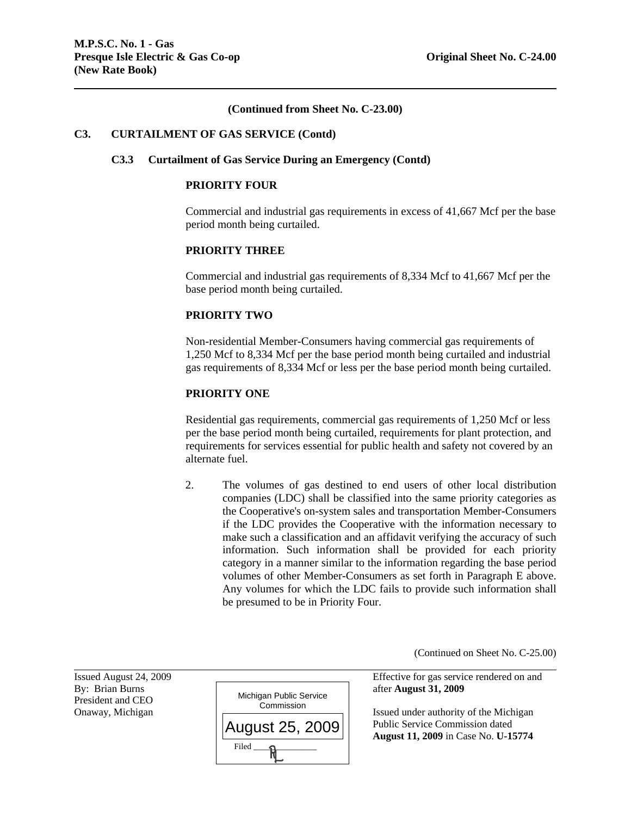## **(Continued from Sheet No. C-23.00)**

#### **C3. CURTAILMENT OF GAS SERVICE (Contd)**

#### **C3.3 Curtailment of Gas Service During an Emergency (Contd)**

#### **PRIORITY FOUR**

Commercial and industrial gas requirements in excess of 41,667 Mcf per the base period month being curtailed.

# **PRIORITY THREE**

Commercial and industrial gas requirements of 8,334 Mcf to 41,667 Mcf per the base period month being curtailed.

## **PRIORITY TWO**

Non-residential Member-Consumers having commercial gas requirements of 1,250 Mcf to 8,334 Mcf per the base period month being curtailed and industrial gas requirements of 8,334 Mcf or less per the base period month being curtailed.

# **PRIORITY ONE**

Residential gas requirements, commercial gas requirements of 1,250 Mcf or less per the base period month being curtailed, requirements for plant protection, and requirements for services essential for public health and safety not covered by an alternate fuel.

2. The volumes of gas destined to end users of other local distribution companies (LDC) shall be classified into the same priority categories as the Cooperative's on-system sales and transportation Member-Consumers if the LDC provides the Cooperative with the information necessary to make such a classification and an affidavit verifying the accuracy of such information. Such information shall be provided for each priority category in a manner similar to the information regarding the base period volumes of other Member-Consumers as set forth in Paragraph E above. Any volumes for which the LDC fails to provide such information shall be presumed to be in Priority Four.

(Continued on Sheet No. C-25.00)

President and CEO

l



Issued August 24, 2009 Effective for gas service rendered on and

Onaway, Michigan  $\Box$  Issued under authority of the Michigan Public Service Commission dated **August 11, 2009** in Case No. **U-15774**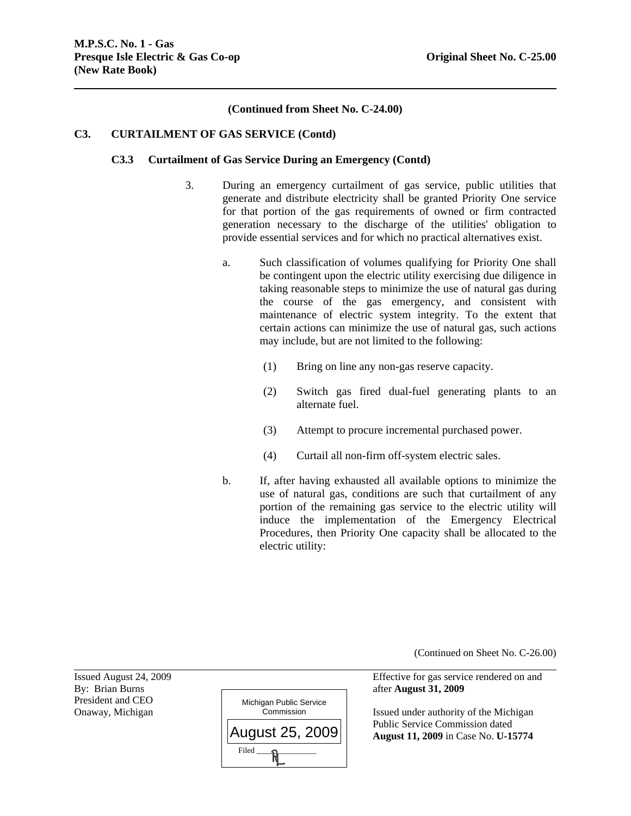# **(Continued from Sheet No. C-24.00)**

## **C3. CURTAILMENT OF GAS SERVICE (Contd)**

#### **C3.3 Curtailment of Gas Service During an Emergency (Contd)**

- 3. During an emergency curtailment of gas service, public utilities that generate and distribute electricity shall be granted Priority One service for that portion of the gas requirements of owned or firm contracted generation necessary to the discharge of the utilities' obligation to provide essential services and for which no practical alternatives exist.
	- a. Such classification of volumes qualifying for Priority One shall be contingent upon the electric utility exercising due diligence in taking reasonable steps to minimize the use of natural gas during the course of the gas emergency, and consistent with maintenance of electric system integrity. To the extent that certain actions can minimize the use of natural gas, such actions may include, but are not limited to the following:
		- (1) Bring on line any non-gas reserve capacity.
		- (2) Switch gas fired dual-fuel generating plants to an alternate fuel.
		- (3) Attempt to procure incremental purchased power.
		- (4) Curtail all non-firm off-system electric sales.
	- b. If, after having exhausted all available options to minimize the use of natural gas, conditions are such that curtailment of any portion of the remaining gas service to the electric utility will induce the implementation of the Emergency Electrical Procedures, then Priority One capacity shall be allocated to the electric utility:

(Continued on Sheet No. C-26.00)

Issued August 24, 2009 Effective for gas service rendered on and

Onaway, Michigan **Issued under authority of the Michigan** Commission Issued under authority of the Michigan Public Service Commission dated **August 11, 2009** in Case No. **U-15774**

President and CEO

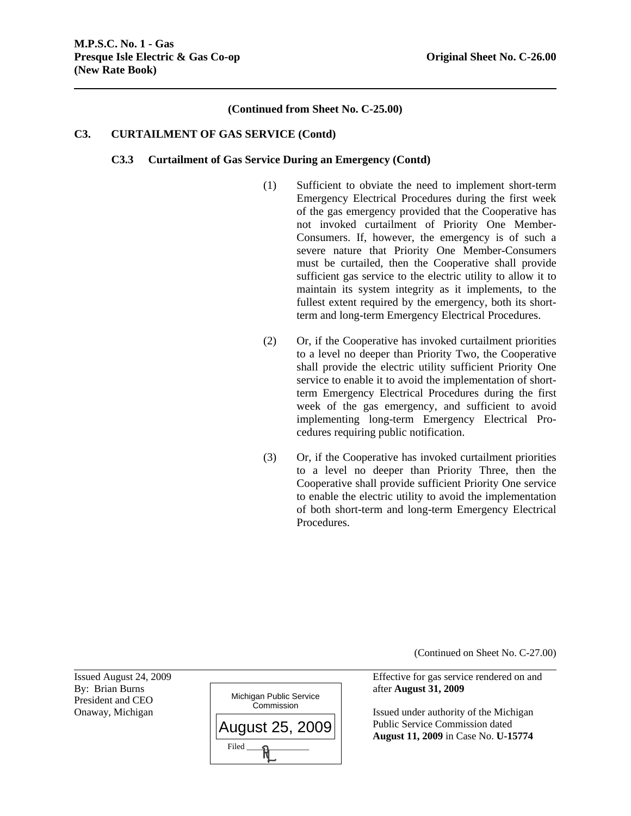## **(Continued from Sheet No. C-25.00)**

## **C3. CURTAILMENT OF GAS SERVICE (Contd)**

#### **C3.3 Curtailment of Gas Service During an Emergency (Contd)**

- (1) Sufficient to obviate the need to implement short-term Emergency Electrical Procedures during the first week of the gas emergency provided that the Cooperative has not invoked curtailment of Priority One Member-Consumers. If, however, the emergency is of such a severe nature that Priority One Member-Consumers must be curtailed, then the Cooperative shall provide sufficient gas service to the electric utility to allow it to maintain its system integrity as it implements, to the fullest extent required by the emergency, both its shortterm and long-term Emergency Electrical Procedures.
- (2) Or, if the Cooperative has invoked curtailment priorities to a level no deeper than Priority Two, the Cooperative shall provide the electric utility sufficient Priority One service to enable it to avoid the implementation of shortterm Emergency Electrical Procedures during the first week of the gas emergency, and sufficient to avoid implementing long-term Emergency Electrical Procedures requiring public notification.
- (3) Or, if the Cooperative has invoked curtailment priorities to a level no deeper than Priority Three, then the Cooperative shall provide sufficient Priority One service to enable the electric utility to avoid the implementation of both short-term and long-term Emergency Electrical Procedures.

(Continued on Sheet No. C-27.00)

Issued August 24, 2009 Effective for gas service rendered on and

Onaway, Michigan **Issued under authority of the Michigan**  Public Service Commission dated **August 11, 2009** in Case No. **U-15774**

l President and CEO

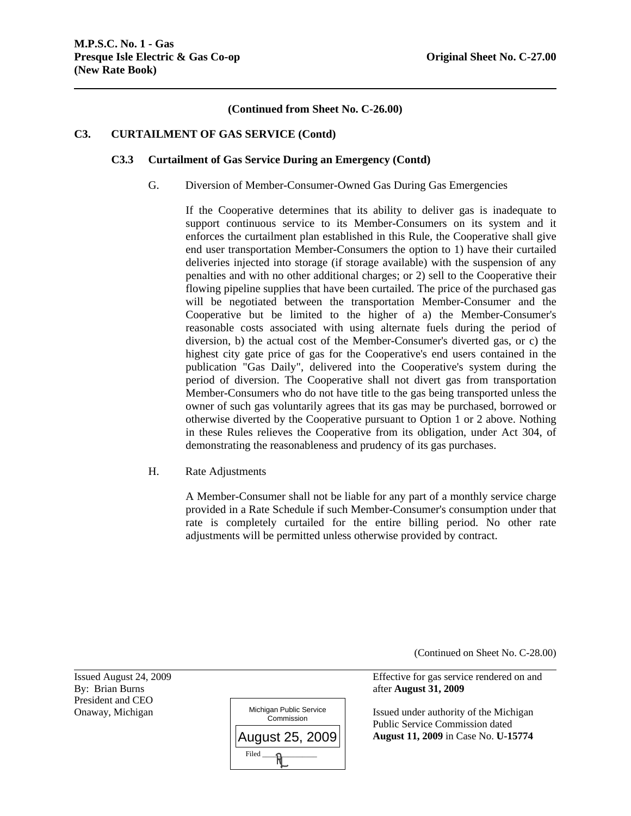# **(Continued from Sheet No. C-26.00)**

# **C3. CURTAILMENT OF GAS SERVICE (Contd)**

## **C3.3 Curtailment of Gas Service During an Emergency (Contd)**

G. Diversion of Member-Consumer-Owned Gas During Gas Emergencies

If the Cooperative determines that its ability to deliver gas is inadequate to support continuous service to its Member-Consumers on its system and it enforces the curtailment plan established in this Rule, the Cooperative shall give end user transportation Member-Consumers the option to 1) have their curtailed deliveries injected into storage (if storage available) with the suspension of any penalties and with no other additional charges; or 2) sell to the Cooperative their flowing pipeline supplies that have been curtailed. The price of the purchased gas will be negotiated between the transportation Member-Consumer and the Cooperative but be limited to the higher of a) the Member-Consumer's reasonable costs associated with using alternate fuels during the period of diversion, b) the actual cost of the Member-Consumer's diverted gas, or c) the highest city gate price of gas for the Cooperative's end users contained in the publication "Gas Daily", delivered into the Cooperative's system during the period of diversion. The Cooperative shall not divert gas from transportation Member-Consumers who do not have title to the gas being transported unless the owner of such gas voluntarily agrees that its gas may be purchased, borrowed or otherwise diverted by the Cooperative pursuant to Option 1 or 2 above. Nothing in these Rules relieves the Cooperative from its obligation, under Act 304, of demonstrating the reasonableness and prudency of its gas purchases.

H. Rate Adjustments

A Member-Consumer shall not be liable for any part of a monthly service charge provided in a Rate Schedule if such Member-Consumer's consumption under that rate is completely curtailed for the entire billing period. No other rate adjustments will be permitted unless otherwise provided by contract.

(Continued on Sheet No. C-28.00)

Issued August 24, 2009 Effective for gas service rendered on and

Onaway, Michigan Issued under authority of the Michigan Issued under authority of the Michigan Public Service Commission dated **August 11, 2009** in Case No. **U-15774**

By: Brian Burns **after August 31, 2009** President and CEO

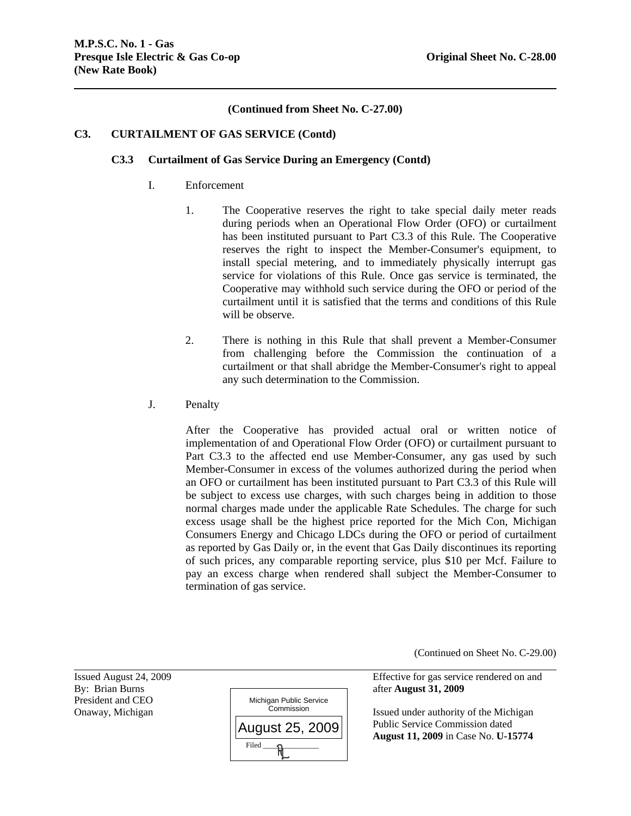# **(Continued from Sheet No. C-27.00)**

# **C3. CURTAILMENT OF GAS SERVICE (Contd)**

## **C3.3 Curtailment of Gas Service During an Emergency (Contd)**

- I. Enforcement
	- 1. The Cooperative reserves the right to take special daily meter reads during periods when an Operational Flow Order (OFO) or curtailment has been instituted pursuant to Part C3.3 of this Rule. The Cooperative reserves the right to inspect the Member-Consumer's equipment, to install special metering, and to immediately physically interrupt gas service for violations of this Rule. Once gas service is terminated, the Cooperative may withhold such service during the OFO or period of the curtailment until it is satisfied that the terms and conditions of this Rule will be observe.
	- 2. There is nothing in this Rule that shall prevent a Member-Consumer from challenging before the Commission the continuation of a curtailment or that shall abridge the Member-Consumer's right to appeal any such determination to the Commission.
- J. Penalty

After the Cooperative has provided actual oral or written notice of implementation of and Operational Flow Order (OFO) or curtailment pursuant to Part C3.3 to the affected end use Member-Consumer, any gas used by such Member-Consumer in excess of the volumes authorized during the period when an OFO or curtailment has been instituted pursuant to Part C3.3 of this Rule will be subject to excess use charges, with such charges being in addition to those normal charges made under the applicable Rate Schedules. The charge for such excess usage shall be the highest price reported for the Mich Con, Michigan Consumers Energy and Chicago LDCs during the OFO or period of curtailment as reported by Gas Daily or, in the event that Gas Daily discontinues its reporting of such prices, any comparable reporting service, plus \$10 per Mcf. Failure to pay an excess charge when rendered shall subject the Member-Consumer to termination of gas service.

(Continued on Sheet No. C-29.00)

President and CEO

l



Issued August 24, 2009 Effective for gas service rendered on and

Onaway, Michigan **Issued under authority of the Michigan** Issued under authority of the Michigan Public Service Commission dated **August 11, 2009** in Case No. **U-15774**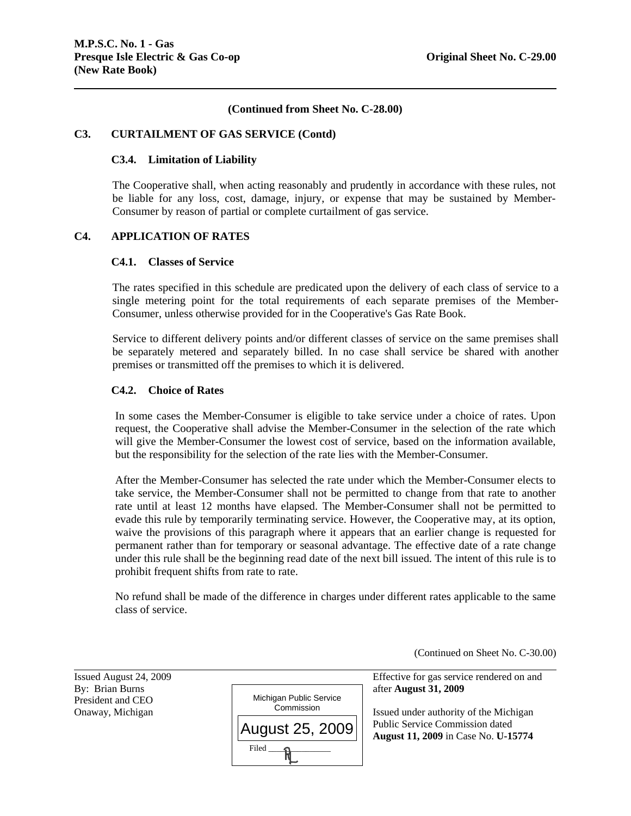# **(Continued from Sheet No. C-28.00)**

# **C3. CURTAILMENT OF GAS SERVICE (Contd)**

## **C3.4. Limitation of Liability**

The Cooperative shall, when acting reasonably and prudently in accordance with these rules, not be liable for any loss, cost, damage, injury, or expense that may be sustained by Member-Consumer by reason of partial or complete curtailment of gas service.

## **C4. APPLICATION OF RATES**

#### **C4.1. Classes of Service**

The rates specified in this schedule are predicated upon the delivery of each class of service to a single metering point for the total requirements of each separate premises of the Member-Consumer, unless otherwise provided for in the Cooperative's Gas Rate Book.

Service to different delivery points and/or different classes of service on the same premises shall be separately metered and separately billed. In no case shall service be shared with another premises or transmitted off the premises to which it is delivered.

# **C4.2. Choice of Rates**

In some cases the Member-Consumer is eligible to take service under a choice of rates. Upon request, the Cooperative shall advise the Member-Consumer in the selection of the rate which will give the Member-Consumer the lowest cost of service, based on the information available, but the responsibility for the selection of the rate lies with the Member-Consumer.

After the Member-Consumer has selected the rate under which the Member-Consumer elects to take service, the Member-Consumer shall not be permitted to change from that rate to another rate until at least 12 months have elapsed. The Member-Consumer shall not be permitted to evade this rule by temporarily terminating service. However, the Cooperative may, at its option, waive the provisions of this paragraph where it appears that an earlier change is requested for permanent rather than for temporary or seasonal advantage. The effective date of a rate change under this rule shall be the beginning read date of the next bill issued. The intent of this rule is to prohibit frequent shifts from rate to rate.

No refund shall be made of the difference in charges under different rates applicable to the same class of service.

(Continued on Sheet No. C-30.00)

l

| Issued August 24, 2009                                   |                                       | Effective for gas service                            |
|----------------------------------------------------------|---------------------------------------|------------------------------------------------------|
| By: Brian Burns<br>President and CEO<br>Onaway, Michigan | Michigan Public Service<br>Commission | after August 31, 2009<br>Issued under authority      |
|                                                          | August 25, 2009                       | Public Service Commi<br><b>August 11, 2009</b> in Ca |
|                                                          | Filed                                 |                                                      |

Issued August 24, 2009 Effective for gas service rendered on and

Onaway, Michigan **Issued under authority of the Michigan**  Public Service Commission dated **August 11, 2009** in Case No. **U-15774**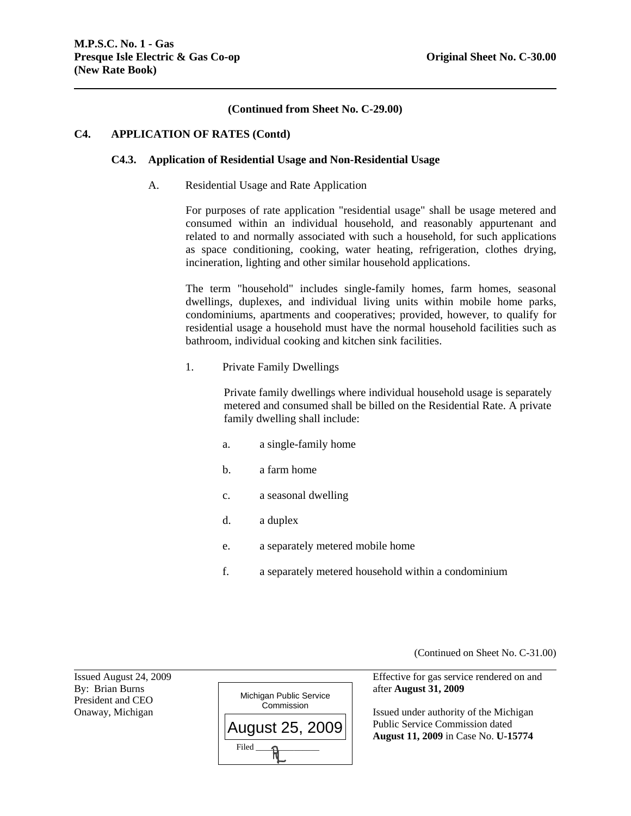# **(Continued from Sheet No. C-29.00)**

#### **C4. APPLICATION OF RATES (Contd)**

#### **C4.3. Application of Residential Usage and Non-Residential Usage**

A. Residential Usage and Rate Application

For purposes of rate application "residential usage" shall be usage metered and consumed within an individual household, and reasonably appurtenant and related to and normally associated with such a household, for such applications as space conditioning, cooking, water heating, refrigeration, clothes drying, incineration, lighting and other similar household applications.

The term "household" includes single-family homes, farm homes, seasonal dwellings, duplexes, and individual living units within mobile home parks, condominiums, apartments and cooperatives; provided, however, to qualify for residential usage a household must have the normal household facilities such as bathroom, individual cooking and kitchen sink facilities.

1. Private Family Dwellings

Private family dwellings where individual household usage is separately metered and consumed shall be billed on the Residential Rate. A private family dwelling shall include:

- a. a single-family home
- b. a farm home
- c. a seasonal dwelling
- d. a duplex
- e. a separately metered mobile home
- f. a separately metered household within a condominium

(Continued on Sheet No. C-31.00)

President and CEO

l



Issued August 24, 2009 Effective for gas service rendered on and

Onaway, Michigan **Issued under authority of the Michigan**  Public Service Commission dated **August 11, 2009** in Case No. **U-15774**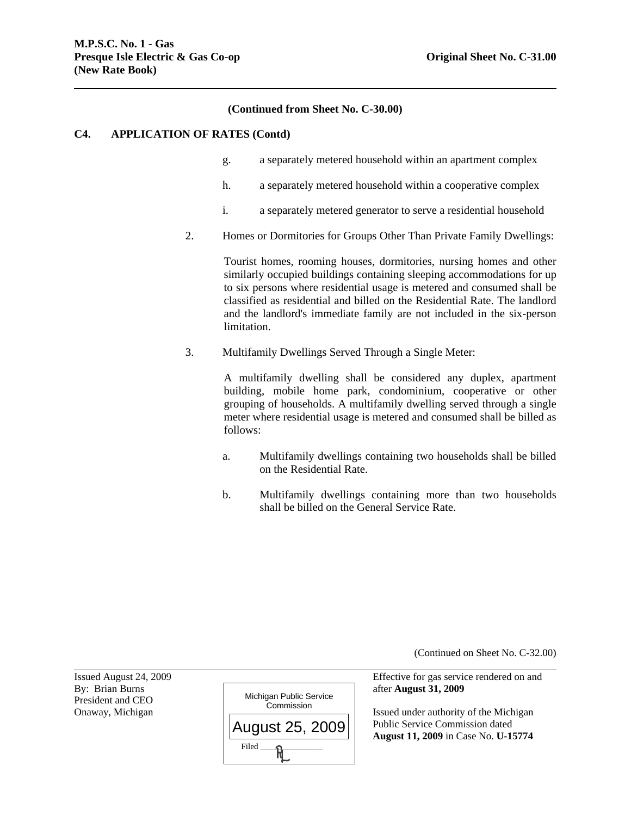## **(Continued from Sheet No. C-30.00)**

#### **C4. APPLICATION OF RATES (Contd)**

- g. a separately metered household within an apartment complex
- h. a separately metered household within a cooperative complex
- i. a separately metered generator to serve a residential household
- 2. Homes or Dormitories for Groups Other Than Private Family Dwellings:

Tourist homes, rooming houses, dormitories, nursing homes and other similarly occupied buildings containing sleeping accommodations for up to six persons where residential usage is metered and consumed shall be classified as residential and billed on the Residential Rate. The landlord and the landlord's immediate family are not included in the six-person limitation.

3. Multifamily Dwellings Served Through a Single Meter:

A multifamily dwelling shall be considered any duplex, apartment building, mobile home park, condominium, cooperative or other grouping of households. A multifamily dwelling served through a single meter where residential usage is metered and consumed shall be billed as follows:

- a. Multifamily dwellings containing two households shall be billed on the Residential Rate.
- b. Multifamily dwellings containing more than two households shall be billed on the General Service Rate.

(Continued on Sheet No. C-32.00)

 Public Service Commission dated **August 11, 2009** in Case No. **U-15774**

President and CEO

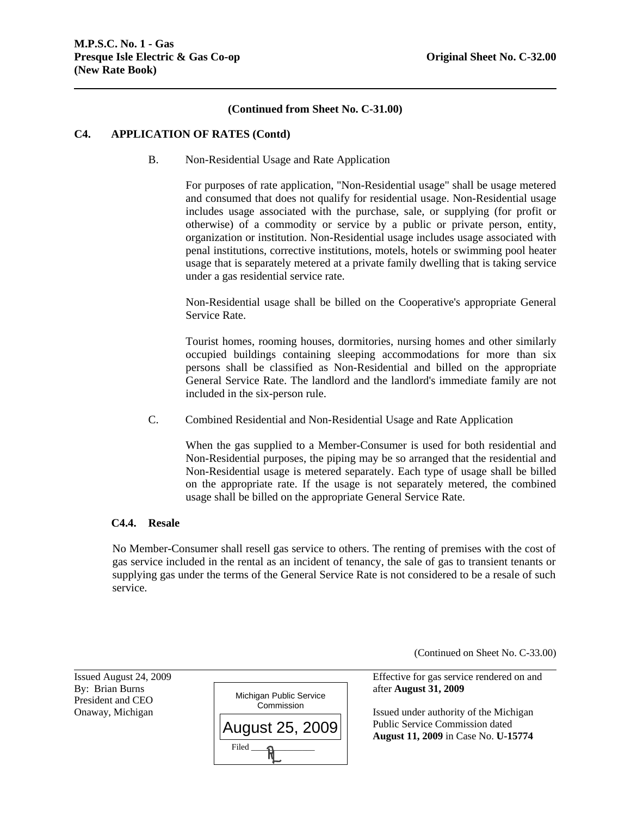# **(Continued from Sheet No. C-31.00)**

## **C4. APPLICATION OF RATES (Contd)**

B. Non-Residential Usage and Rate Application

For purposes of rate application, "Non-Residential usage" shall be usage metered and consumed that does not qualify for residential usage. Non-Residential usage includes usage associated with the purchase, sale, or supplying (for profit or otherwise) of a commodity or service by a public or private person, entity, organization or institution. Non-Residential usage includes usage associated with penal institutions, corrective institutions, motels, hotels or swimming pool heater usage that is separately metered at a private family dwelling that is taking service under a gas residential service rate.

Non-Residential usage shall be billed on the Cooperative's appropriate General Service Rate.

Tourist homes, rooming houses, dormitories, nursing homes and other similarly occupied buildings containing sleeping accommodations for more than six persons shall be classified as Non-Residential and billed on the appropriate General Service Rate. The landlord and the landlord's immediate family are not included in the six-person rule.

C. Combined Residential and Non-Residential Usage and Rate Application

When the gas supplied to a Member-Consumer is used for both residential and Non-Residential purposes, the piping may be so arranged that the residential and Non-Residential usage is metered separately. Each type of usage shall be billed on the appropriate rate. If the usage is not separately metered, the combined usage shall be billed on the appropriate General Service Rate.

# **C4.4. Resale**

No Member-Consumer shall resell gas service to others. The renting of premises with the cost of gas service included in the rental as an incident of tenancy, the sale of gas to transient tenants or supplying gas under the terms of the General Service Rate is not considered to be a resale of such service.

(Continued on Sheet No. C-33.00)

President and CEO

l



Issued August 24, 2009 Effective for gas service rendered on and

Onaway, Michigan **Issued under authority of the Michigan**  Public Service Commission dated **August 11, 2009** in Case No. **U-15774**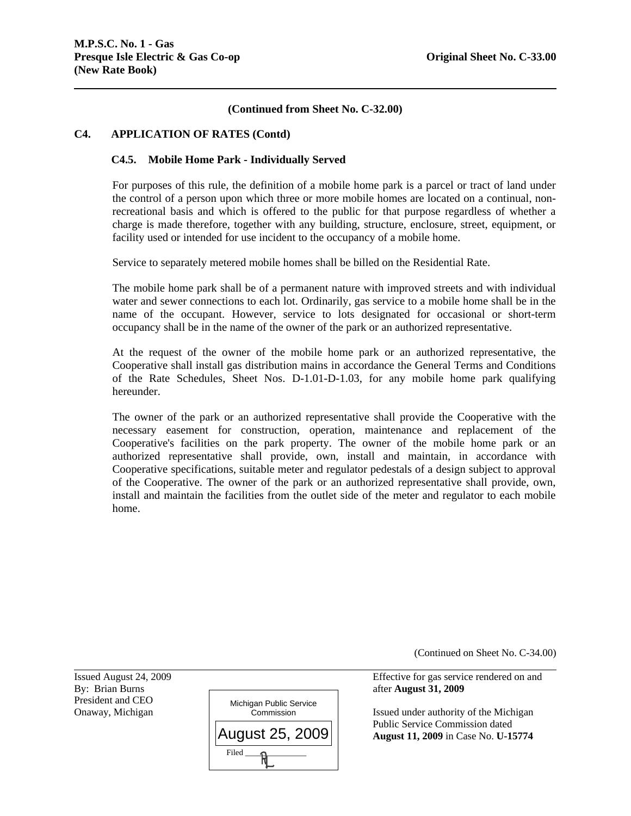# **(Continued from Sheet No. C-32.00)**

#### **C4. APPLICATION OF RATES (Contd)**

#### **C4.5. Mobile Home Park - Individually Served**

For purposes of this rule, the definition of a mobile home park is a parcel or tract of land under the control of a person upon which three or more mobile homes are located on a continual, nonrecreational basis and which is offered to the public for that purpose regardless of whether a charge is made therefore, together with any building, structure, enclosure, street, equipment, or facility used or intended for use incident to the occupancy of a mobile home.

Service to separately metered mobile homes shall be billed on the Residential Rate.

The mobile home park shall be of a permanent nature with improved streets and with individual water and sewer connections to each lot. Ordinarily, gas service to a mobile home shall be in the name of the occupant. However, service to lots designated for occasional or short-term occupancy shall be in the name of the owner of the park or an authorized representative.

At the request of the owner of the mobile home park or an authorized representative, the Cooperative shall install gas distribution mains in accordance the General Terms and Conditions of the Rate Schedules, Sheet Nos. D-1.01-D-1.03, for any mobile home park qualifying hereunder.

The owner of the park or an authorized representative shall provide the Cooperative with the necessary easement for construction, operation, maintenance and replacement of the Cooperative's facilities on the park property. The owner of the mobile home park or an authorized representative shall provide, own, install and maintain, in accordance with Cooperative specifications, suitable meter and regulator pedestals of a design subject to approval of the Cooperative. The owner of the park or an authorized representative shall provide, own, install and maintain the facilities from the outlet side of the meter and regulator to each mobile home.

(Continued on Sheet No. C-34.00)

Issued August 24, 2009 Effective for gas service rendered on and

Onaway, Michigan **Issued under authority of the Michigan** Commission Issued under authority of the Michigan Public Service Commission dated **August 11, 2009** in Case No. **U-15774**

President and CEO

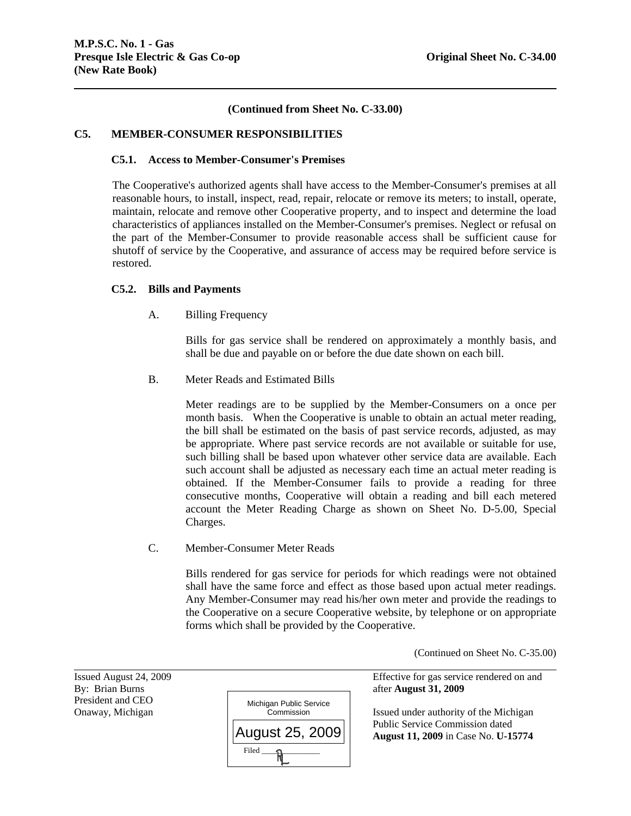# **(Continued from Sheet No. C-33.00)**

# **C5. MEMBER-CONSUMER RESPONSIBILITIES**

## **C5.1. Access to Member-Consumer's Premises**

The Cooperative's authorized agents shall have access to the Member-Consumer's premises at all reasonable hours, to install, inspect, read, repair, relocate or remove its meters; to install, operate, maintain, relocate and remove other Cooperative property, and to inspect and determine the load characteristics of appliances installed on the Member-Consumer's premises. Neglect or refusal on the part of the Member-Consumer to provide reasonable access shall be sufficient cause for shutoff of service by the Cooperative, and assurance of access may be required before service is restored.

# **C5.2. Bills and Payments**

A. Billing Frequency

Bills for gas service shall be rendered on approximately a monthly basis, and shall be due and payable on or before the due date shown on each bill.

B. Meter Reads and Estimated Bills

Meter readings are to be supplied by the Member-Consumers on a once per month basis. When the Cooperative is unable to obtain an actual meter reading, the bill shall be estimated on the basis of past service records, adjusted, as may be appropriate. Where past service records are not available or suitable for use, such billing shall be based upon whatever other service data are available. Each such account shall be adjusted as necessary each time an actual meter reading is obtained. If the Member-Consumer fails to provide a reading for three consecutive months, Cooperative will obtain a reading and bill each metered account the Meter Reading Charge as shown on Sheet No. D-5.00, Special Charges.

C. Member-Consumer Meter Reads

Bills rendered for gas service for periods for which readings were not obtained shall have the same force and effect as those based upon actual meter readings. Any Member-Consumer may read his/her own meter and provide the readings to the Cooperative on a secure Cooperative website, by telephone or on appropriate forms which shall be provided by the Cooperative.

(Continued on Sheet No. C-35.00)

President and CEO

l



Issued August 24, 2009 Effective for gas service rendered on and

Onaway, Michigan **Issued under authority of the Michigan** Issued under authority of the Michigan Public Service Commission dated **August 11, 2009** in Case No. **U-15774**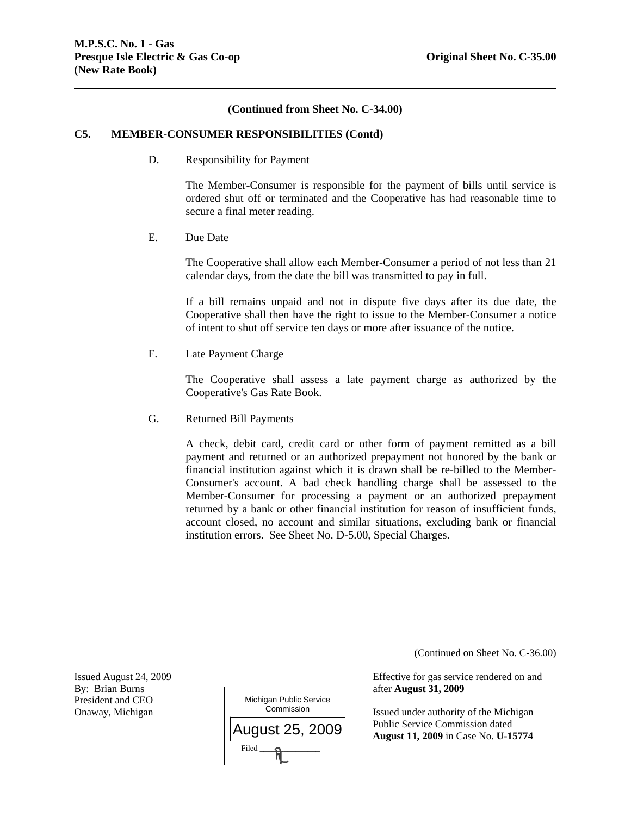## **(Continued from Sheet No. C-34.00)**

#### **C5. MEMBER-CONSUMER RESPONSIBILITIES (Contd)**

D. Responsibility for Payment

The Member-Consumer is responsible for the payment of bills until service is ordered shut off or terminated and the Cooperative has had reasonable time to secure a final meter reading.

E. Due Date

The Cooperative shall allow each Member-Consumer a period of not less than 21 calendar days, from the date the bill was transmitted to pay in full.

If a bill remains unpaid and not in dispute five days after its due date, the Cooperative shall then have the right to issue to the Member-Consumer a notice of intent to shut off service ten days or more after issuance of the notice.

F. Late Payment Charge

The Cooperative shall assess a late payment charge as authorized by the Cooperative's Gas Rate Book.

G. Returned Bill Payments

A check, debit card, credit card or other form of payment remitted as a bill payment and returned or an authorized prepayment not honored by the bank or financial institution against which it is drawn shall be re-billed to the Member-Consumer's account. A bad check handling charge shall be assessed to the Member-Consumer for processing a payment or an authorized prepayment returned by a bank or other financial institution for reason of insufficient funds, account closed, no account and similar situations, excluding bank or financial institution errors. See Sheet No. D-5.00, Special Charges.

(Continued on Sheet No. C-36.00)

Issued August 24, 2009 Effective for gas service rendered on and

Onaway, Michigan **Issued under authority of the Michigan** Commission Issued under authority of the Michigan Public Service Commission dated **August 11, 2009** in Case No. **U-15774**

President and CEO

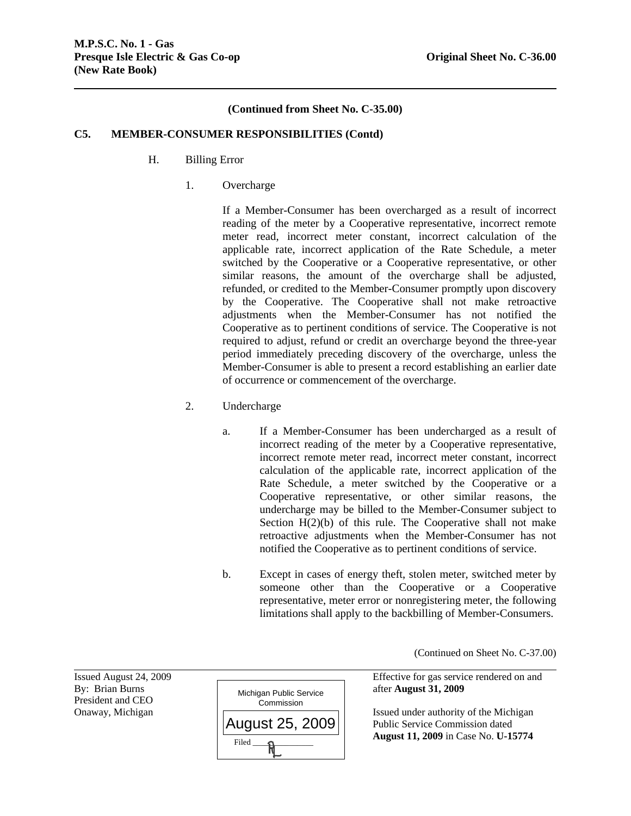# **(Continued from Sheet No. C-35.00)**

## **C5. MEMBER-CONSUMER RESPONSIBILITIES (Contd)**

- H. Billing Error
	- 1. Overcharge

If a Member-Consumer has been overcharged as a result of incorrect reading of the meter by a Cooperative representative, incorrect remote meter read, incorrect meter constant, incorrect calculation of the applicable rate, incorrect application of the Rate Schedule, a meter switched by the Cooperative or a Cooperative representative, or other similar reasons, the amount of the overcharge shall be adjusted, refunded, or credited to the Member-Consumer promptly upon discovery by the Cooperative. The Cooperative shall not make retroactive adjustments when the Member-Consumer has not notified the Cooperative as to pertinent conditions of service. The Cooperative is not required to adjust, refund or credit an overcharge beyond the three-year period immediately preceding discovery of the overcharge, unless the Member-Consumer is able to present a record establishing an earlier date of occurrence or commencement of the overcharge.

- 2. Undercharge
	- a. If a Member-Consumer has been undercharged as a result of incorrect reading of the meter by a Cooperative representative, incorrect remote meter read, incorrect meter constant, incorrect calculation of the applicable rate, incorrect application of the Rate Schedule, a meter switched by the Cooperative or a Cooperative representative, or other similar reasons, the undercharge may be billed to the Member-Consumer subject to Section  $H(2)(b)$  of this rule. The Cooperative shall not make retroactive adjustments when the Member-Consumer has not notified the Cooperative as to pertinent conditions of service.
	- b. Except in cases of energy theft, stolen meter, switched meter by someone other than the Cooperative or a Cooperative representative, meter error or nonregistering meter, the following limitations shall apply to the backbilling of Member-Consumers.

(Continued on Sheet No. C-37.00)

Issued August 24, 2009 Effective for gas service rendered on and

Onaway, Michigan  $\Box$  Public Service Commission dated **August 11, 2009** in Case No. **U-15774**

President and CEO

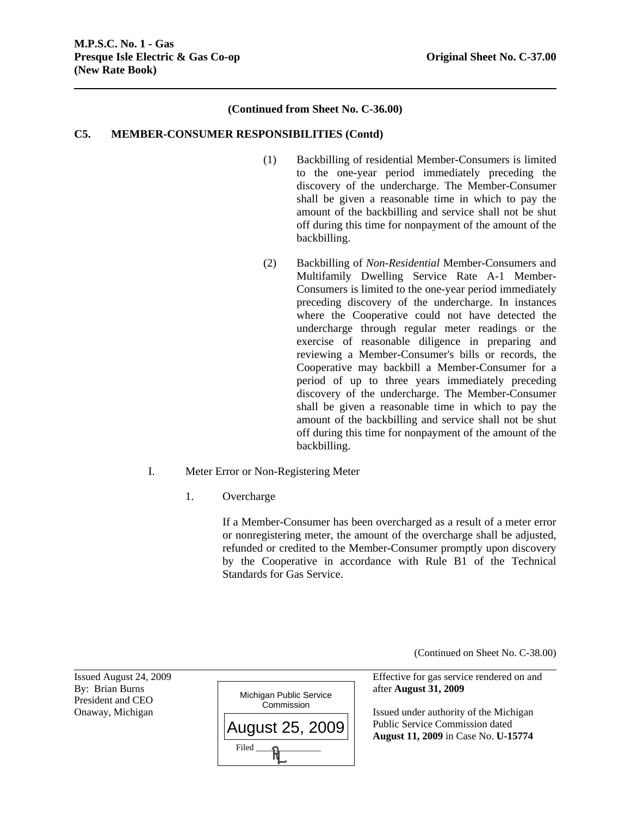# **(Continued from Sheet No. C-36.00)**

# **C5. MEMBER-CONSUMER RESPONSIBILITIES (Contd)**

- (1) Backbilling of residential Member-Consumers is limited to the one-year period immediately preceding the discovery of the undercharge. The Member-Consumer shall be given a reasonable time in which to pay the amount of the backbilling and service shall not be shut off during this time for nonpayment of the amount of the backbilling.
- (2) Backbilling of *Non-Residential* Member-Consumers and Multifamily Dwelling Service Rate A-1 Member-Consumers is limited to the one-year period immediately preceding discovery of the undercharge. In instances where the Cooperative could not have detected the undercharge through regular meter readings or the exercise of reasonable diligence in preparing and reviewing a Member-Consumer's bills or records, the Cooperative may backbill a Member-Consumer for a period of up to three years immediately preceding discovery of the undercharge. The Member-Consumer shall be given a reasonable time in which to pay the amount of the backbilling and service shall not be shut off during this time for nonpayment of the amount of the backbilling.
- I. Meter Error or Non-Registering Meter
	- 1. Overcharge

If a Member-Consumer has been overcharged as a result of a meter error or nonregistering meter, the amount of the overcharge shall be adjusted, refunded or credited to the Member-Consumer promptly upon discovery by the Cooperative in accordance with Rule B1 of the Technical Standards for Gas Service.

(Continued on Sheet No. C-38.00)

President and CEO

l



Issued August 24, 2009 Effective for gas service rendered on and

Onaway, Michigan  $\overline{\phantom{a}}$   $\overline{\phantom{a}}$  Issued under authority of the Michigan Public Service Commission dated **August 11, 2009** in Case No. **U-15774**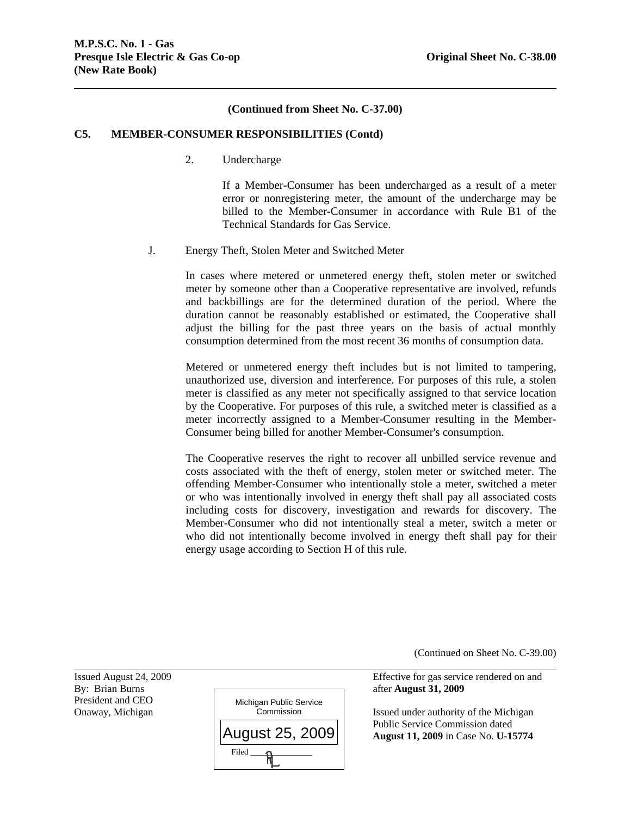# **(Continued from Sheet No. C-37.00)**

#### **C5. MEMBER-CONSUMER RESPONSIBILITIES (Contd)**

2. Undercharge

If a Member-Consumer has been undercharged as a result of a meter error or nonregistering meter, the amount of the undercharge may be billed to the Member-Consumer in accordance with Rule B1 of the Technical Standards for Gas Service.

J. Energy Theft, Stolen Meter and Switched Meter

In cases where metered or unmetered energy theft, stolen meter or switched meter by someone other than a Cooperative representative are involved, refunds and backbillings are for the determined duration of the period. Where the duration cannot be reasonably established or estimated, the Cooperative shall adjust the billing for the past three years on the basis of actual monthly consumption determined from the most recent 36 months of consumption data.

Metered or unmetered energy theft includes but is not limited to tampering, unauthorized use, diversion and interference. For purposes of this rule, a stolen meter is classified as any meter not specifically assigned to that service location by the Cooperative. For purposes of this rule, a switched meter is classified as a meter incorrectly assigned to a Member-Consumer resulting in the Member-Consumer being billed for another Member-Consumer's consumption.

The Cooperative reserves the right to recover all unbilled service revenue and costs associated with the theft of energy, stolen meter or switched meter. The offending Member-Consumer who intentionally stole a meter, switched a meter or who was intentionally involved in energy theft shall pay all associated costs including costs for discovery, investigation and rewards for discovery. The Member-Consumer who did not intentionally steal a meter, switch a meter or who did not intentionally become involved in energy theft shall pay for their energy usage according to Section H of this rule.

(Continued on Sheet No. C-39.00)

Issued August 24, 2009 Effective for gas service rendered on and

Onaway, Michigan **Issued under authority of the Michigan** Commission Issued under authority of the Michigan Public Service Commission dated **August 11, 2009** in Case No. **U-15774**

President and CEO

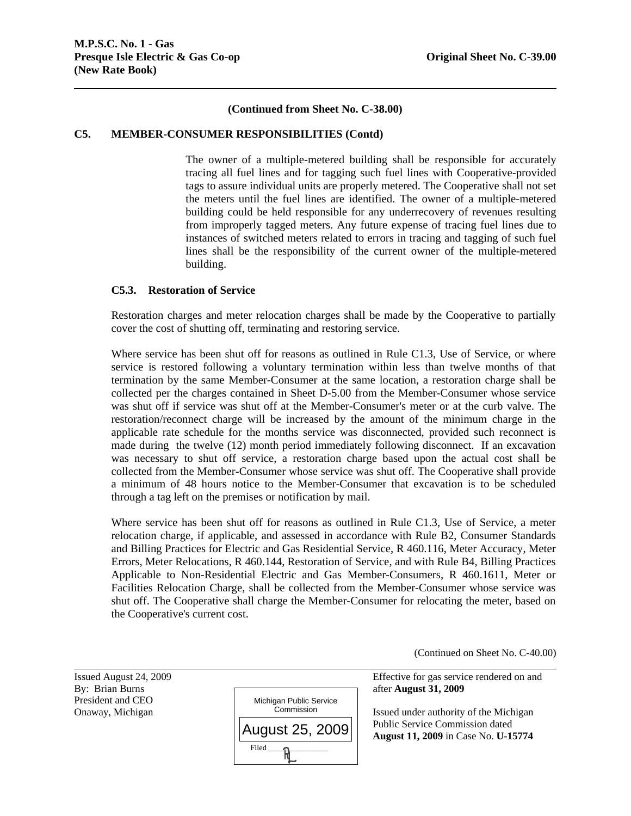# **(Continued from Sheet No. C-38.00)**

#### **C5. MEMBER-CONSUMER RESPONSIBILITIES (Contd)**

The owner of a multiple-metered building shall be responsible for accurately tracing all fuel lines and for tagging such fuel lines with Cooperative-provided tags to assure individual units are properly metered. The Cooperative shall not set the meters until the fuel lines are identified. The owner of a multiple-metered building could be held responsible for any underrecovery of revenues resulting from improperly tagged meters. Any future expense of tracing fuel lines due to instances of switched meters related to errors in tracing and tagging of such fuel lines shall be the responsibility of the current owner of the multiple-metered building.

# **C5.3. Restoration of Service**

Restoration charges and meter relocation charges shall be made by the Cooperative to partially cover the cost of shutting off, terminating and restoring service.

Where service has been shut off for reasons as outlined in Rule C1.3, Use of Service, or where service is restored following a voluntary termination within less than twelve months of that termination by the same Member-Consumer at the same location, a restoration charge shall be collected per the charges contained in Sheet D-5.00 from the Member-Consumer whose service was shut off if service was shut off at the Member-Consumer's meter or at the curb valve. The restoration/reconnect charge will be increased by the amount of the minimum charge in the applicable rate schedule for the months service was disconnected, provided such reconnect is made during the twelve (12) month period immediately following disconnect. If an excavation was necessary to shut off service, a restoration charge based upon the actual cost shall be collected from the Member-Consumer whose service was shut off. The Cooperative shall provide a minimum of 48 hours notice to the Member-Consumer that excavation is to be scheduled through a tag left on the premises or notification by mail.

Where service has been shut off for reasons as outlined in Rule C1.3, Use of Service, a meter relocation charge, if applicable, and assessed in accordance with Rule B2, Consumer Standards and Billing Practices for Electric and Gas Residential Service, R 460.116, Meter Accuracy, Meter Errors, Meter Relocations, R 460.144, Restoration of Service, and with Rule B4, Billing Practices Applicable to Non-Residential Electric and Gas Member-Consumers, R 460.1611, Meter or Facilities Relocation Charge, shall be collected from the Member-Consumer whose service was shut off. The Cooperative shall charge the Member-Consumer for relocating the meter, based on the Cooperative's current cost.

(Continued on Sheet No. C-40.00)

President and CEO

l



Issued August 24, 2009 Effective for gas service rendered on and

Onaway, Michigan **Issued under authority of the Michigan** Commission Issued under authority of the Michigan Public Service Commission dated **August 11, 2009** in Case No. **U-15774**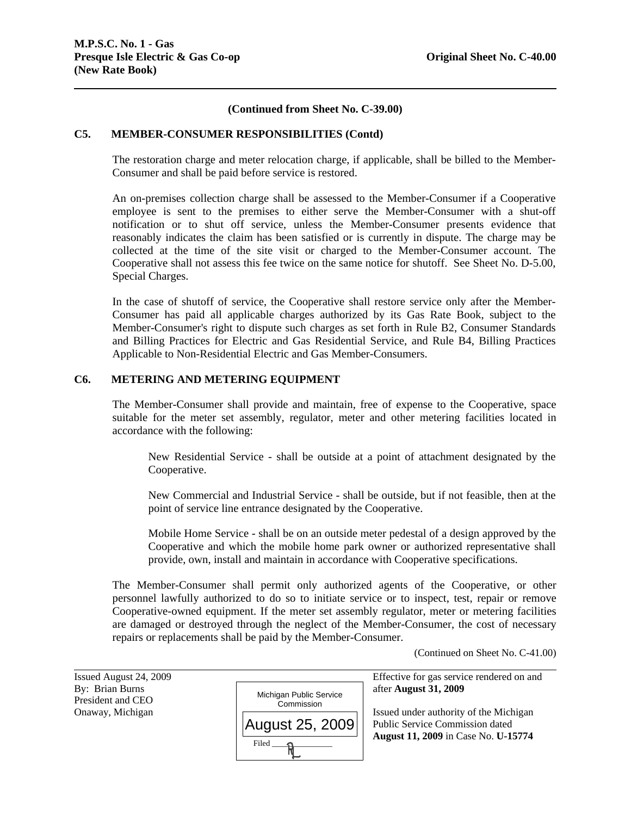# **(Continued from Sheet No. C-39.00)**

#### **C5. MEMBER-CONSUMER RESPONSIBILITIES (Contd)**

The restoration charge and meter relocation charge, if applicable, shall be billed to the Member-Consumer and shall be paid before service is restored.

An on-premises collection charge shall be assessed to the Member-Consumer if a Cooperative employee is sent to the premises to either serve the Member-Consumer with a shut-off notification or to shut off service, unless the Member-Consumer presents evidence that reasonably indicates the claim has been satisfied or is currently in dispute. The charge may be collected at the time of the site visit or charged to the Member-Consumer account. The Cooperative shall not assess this fee twice on the same notice for shutoff. See Sheet No. D-5.00, Special Charges.

In the case of shutoff of service, the Cooperative shall restore service only after the Member-Consumer has paid all applicable charges authorized by its Gas Rate Book, subject to the Member-Consumer's right to dispute such charges as set forth in Rule B2, Consumer Standards and Billing Practices for Electric and Gas Residential Service, and Rule B4, Billing Practices Applicable to Non-Residential Electric and Gas Member-Consumers.

# **C6. METERING AND METERING EQUIPMENT**

The Member-Consumer shall provide and maintain, free of expense to the Cooperative, space suitable for the meter set assembly, regulator, meter and other metering facilities located in accordance with the following:

New Residential Service - shall be outside at a point of attachment designated by the Cooperative.

New Commercial and Industrial Service - shall be outside, but if not feasible, then at the point of service line entrance designated by the Cooperative.

Mobile Home Service - shall be on an outside meter pedestal of a design approved by the Cooperative and which the mobile home park owner or authorized representative shall provide, own, install and maintain in accordance with Cooperative specifications.

The Member-Consumer shall permit only authorized agents of the Cooperative, or other personnel lawfully authorized to do so to initiate service or to inspect, test, repair or remove Cooperative-owned equipment. If the meter set assembly regulator, meter or metering facilities are damaged or destroyed through the neglect of the Member-Consumer, the cost of necessary repairs or replacements shall be paid by the Member-Consumer.

(Continued on Sheet No. C-41.00)

| Issued August 24, 2009 |                                       | Effective for gas service rendered on and |
|------------------------|---------------------------------------|-------------------------------------------|
| By: Brian Burns        |                                       | after August 31, 2009                     |
| President and CEO      | Michigan Public Service<br>Commission |                                           |
| Onaway, Michigan       |                                       | Issued under authority of the Michigan    |
|                        | August 25, 2009                       | Public Service Commission dated           |
|                        | Filed                                 | August 11, 2009 in Case No. U-15774       |
|                        |                                       |                                           |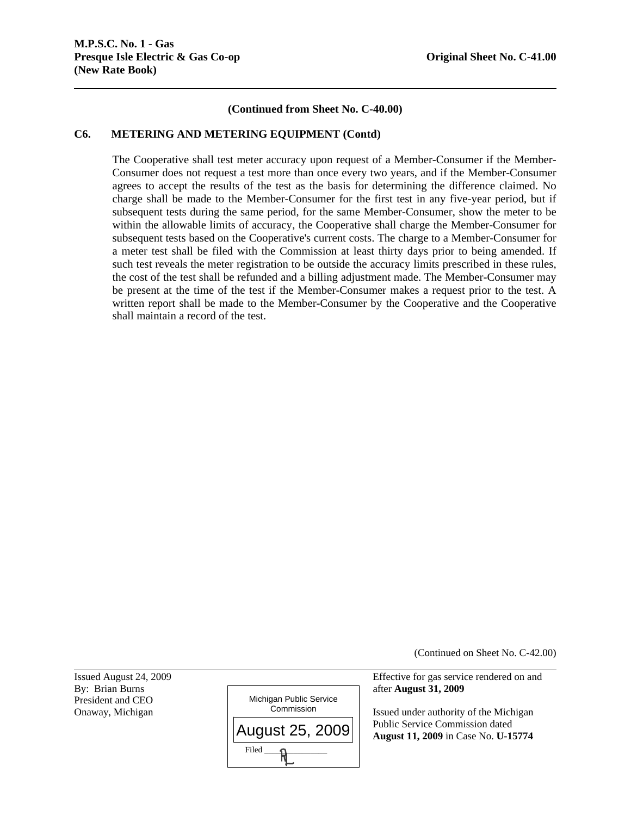# **(Continued from Sheet No. C-40.00)**

#### **C6. METERING AND METERING EQUIPMENT (Contd)**

The Cooperative shall test meter accuracy upon request of a Member-Consumer if the Member-Consumer does not request a test more than once every two years, and if the Member-Consumer agrees to accept the results of the test as the basis for determining the difference claimed. No charge shall be made to the Member-Consumer for the first test in any five-year period, but if subsequent tests during the same period, for the same Member-Consumer, show the meter to be within the allowable limits of accuracy, the Cooperative shall charge the Member-Consumer for subsequent tests based on the Cooperative's current costs. The charge to a Member-Consumer for a meter test shall be filed with the Commission at least thirty days prior to being amended. If such test reveals the meter registration to be outside the accuracy limits prescribed in these rules, the cost of the test shall be refunded and a billing adjustment made. The Member-Consumer may be present at the time of the test if the Member-Consumer makes a request prior to the test. A written report shall be made to the Member-Consumer by the Cooperative and the Cooperative shall maintain a record of the test.

(Continued on Sheet No. C-42.00)

President and CEO

l



Issued August 24, 2009 Effective for gas service rendered on and

Onaway, Michigan  $\vert$  <u>Commission</u> Issued under authority of the Michigan Public Service Commission dated **August 11, 2009** in Case No. **U-15774**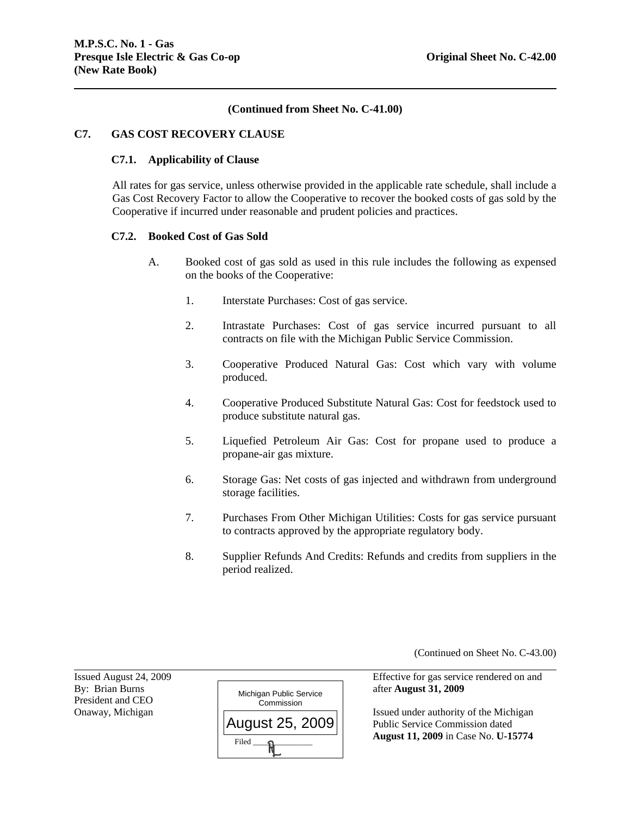# **(Continued from Sheet No. C-41.00)**

## **C7. GAS COST RECOVERY CLAUSE**

#### **C7.1. Applicability of Clause**

All rates for gas service, unless otherwise provided in the applicable rate schedule, shall include a Gas Cost Recovery Factor to allow the Cooperative to recover the booked costs of gas sold by the Cooperative if incurred under reasonable and prudent policies and practices.

#### **C7.2. Booked Cost of Gas Sold**

- A. Booked cost of gas sold as used in this rule includes the following as expensed on the books of the Cooperative:
	- 1. Interstate Purchases: Cost of gas service.
	- 2. Intrastate Purchases: Cost of gas service incurred pursuant to all contracts on file with the Michigan Public Service Commission.
	- 3. Cooperative Produced Natural Gas: Cost which vary with volume produced.
	- 4. Cooperative Produced Substitute Natural Gas: Cost for feedstock used to produce substitute natural gas.
	- 5. Liquefied Petroleum Air Gas: Cost for propane used to produce a propane-air gas mixture.
	- 6. Storage Gas: Net costs of gas injected and withdrawn from underground storage facilities.
	- 7. Purchases From Other Michigan Utilities: Costs for gas service pursuant to contracts approved by the appropriate regulatory body.
	- 8. Supplier Refunds And Credits: Refunds and credits from suppliers in the period realized.

(Continued on Sheet No. C-43.00)

President and CEO

l



Issued August 24, 2009 Effective for gas service rendered on and

Onaway, Michigan **Issued under authority of the Michigan**  Public Service Commission dated **August 11, 2009** in Case No. **U-15774**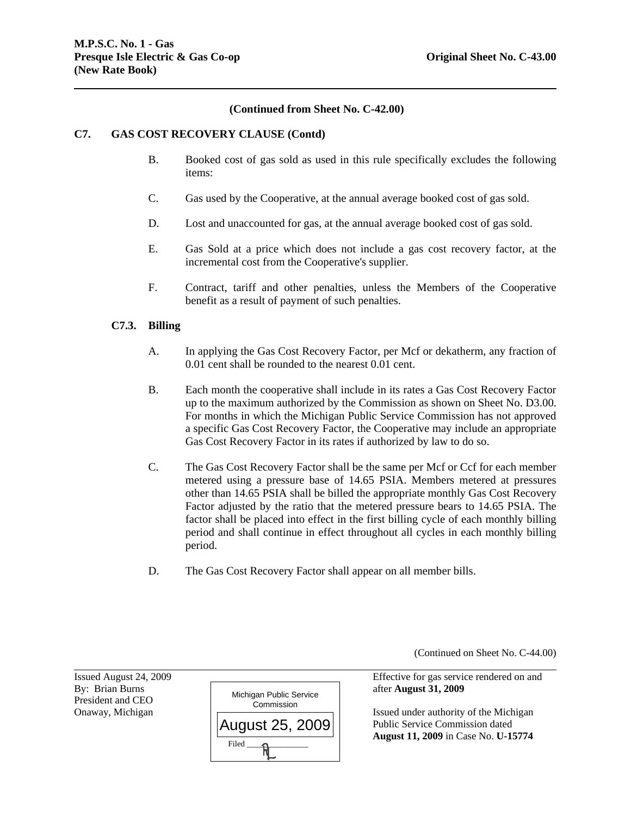# **(Continued from Sheet No. C-42.00)**

## **C7. GAS COST RECOVERY CLAUSE (Contd)**

- B. Booked cost of gas sold as used in this rule specifically excludes the following items:
- C. Gas used by the Cooperative, at the annual average booked cost of gas sold.
- D. Lost and unaccounted for gas, at the annual average booked cost of gas sold.
- E. Gas Sold at a price which does not include a gas cost recovery factor, at the incremental cost from the Cooperative's supplier.
- F. Contract, tariff and other penalties, unless the Members of the Cooperative benefit as a result of payment of such penalties.

## **C7.3. Billing**

- A. In applying the Gas Cost Recovery Factor, per Mcf or dekatherm, any fraction of 0.01 cent shall be rounded to the nearest 0.01 cent.
- B. Each month the cooperative shall include in its rates a Gas Cost Recovery Factor up to the maximum authorized by the Commission as shown on Sheet No. D3.00. For months in which the Michigan Public Service Commission has not approved a specific Gas Cost Recovery Factor, the Cooperative may include an appropriate Gas Cost Recovery Factor in its rates if authorized by law to do so.
- C. The Gas Cost Recovery Factor shall be the same per Mcf or Ccf for each member metered using a pressure base of 14.65 PSIA. Members metered at pressures other than 14.65 PSIA shall be billed the appropriate monthly Gas Cost Recovery Factor adjusted by the ratio that the metered pressure bears to 14.65 PSIA. The factor shall be placed into effect in the first billing cycle of each monthly billing period and shall continue in effect throughout all cycles in each monthly billing period.
- D. The Gas Cost Recovery Factor shall appear on all member bills.

(Continued on Sheet No. C-44.00)

Issued August 24, 2009 Effective for gas service rendered on and

Onaway, Michigan  $|\overline{ }$  Public Service Commission dated **August 11, 2009** in Case No. **U-15774**

President and CEO

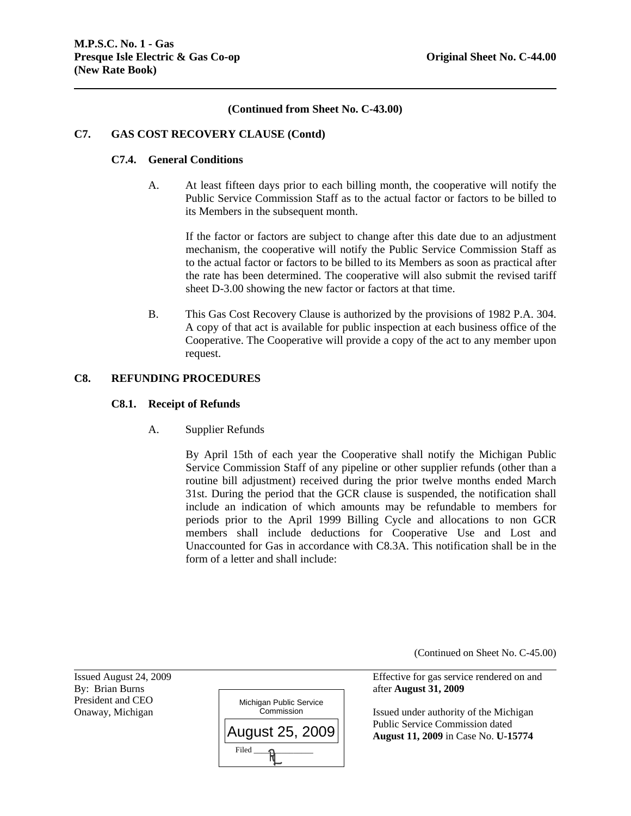# **(Continued from Sheet No. C-43.00)**

## **C7. GAS COST RECOVERY CLAUSE (Contd)**

#### **C7.4. General Conditions**

A. At least fifteen days prior to each billing month, the cooperative will notify the Public Service Commission Staff as to the actual factor or factors to be billed to its Members in the subsequent month.

If the factor or factors are subject to change after this date due to an adjustment mechanism, the cooperative will notify the Public Service Commission Staff as to the actual factor or factors to be billed to its Members as soon as practical after the rate has been determined. The cooperative will also submit the revised tariff sheet D-3.00 showing the new factor or factors at that time.

B. This Gas Cost Recovery Clause is authorized by the provisions of 1982 P.A. 304. A copy of that act is available for public inspection at each business office of the Cooperative. The Cooperative will provide a copy of the act to any member upon request.

# **C8. REFUNDING PROCEDURES**

#### **C8.1. Receipt of Refunds**

A. Supplier Refunds

By April 15th of each year the Cooperative shall notify the Michigan Public Service Commission Staff of any pipeline or other supplier refunds (other than a routine bill adjustment) received during the prior twelve months ended March 31st. During the period that the GCR clause is suspended, the notification shall include an indication of which amounts may be refundable to members for periods prior to the April 1999 Billing Cycle and allocations to non GCR members shall include deductions for Cooperative Use and Lost and Unaccounted for Gas in accordance with C8.3A. This notification shall be in the form of a letter and shall include:

(Continued on Sheet No. C-45.00)

Issued August 24, 2009 Effective for gas service rendered on and

Onaway, Michigan **Issued under authority of the Michigan** Commission Issued under authority of the Michigan Public Service Commission dated **August 11, 2009** in Case No. **U-15774**

President and CEO

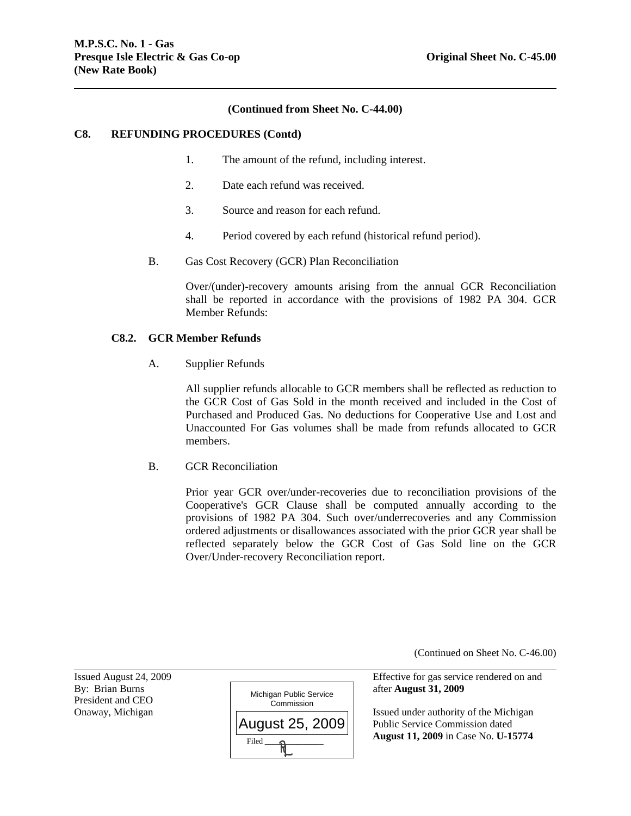## **(Continued from Sheet No. C-44.00)**

#### **C8. REFUNDING PROCEDURES (Contd)**

- 1. The amount of the refund, including interest.
- 2. Date each refund was received.
- 3. Source and reason for each refund.
- 4. Period covered by each refund (historical refund period).
- B. Gas Cost Recovery (GCR) Plan Reconciliation

Over/(under)-recovery amounts arising from the annual GCR Reconciliation shall be reported in accordance with the provisions of 1982 PA 304. GCR Member Refunds:

#### **C8.2. GCR Member Refunds**

A. Supplier Refunds

All supplier refunds allocable to GCR members shall be reflected as reduction to the GCR Cost of Gas Sold in the month received and included in the Cost of Purchased and Produced Gas. No deductions for Cooperative Use and Lost and Unaccounted For Gas volumes shall be made from refunds allocated to GCR members.

B. GCR Reconciliation

Prior year GCR over/under-recoveries due to reconciliation provisions of the Cooperative's GCR Clause shall be computed annually according to the provisions of 1982 PA 304. Such over/underrecoveries and any Commission ordered adjustments or disallowances associated with the prior GCR year shall be reflected separately below the GCR Cost of Gas Sold line on the GCR Over/Under-recovery Reconciliation report.

(Continued on Sheet No. C-46.00)

President and CEO

l



Issued August 24, 2009 Effective for gas service rendered on and

Onaway, Michigan  $\Box$  Public Service Commission dated **August 11, 2009** in Case No. **U-15774**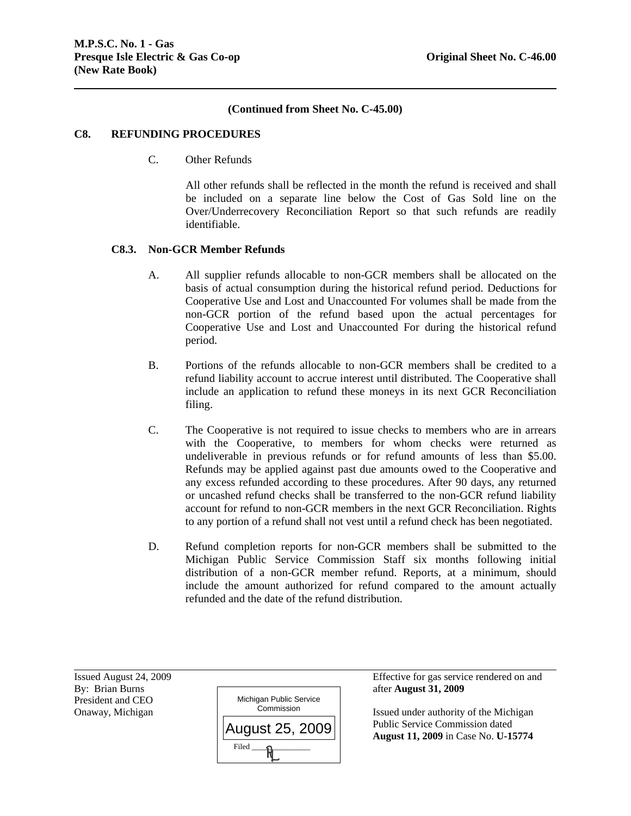# **(Continued from Sheet No. C-45.00)**

#### **C8. REFUNDING PROCEDURES**

C. Other Refunds

All other refunds shall be reflected in the month the refund is received and shall be included on a separate line below the Cost of Gas Sold line on the Over/Underrecovery Reconciliation Report so that such refunds are readily identifiable.

# **C8.3. Non-GCR Member Refunds**

- A. All supplier refunds allocable to non-GCR members shall be allocated on the basis of actual consumption during the historical refund period. Deductions for Cooperative Use and Lost and Unaccounted For volumes shall be made from the non-GCR portion of the refund based upon the actual percentages for Cooperative Use and Lost and Unaccounted For during the historical refund period.
- B. Portions of the refunds allocable to non-GCR members shall be credited to a refund liability account to accrue interest until distributed. The Cooperative shall include an application to refund these moneys in its next GCR Reconciliation filing.
- C. The Cooperative is not required to issue checks to members who are in arrears with the Cooperative, to members for whom checks were returned as undeliverable in previous refunds or for refund amounts of less than \$5.00. Refunds may be applied against past due amounts owed to the Cooperative and any excess refunded according to these procedures. After 90 days, any returned or uncashed refund checks shall be transferred to the non-GCR refund liability account for refund to non-GCR members in the next GCR Reconciliation. Rights to any portion of a refund shall not vest until a refund check has been negotiated.
- D. Refund completion reports for non-GCR members shall be submitted to the Michigan Public Service Commission Staff six months following initial distribution of a non-GCR member refund. Reports, at a minimum, should include the amount authorized for refund compared to the amount actually refunded and the date of the refund distribution.

President and CEO

l



Issued August 24, 2009 Effective for gas service rendered on and

Onaway, Michigan **Issued under authority of the Michigan** Issued under authority of the Michigan Public Service Commission dated **August 11, 2009** in Case No. **U-15774**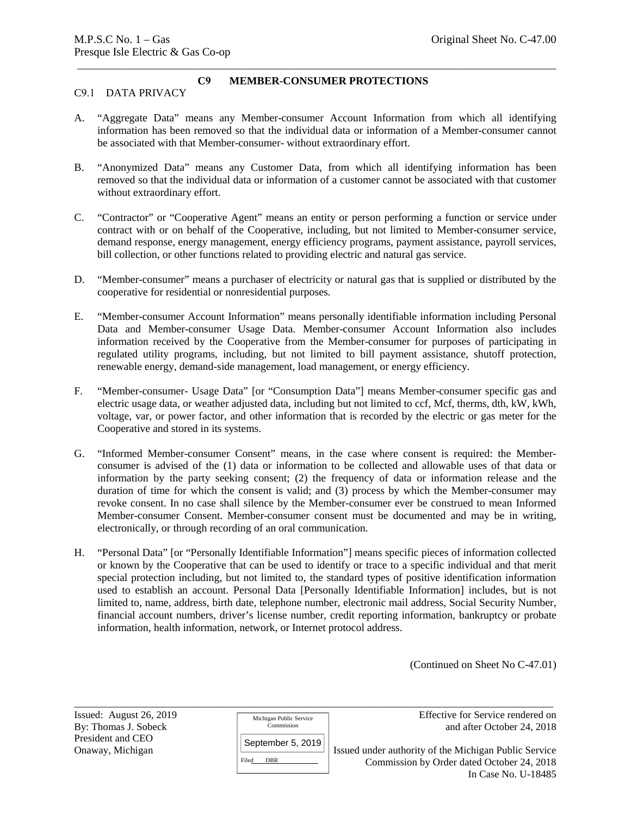# \_\_\_\_\_\_\_\_\_\_\_\_\_\_\_\_\_\_\_\_\_\_\_\_\_\_\_\_\_\_\_\_\_\_\_\_\_\_\_\_\_\_\_\_\_\_\_\_\_\_\_\_\_\_\_\_\_\_\_\_\_\_\_\_\_\_\_\_\_\_\_\_\_\_\_\_\_\_\_\_\_\_\_\_\_\_\_\_\_\_\_\_\_ **C9 MEMBER-CONSUMER PROTECTIONS**

# C9.1 DATA PRIVACY

- A. "Aggregate Data" means any Member-consumer Account Information from which all identifying information has been removed so that the individual data or information of a Member-consumer cannot be associated with that Member-consumer- without extraordinary effort.
- B. "Anonymized Data" means any Customer Data, from which all identifying information has been removed so that the individual data or information of a customer cannot be associated with that customer without extraordinary effort.
- C. "Contractor" or "Cooperative Agent" means an entity or person performing a function or service under contract with or on behalf of the Cooperative, including, but not limited to Member-consumer service, demand response, energy management, energy efficiency programs, payment assistance, payroll services, bill collection, or other functions related to providing electric and natural gas service.
- D. "Member-consumer" means a purchaser of electricity or natural gas that is supplied or distributed by the cooperative for residential or nonresidential purposes.
- E. "Member-consumer Account Information" means personally identifiable information including Personal Data and Member-consumer Usage Data. Member-consumer Account Information also includes information received by the Cooperative from the Member-consumer for purposes of participating in regulated utility programs, including, but not limited to bill payment assistance, shutoff protection, renewable energy, demand-side management, load management, or energy efficiency.
- F. "Member-consumer- Usage Data" [or "Consumption Data"] means Member-consumer specific gas and electric usage data, or weather adjusted data, including but not limited to ccf, Mcf, therms, dth, kW, kWh, voltage, var, or power factor, and other information that is recorded by the electric or gas meter for the Cooperative and stored in its systems.
- G. "Informed Member-consumer Consent" means, in the case where consent is required: the Memberconsumer is advised of the (1) data or information to be collected and allowable uses of that data or information by the party seeking consent; (2) the frequency of data or information release and the duration of time for which the consent is valid; and (3) process by which the Member-consumer may revoke consent. In no case shall silence by the Member-consumer ever be construed to mean Informed Member-consumer Consent. Member-consumer consent must be documented and may be in writing, electronically, or through recording of an oral communication.
- H. "Personal Data" [or "Personally Identifiable Information"] means specific pieces of information collected or known by the Cooperative that can be used to identify or trace to a specific individual and that merit special protection including, but not limited to, the standard types of positive identification information used to establish an account. Personal Data [Personally Identifiable Information] includes, but is not limited to, name, address, birth date, telephone number, electronic mail address, Social Security Number, financial account numbers, driver's license number, credit reporting information, bankruptcy or probate information, health information, network, or Internet protocol address.

\_\_\_\_\_\_\_\_\_\_\_\_\_\_\_\_\_\_\_\_\_\_\_\_\_\_\_\_\_\_\_\_\_\_\_\_\_\_\_\_\_\_\_\_\_\_\_\_\_\_\_\_\_\_\_\_\_\_\_\_\_\_\_\_\_\_\_\_\_\_\_\_\_\_\_\_\_\_\_\_\_\_\_\_\_\_\_\_\_\_\_\_\_

(Continued on Sheet No C-47.01)

President and CEO

Michigan Public Service Commission

Issued: August 26, 2019 **Effective For Service rendered on** By: Thomas J. Sobeck **and after October 24, 2018** 

September 5, 2019

DBR

Onaway, Michigan <br>
Filed DBR Service Commission by Order dated October 24, 2018 Commission by Order dated October 24, 2018 In Case No. U-18485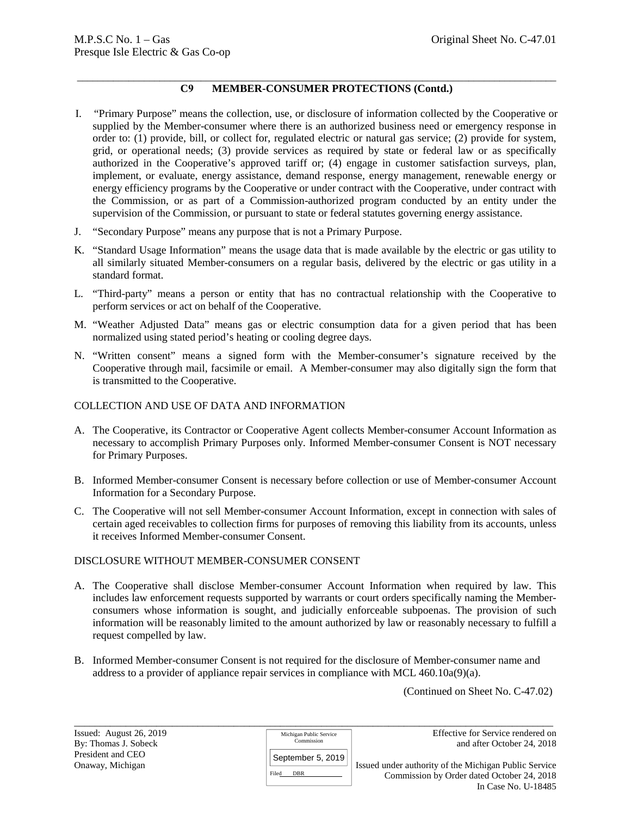#### \_\_\_\_\_\_\_\_\_\_\_\_\_\_\_\_\_\_\_\_\_\_\_\_\_\_\_\_\_\_\_\_\_\_\_\_\_\_\_\_\_\_\_\_\_\_\_\_\_\_\_\_\_\_\_\_\_\_\_\_\_\_\_\_\_\_\_\_\_\_\_\_\_\_\_\_\_\_\_\_\_\_\_\_\_\_\_\_\_\_\_\_\_ **C9 MEMBER-CONSUMER PROTECTIONS (Contd.)**

- I. "Primary Purpose" means the collection, use, or disclosure of information collected by the Cooperative or supplied by the Member-consumer where there is an authorized business need or emergency response in order to: (1) provide, bill, or collect for, regulated electric or natural gas service; (2) provide for system, grid, or operational needs; (3) provide services as required by state or federal law or as specifically authorized in the Cooperative's approved tariff or; (4) engage in customer satisfaction surveys, plan, implement, or evaluate, energy assistance, demand response, energy management, renewable energy or energy efficiency programs by the Cooperative or under contract with the Cooperative, under contract with the Commission, or as part of a Commission-authorized program conducted by an entity under the supervision of the Commission, or pursuant to state or federal statutes governing energy assistance.
- J. "Secondary Purpose" means any purpose that is not a Primary Purpose.
- K. "Standard Usage Information" means the usage data that is made available by the electric or gas utility to all similarly situated Member-consumers on a regular basis, delivered by the electric or gas utility in a standard format.
- L. "Third-party" means a person or entity that has no contractual relationship with the Cooperative to perform services or act on behalf of the Cooperative.
- M. "Weather Adjusted Data" means gas or electric consumption data for a given period that has been normalized using stated period's heating or cooling degree days.
- N. "Written consent" means a signed form with the Member-consumer's signature received by the Cooperative through mail, facsimile or email. A Member-consumer may also digitally sign the form that is transmitted to the Cooperative.

# COLLECTION AND USE OF DATA AND INFORMATION

- A. The Cooperative, its Contractor or Cooperative Agent collects Member-consumer Account Information as necessary to accomplish Primary Purposes only. Informed Member-consumer Consent is NOT necessary for Primary Purposes.
- B. Informed Member-consumer Consent is necessary before collection or use of Member-consumer Account Information for a Secondary Purpose.
- C. The Cooperative will not sell Member-consumer Account Information, except in connection with sales of certain aged receivables to collection firms for purposes of removing this liability from its accounts, unless it receives Informed Member-consumer Consent.

# DISCLOSURE WITHOUT MEMBER-CONSUMER CONSENT

- A. The Cooperative shall disclose Member-consumer Account Information when required by law. This includes law enforcement requests supported by warrants or court orders specifically naming the Memberconsumers whose information is sought, and judicially enforceable subpoenas. The provision of such information will be reasonably limited to the amount authorized by law or reasonably necessary to fulfill a request compelled by law.
- B. Informed Member-consumer Consent is not required for the disclosure of Member-consumer name and address to a provider of appliance repair services in compliance with MCL 460.10a(9)(a).

(Continued on Sheet No. C-47.02)

DBR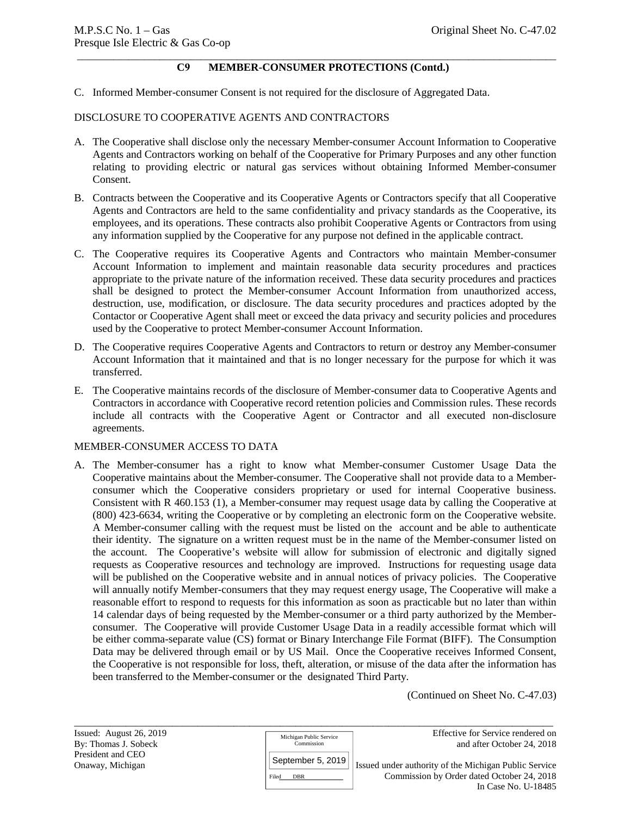#### \_\_\_\_\_\_\_\_\_\_\_\_\_\_\_\_\_\_\_\_\_\_\_\_\_\_\_\_\_\_\_\_\_\_\_\_\_\_\_\_\_\_\_\_\_\_\_\_\_\_\_\_\_\_\_\_\_\_\_\_\_\_\_\_\_\_\_\_\_\_\_\_\_\_\_\_\_\_\_\_\_\_\_\_\_\_\_\_\_\_\_\_\_ **C9 MEMBER-CONSUMER PROTECTIONS (Contd.)**

C. Informed Member-consumer Consent is not required for the disclosure of Aggregated Data.

## DISCLOSURE TO COOPERATIVE AGENTS AND CONTRACTORS

- A. The Cooperative shall disclose only the necessary Member-consumer Account Information to Cooperative Agents and Contractors working on behalf of the Cooperative for Primary Purposes and any other function relating to providing electric or natural gas services without obtaining Informed Member-consumer Consent.
- B. Contracts between the Cooperative and its Cooperative Agents or Contractors specify that all Cooperative Agents and Contractors are held to the same confidentiality and privacy standards as the Cooperative, its employees, and its operations. These contracts also prohibit Cooperative Agents or Contractors from using any information supplied by the Cooperative for any purpose not defined in the applicable contract.
- C. The Cooperative requires its Cooperative Agents and Contractors who maintain Member-consumer Account Information to implement and maintain reasonable data security procedures and practices appropriate to the private nature of the information received. These data security procedures and practices shall be designed to protect the Member-consumer Account Information from unauthorized access, destruction, use, modification, or disclosure. The data security procedures and practices adopted by the Contactor or Cooperative Agent shall meet or exceed the data privacy and security policies and procedures used by the Cooperative to protect Member-consumer Account Information.
- D. The Cooperative requires Cooperative Agents and Contractors to return or destroy any Member-consumer Account Information that it maintained and that is no longer necessary for the purpose for which it was transferred.
- E. The Cooperative maintains records of the disclosure of Member-consumer data to Cooperative Agents and Contractors in accordance with Cooperative record retention policies and Commission rules. These records include all contracts with the Cooperative Agent or Contractor and all executed non-disclosure agreements.

#### MEMBER-CONSUMER ACCESS TO DATA

A. The Member-consumer has a right to know what Member-consumer Customer Usage Data the Cooperative maintains about the Member-consumer. The Cooperative shall not provide data to a Memberconsumer which the Cooperative considers proprietary or used for internal Cooperative business. Consistent with R 460.153 (1), a Member-consumer may request usage data by calling the Cooperative at (800) 423-6634, writing the Cooperative or by completing an electronic form on the Cooperative website. A Member-consumer calling with the request must be listed on the account and be able to authenticate their identity. The signature on a written request must be in the name of the Member-consumer listed on the account. The Cooperative's website will allow for submission of electronic and digitally signed requests as Cooperative resources and technology are improved. Instructions for requesting usage data will be published on the Cooperative website and in annual notices of privacy policies. The Cooperative will annually notify Member-consumers that they may request energy usage, The Cooperative will make a reasonable effort to respond to requests for this information as soon as practicable but no later than within 14 calendar days of being requested by the Member-consumer or a third party authorized by the Memberconsumer. The Cooperative will provide Customer Usage Data in a readily accessible format which will be either comma-separate value (CS) format or Binary Interchange File Format (BIFF). The Consumption Data may be delivered through email or by US Mail. Once the Cooperative receives Informed Consent, the Cooperative is not responsible for loss, theft, alteration, or misuse of the data after the information has been transferred to the Member-consumer or the designated Third Party.

(Continued on Sheet No. C-47.03)

\_\_\_\_\_\_\_\_\_\_\_\_\_\_\_\_\_\_\_\_\_\_\_\_\_\_\_\_\_\_\_\_\_\_\_\_\_\_\_\_\_\_\_\_\_\_\_\_\_\_\_\_\_\_\_\_\_\_\_\_\_\_\_\_\_\_\_\_\_\_\_\_\_\_\_\_\_\_\_\_\_\_\_\_\_\_\_\_\_\_\_\_\_ President and CEO

Michigan Public Service Commission

Filed DBR September 5, 2019

Issued: August 26, 2019 By: Thomas J. Sobeck <sup>Commission</sup> and after October 24, 2018

Onaway, Michigan **Issued under authority of the Michigan Public Service** Commission by Order dated October 24, 2018 In Case No. U-18485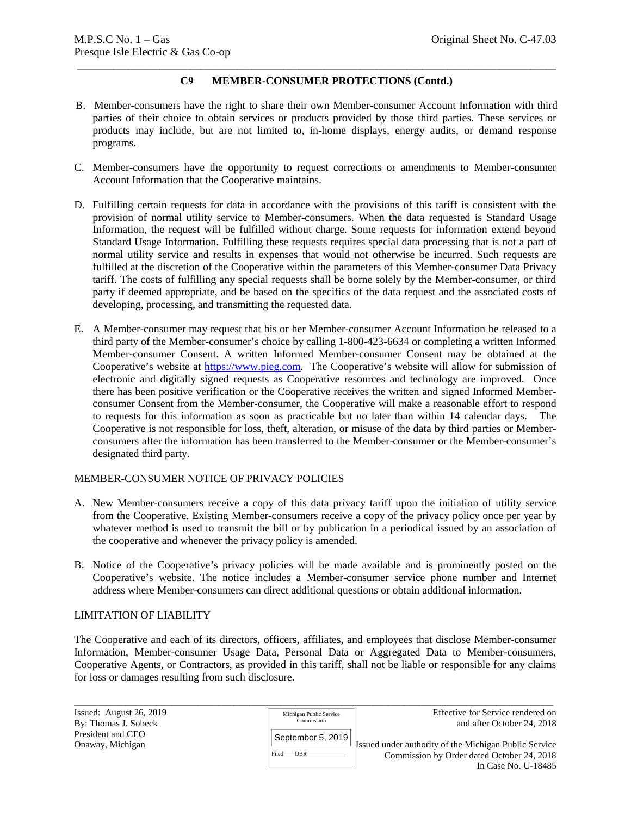# \_\_\_\_\_\_\_\_\_\_\_\_\_\_\_\_\_\_\_\_\_\_\_\_\_\_\_\_\_\_\_\_\_\_\_\_\_\_\_\_\_\_\_\_\_\_\_\_\_\_\_\_\_\_\_\_\_\_\_\_\_\_\_\_\_\_\_\_\_\_\_\_\_\_\_\_\_\_\_\_\_\_\_\_\_\_\_\_\_\_\_\_\_ **C9 MEMBER-CONSUMER PROTECTIONS (Contd.)**

- B. Member-consumers have the right to share their own Member-consumer Account Information with third parties of their choice to obtain services or products provided by those third parties. These services or products may include, but are not limited to, in-home displays, energy audits, or demand response programs.
- C. Member-consumers have the opportunity to request corrections or amendments to Member-consumer Account Information that the Cooperative maintains.
- D. Fulfilling certain requests for data in accordance with the provisions of this tariff is consistent with the provision of normal utility service to Member-consumers. When the data requested is Standard Usage Information, the request will be fulfilled without charge. Some requests for information extend beyond Standard Usage Information. Fulfilling these requests requires special data processing that is not a part of normal utility service and results in expenses that would not otherwise be incurred. Such requests are fulfilled at the discretion of the Cooperative within the parameters of this Member-consumer Data Privacy tariff. The costs of fulfilling any special requests shall be borne solely by the Member-consumer, or third party if deemed appropriate, and be based on the specifics of the data request and the associated costs of developing, processing, and transmitting the requested data.
- E. A Member-consumer may request that his or her Member-consumer Account Information be released to a third party of the Member-consumer's choice by calling 1-800-423-6634 or completing a written Informed Member-consumer Consent. A written Informed Member-consumer Consent may be obtained at the Cooperative's website at https://www.pieg.com. The Cooperative's website will allow for submission of electronic and digitally signed requests as Cooperative resources and technology are improved. Once there has been positive verification or the Cooperative receives the written and signed Informed Memberconsumer Consent from the Member-consumer, the Cooperative will make a reasonable effort to respond to requests for this information as soon as practicable but no later than within 14 calendar days. The Cooperative is not responsible for loss, theft, alteration, or misuse of the data by third parties or Memberconsumers after the information has been transferred to the Member-consumer or the Member-consumer's designated third party.

## MEMBER-CONSUMER NOTICE OF PRIVACY POLICIES

- A. New Member-consumers receive a copy of this data privacy tariff upon the initiation of utility service from the Cooperative. Existing Member-consumers receive a copy of the privacy policy once per year by whatever method is used to transmit the bill or by publication in a periodical issued by an association of the cooperative and whenever the privacy policy is amended.
- B. Notice of the Cooperative's privacy policies will be made available and is prominently posted on the Cooperative's website. The notice includes a Member-consumer service phone number and Internet address where Member-consumers can direct additional questions or obtain additional information.

## LIMITATION OF LIABILITY

The Cooperative and each of its directors, officers, affiliates, and employees that disclose Member-consumer Information, Member-consumer Usage Data, Personal Data or Aggregated Data to Member-consumers, Cooperative Agents, or Contractors, as provided in this tariff, shall not be liable or responsible for any claims for loss or damages resulting from such disclosure.

| Issued: August $26, 2019$ | Michigan Public Service | Effective for Service rendered on                     |
|---------------------------|-------------------------|-------------------------------------------------------|
| By: Thomas J. Sobeck      | Commission              | and after October 24, 2018                            |
| President and CEO         | September 5, 2019       |                                                       |
| Onaway, Michigan          |                         | Issued under authority of the Michigan Public Service |
|                           | DBR<br>Filed            | Commission by Order dated October 24, 2018            |
|                           |                         | In Case No. U-18485                                   |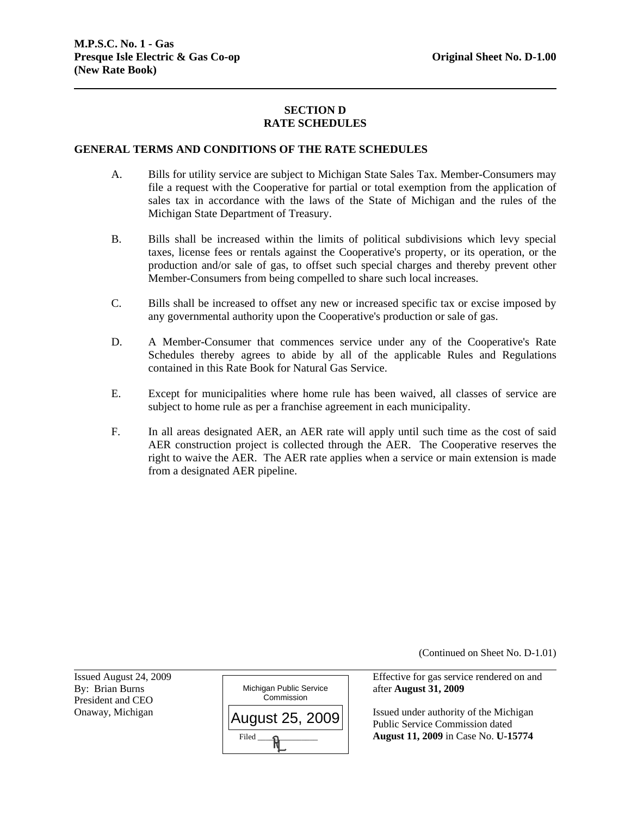# **SECTION D RATE SCHEDULES**

#### **GENERAL TERMS AND CONDITIONS OF THE RATE SCHEDULES**

- A. Bills for utility service are subject to Michigan State Sales Tax. Member-Consumers may file a request with the Cooperative for partial or total exemption from the application of sales tax in accordance with the laws of the State of Michigan and the rules of the Michigan State Department of Treasury.
- B. Bills shall be increased within the limits of political subdivisions which levy special taxes, license fees or rentals against the Cooperative's property, or its operation, or the production and/or sale of gas, to offset such special charges and thereby prevent other Member-Consumers from being compelled to share such local increases.
- C. Bills shall be increased to offset any new or increased specific tax or excise imposed by any governmental authority upon the Cooperative's production or sale of gas.
- D. A Member-Consumer that commences service under any of the Cooperative's Rate Schedules thereby agrees to abide by all of the applicable Rules and Regulations contained in this Rate Book for Natural Gas Service.
- E. Except for municipalities where home rule has been waived, all classes of service are subject to home rule as per a franchise agreement in each municipality.
- F. In all areas designated AER, an AER rate will apply until such time as the cost of said AER construction project is collected through the AER. The Cooperative reserves the right to waive the AER. The AER rate applies when a service or main extension is made from a designated AER pipeline.

(Continued on Sheet No. D-1.01)

Issued August 24, 2009 Effective for gas service rendered on and

Onaway, Michigan  $\left|\right|_{\Delta}$   $\left|\right|_{\Delta}$   $\left|\right|_{\Delta}$   $\left|\right|_{\Delta}$   $\left|\right|_{\Delta}$  Issued under authority of the Michigan Public Service Commission dated **August 11, 2009** in Case No. **U-15774**

President and CEO

l

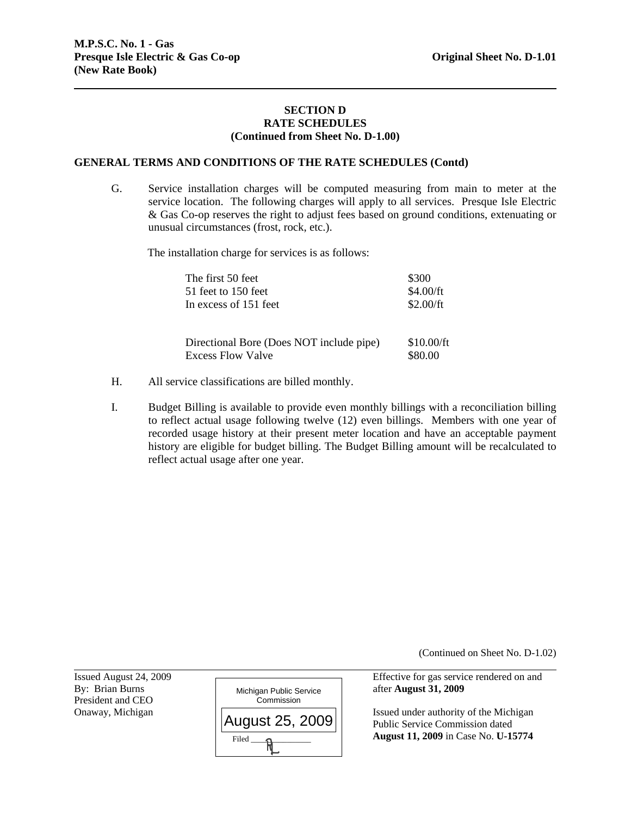#### **SECTION D RATE SCHEDULES (Continued from Sheet No. D-1.00)**

#### **GENERAL TERMS AND CONDITIONS OF THE RATE SCHEDULES (Contd)**

G. Service installation charges will be computed measuring from main to meter at the service location. The following charges will apply to all services. Presque Isle Electric & Gas Co-op reserves the right to adjust fees based on ground conditions, extenuating or unusual circumstances (frost, rock, etc.).

The installation charge for services is as follows:

| The first 50 feet                                                    | \$300                 |
|----------------------------------------------------------------------|-----------------------|
| 51 feet to 150 feet                                                  | \$4.00/ft             |
| In excess of 151 feet                                                | \$2.00/ft             |
| Directional Bore (Does NOT include pipe)<br><b>Excess Flow Valve</b> | \$10.00/ft<br>\$80.00 |

- H. All service classifications are billed monthly.
- I. Budget Billing is available to provide even monthly billings with a reconciliation billing to reflect actual usage following twelve (12) even billings. Members with one year of recorded usage history at their present meter location and have an acceptable payment history are eligible for budget billing. The Budget Billing amount will be recalculated to reflect actual usage after one year.

(Continued on Sheet No. D-1.02)

Issued August 24, 2009 Effective for gas service rendered on and

Issued under authority of the Michigan Public Service Commission dated **August 11, 2009** in Case No. **U-15774**

President and CEO<br>Onaway, Michigan

l

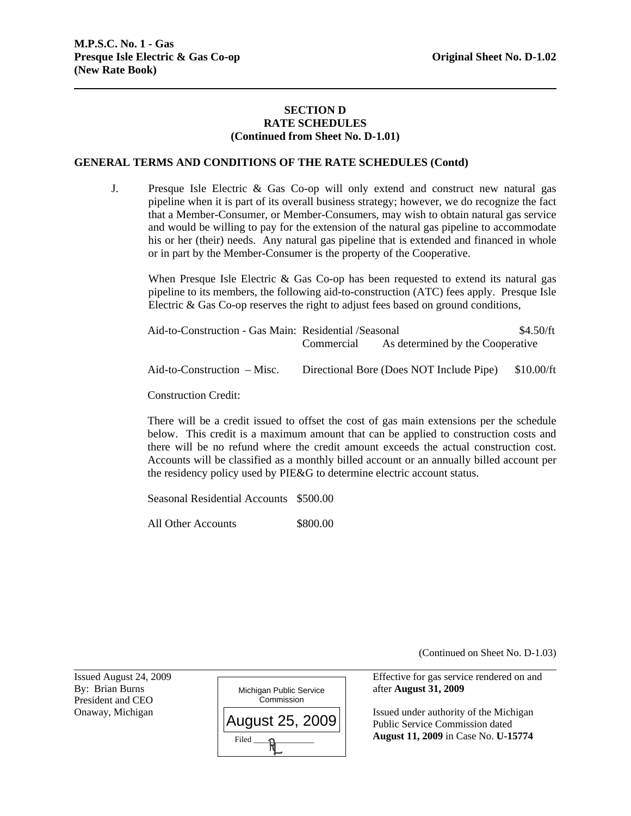#### **SECTION D RATE SCHEDULES (Continued from Sheet No. D-1.01)**

#### **GENERAL TERMS AND CONDITIONS OF THE RATE SCHEDULES (Contd)**

J. Presque Isle Electric & Gas Co-op will only extend and construct new natural gas pipeline when it is part of its overall business strategy; however, we do recognize the fact that a Member-Consumer, or Member-Consumers, may wish to obtain natural gas service and would be willing to pay for the extension of the natural gas pipeline to accommodate his or her (their) needs. Any natural gas pipeline that is extended and financed in whole or in part by the Member-Consumer is the property of the Cooperative.

When Presque Isle Electric  $\&$  Gas Co-op has been requested to extend its natural gas pipeline to its members, the following aid-to-construction (ATC) fees apply. Presque Isle Electric & Gas Co-op reserves the right to adjust fees based on ground conditions,

| Aid-to-Construction - Gas Main: Residential /Seasonal | Commercial | As determined by the Cooperative         | \$4.50/ft  |
|-------------------------------------------------------|------------|------------------------------------------|------------|
| $Aid-to-Construction - Misc.$                         |            | Directional Bore (Does NOT Include Pipe) | \$10.00/ft |

Construction Credit:

There will be a credit issued to offset the cost of gas main extensions per the schedule below. This credit is a maximum amount that can be applied to construction costs and there will be no refund where the credit amount exceeds the actual construction cost. Accounts will be classified as a monthly billed account or an annually billed account per the residency policy used by PIE&G to determine electric account status.

Seasonal Residential Accounts \$500.00

All Other Accounts \$800.00

(Continued on Sheet No. D-1.03)

President and CEO

l



Issued August 24, 2009 Effective for gas service rendered on and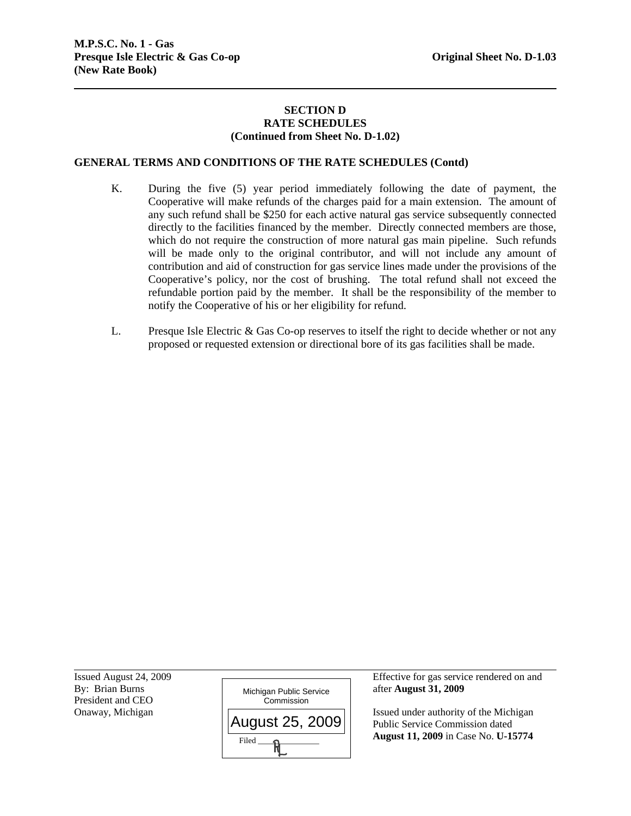# **SECTION D RATE SCHEDULES (Continued from Sheet No. D-1.02)**

# **GENERAL TERMS AND CONDITIONS OF THE RATE SCHEDULES (Contd)**

- K. During the five (5) year period immediately following the date of payment, the Cooperative will make refunds of the charges paid for a main extension. The amount of any such refund shall be \$250 for each active natural gas service subsequently connected directly to the facilities financed by the member. Directly connected members are those, which do not require the construction of more natural gas main pipeline. Such refunds will be made only to the original contributor, and will not include any amount of contribution and aid of construction for gas service lines made under the provisions of the Cooperative's policy, nor the cost of brushing. The total refund shall not exceed the refundable portion paid by the member. It shall be the responsibility of the member to notify the Cooperative of his or her eligibility for refund.
- L. Presque Isle Electric & Gas Co-op reserves to itself the right to decide whether or not any proposed or requested extension or directional bore of its gas facilities shall be made.

President and CEO

l



Issued August 24, 2009 Effective for gas service rendered on and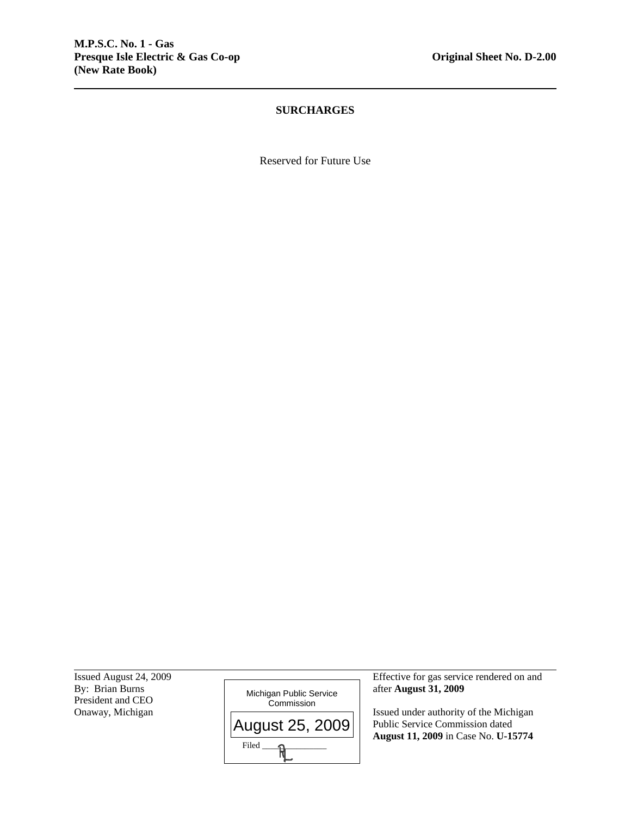# **SURCHARGES**

Reserved for Future Use

President and CEO<br>Onaway, Michigan

l



Issued August 24, 2009 Effective for gas service rendered on and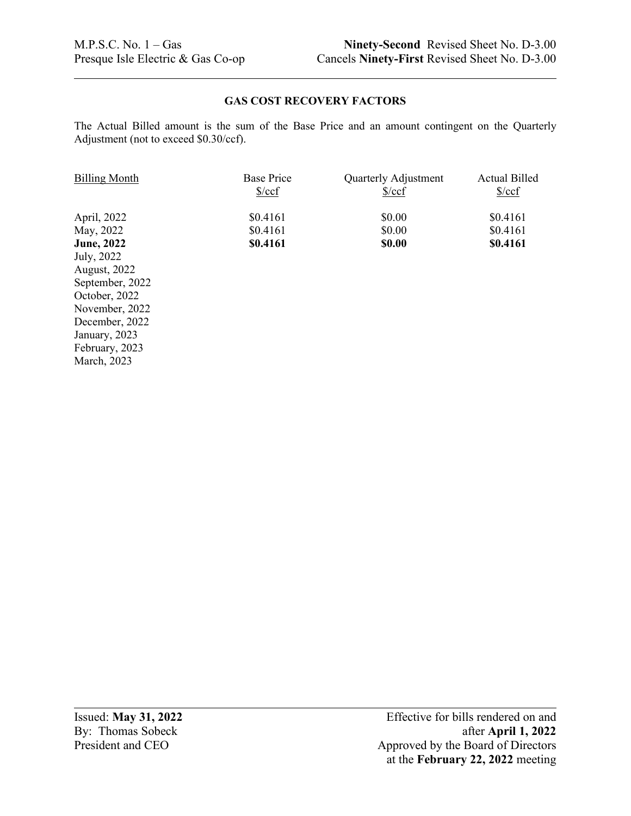# **GAS COST RECOVERY FACTORS**

The Actual Billed amount is the sum of the Base Price and an amount contingent on the Quarterly Adjustment (not to exceed \$0.30/ccf).

| <b>Billing Month</b> | <b>Base Price</b>    | Quarterly Adjustment | <b>Actual Billed</b> |
|----------------------|----------------------|----------------------|----------------------|
|                      | $\frac{\sqrt{2}}{2}$ | %                    | $\frac{\csc}{}$      |
| April, 2022          | \$0.4161             | \$0.00               | \$0.4161             |
| May, 2022            | \$0.4161             | \$0.00               | \$0.4161             |
| <b>June, 2022</b>    | \$0.4161             | \$0.00               | \$0.4161             |
| July, 2022           |                      |                      |                      |
| <b>August, 2022</b>  |                      |                      |                      |
| September, 2022      |                      |                      |                      |
| October, 2022        |                      |                      |                      |
| November, 2022       |                      |                      |                      |
| December, 2022       |                      |                      |                      |
| January, 2023        |                      |                      |                      |

February, 2023 March, 2023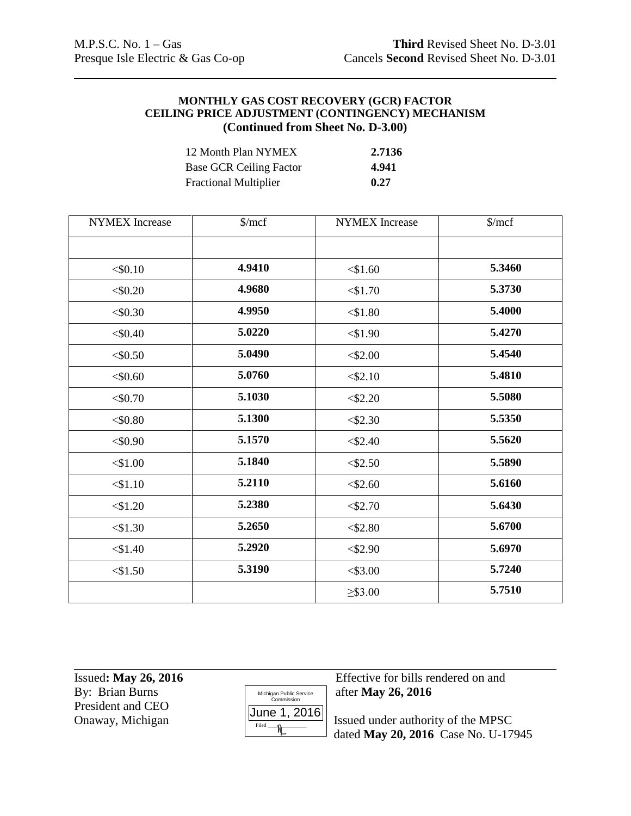# **MONTHLY GAS COST RECOVERY (GCR) FACTOR CEILING PRICE ADJUSTMENT (CONTINGENCY) MECHANISM (Continued from Sheet No. D-3.00)**

| 12 Month Plan NYMEX            | 2.7136 |
|--------------------------------|--------|
| <b>Base GCR Ceiling Factor</b> | 4.941  |
| <b>Fractional Multiplier</b>   | 0.27   |

| <b>NYMEX</b> Increase | $\gamma$ mcf | <b>NYMEX</b> Increase | $\gamma$ mcf |
|-----------------------|--------------|-----------------------|--------------|
|                       |              |                       |              |
| $<$ \$0.10            | 4.9410       | $<$ \$1.60            | 5.3460       |
| $<$ \$0.20            | 4.9680       | $<$ \$1.70            | 5.3730       |
| $<$ \$0.30            | 4.9950       | $<$ \$1.80            | 5.4000       |
| $<$ \$0.40            | 5.0220       | $<$ \$1.90            | 5.4270       |
| $<$ \$0.50            | 5.0490       | $<$ \$2.00            | 5.4540       |
| $<$ \$0.60            | 5.0760       | $<$ \$2.10            | 5.4810       |
| < 0.70                | 5.1030       | $<$ \$2.20            | 5.5080       |
| $<$ \$0.80            | 5.1300       | $<$ \$2.30            | 5.5350       |
| $<$ \$0.90            | 5.1570       | $<$ \$2.40            | 5.5620       |
| $<$ \$1.00            | 5.1840       | $<$ \$2.50            | 5.5890       |
| $<$ \$1.10            | 5.2110       | $<$ \$2.60            | 5.6160       |
| $<$ \$1.20            | 5.2380       | $<$ \$2.70            | 5.6430       |
| $<$ \$1.30            | 5.2650       | $<$ \$2.80            | 5.6700       |
| $<$ \$1.40            | 5.2920       | $<$ \$2.90            | 5.6970       |
| $<$ \$1.50            | 5.3190       | $<$ \$3.00            | 5.7240       |
|                       |              | $\geq$ \$3.00         | 5.7510       |

By: Brian Burns **and Supply 26, 2016** Michigan Public Service after **May 26, 2016** President and CEO<br>Onaway, Michigan



Issued**: May 26, 2016** Effective for bills rendered on and

 $\frac{\text{O(11e-1)} \times \text{O(10)}}{\text{Fried}}$  Issued under authority of the MPSC dated **May 20, 2016** Case No. U-17945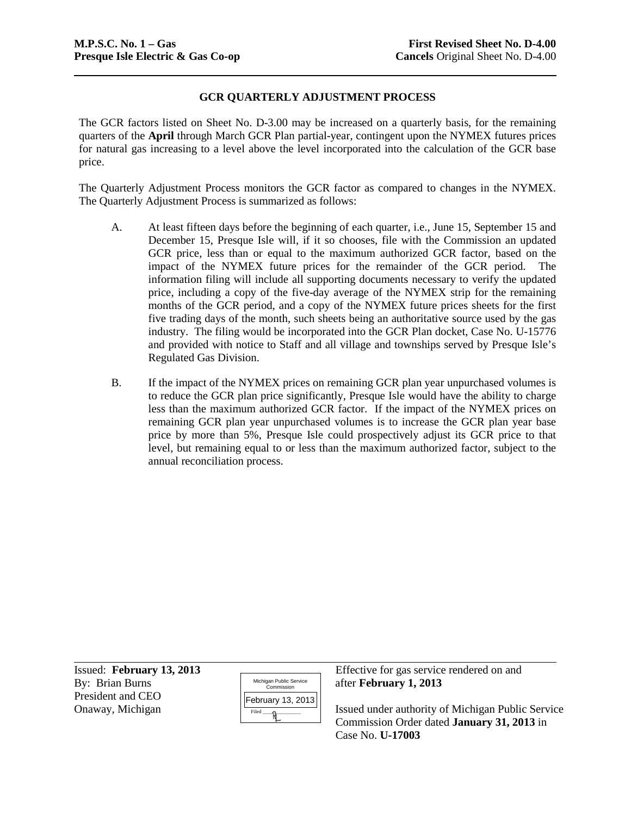### **GCR QUARTERLY ADJUSTMENT PROCESS**

The GCR factors listed on Sheet No. D-3.00 may be increased on a quarterly basis, for the remaining quarters of the **April** through March GCR Plan partial-year, contingent upon the NYMEX futures prices for natural gas increasing to a level above the level incorporated into the calculation of the GCR base price.

The Quarterly Adjustment Process monitors the GCR factor as compared to changes in the NYMEX. The Quarterly Adjustment Process is summarized as follows:

- A. At least fifteen days before the beginning of each quarter, i.e., June 15, September 15 and December 15, Presque Isle will, if it so chooses, file with the Commission an updated GCR price, less than or equal to the maximum authorized GCR factor, based on the impact of the NYMEX future prices for the remainder of the GCR period. The information filing will include all supporting documents necessary to verify the updated price, including a copy of the five-day average of the NYMEX strip for the remaining months of the GCR period, and a copy of the NYMEX future prices sheets for the first five trading days of the month, such sheets being an authoritative source used by the gas industry. The filing would be incorporated into the GCR Plan docket, Case No. U-15776 and provided with notice to Staff and all village and townships served by Presque Isle's Regulated Gas Division.
- B. If the impact of the NYMEX prices on remaining GCR plan year unpurchased volumes is to reduce the GCR plan price significantly, Presque Isle would have the ability to charge less than the maximum authorized GCR factor. If the impact of the NYMEX prices on remaining GCR plan year unpurchased volumes is to increase the GCR plan year base price by more than 5%, Presque Isle could prospectively adjust its GCR price to that level, but remaining equal to or less than the maximum authorized factor, subject to the annual reconciliation process.

By: Brian Burns **and Public Service** after **February 1, 2013** President and CEO

| Michigan Public Service<br>Commission |
|---------------------------------------|
| February 13, 2013                     |
| Filed                                 |

Issued: **February 13, 2013** Effective for gas service rendered on and

Onaway, Michigan  $\left|\frac{\left|\frac{\text{Coulary}}{\text{Field}}\right|}{\text{Field}}\right|$  Issued under authority of Michigan Public Service Commission Order dated **January 31, 2013** in Case No. **U-17003**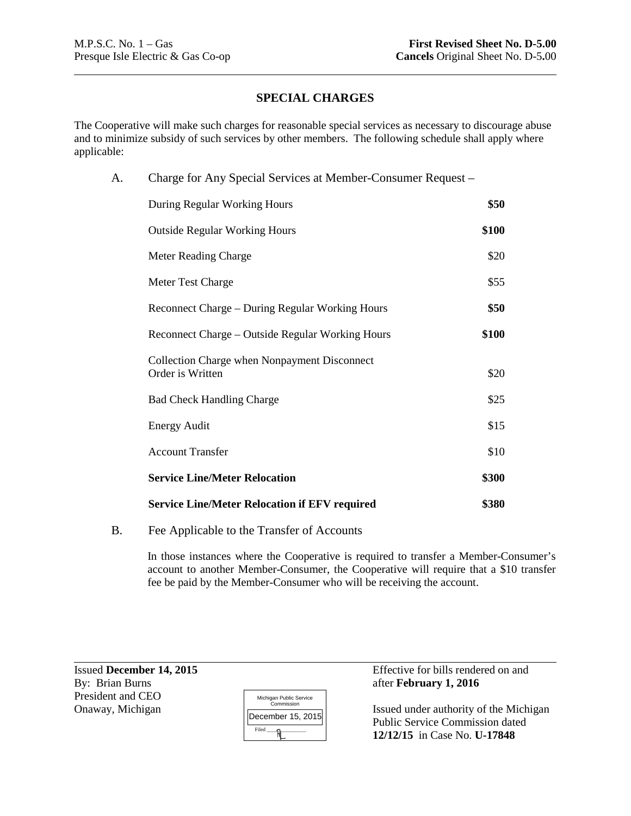# **SPECIAL CHARGES**

The Cooperative will make such charges for reasonable special services as necessary to discourage abuse and to minimize subsidy of such services by other members. The following schedule shall apply where applicable:

| A. | Charge for Any Special Services at Member-Consumer Request –     |       |
|----|------------------------------------------------------------------|-------|
|    | During Regular Working Hours                                     | \$50  |
|    | <b>Outside Regular Working Hours</b>                             | \$100 |
|    | <b>Meter Reading Charge</b>                                      | \$20  |
|    | Meter Test Charge                                                | \$55  |
|    | Reconnect Charge – During Regular Working Hours                  | \$50  |
|    | Reconnect Charge – Outside Regular Working Hours                 | \$100 |
|    | Collection Charge when Nonpayment Disconnect<br>Order is Written | \$20  |
|    | <b>Bad Check Handling Charge</b>                                 | \$25  |
|    | <b>Energy Audit</b>                                              | \$15  |
|    | <b>Account Transfer</b>                                          | \$10  |
|    | <b>Service Line/Meter Relocation</b>                             | \$300 |
|    | <b>Service Line/Meter Relocation if EFV required</b>             | \$380 |
|    |                                                                  |       |

# B. Fee Applicable to the Transfer of Accounts

In those instances where the Cooperative is required to transfer a Member-Consumer's account to another Member-Consumer, the Cooperative will require that a \$10 transfer fee be paid by the Member-Consumer who will be receiving the account.

President and CEO

| Michigan Public Service<br>Commission |
|---------------------------------------|
| December 15, 2015                     |
| Filed                                 |

Issued **December 14, 2015** Effective for bills rendered on and By: Brian Burns **Effective for bills rendered on and** after **February 1, 2016** 

Onaway, Michigan  $\left| \frac{\text{Commission}}{\text{Normal}} \right|$  Issued under authority of the Michigan Public Service Commission dated **12/12/15** in Case No. **U-17848**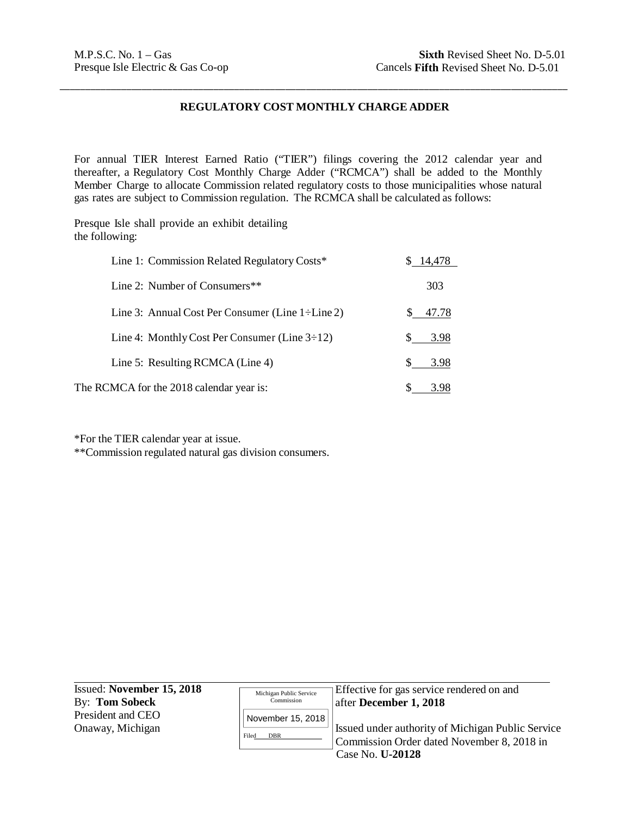# **REGULATORY COST MONTHLY CHARGE ADDER**

\_\_\_\_\_\_\_\_\_\_\_\_\_\_\_\_\_\_\_\_\_\_\_\_\_\_\_\_\_\_\_\_\_\_\_\_\_\_\_\_\_\_\_\_\_\_\_\_\_\_\_\_\_\_\_\_\_\_\_\_\_\_\_\_\_\_\_\_\_\_\_\_\_\_\_\_\_\_\_\_\_\_\_\_\_\_\_\_\_\_\_\_\_\_\_\_\_\_\_

For annual TIER Interest Earned Ratio ("TIER") filings covering the 2012 calendar year and thereafter, a Regulatory Cost Monthly Charge Adder ("RCMCA") shall be added to the Monthly Member Charge to allocate Commission related regulatory costs to those municipalities whose natural gas rates are subject to Commission regulation. The RCMCA shall be calculated as follows:

Presque Isle shall provide an exhibit detailing the following:

| Line 1: Commission Related Regulatory Costs*           | \$ 14,478 |
|--------------------------------------------------------|-----------|
| Line 2: Number of Consumers**                          | 303       |
| Line 3: Annual Cost Per Consumer (Line $1\div$ Line 2) | 47.78     |
| Line 4: Monthly Cost Per Consumer (Line $3\div 12$ )   | 3.98      |
| Line 5: Resulting RCMCA (Line 4)                       | 3.98      |
| The RCMCA for the 2018 calendar year is:               | 3.98      |

\*For the TIER calendar year at issue.

\*\*Commission regulated natural gas division consumers.

| Issued: November 15, 2018 | Michigan Public Service | Effective for gas service rendered on and                |
|---------------------------|-------------------------|----------------------------------------------------------|
| By: Tom Sobeck            | Commission              | after December 1, 2018                                   |
| President and CEO         | November 15, 2018       |                                                          |
| Onaway, Michigan          | <b>DBR</b><br>Filed     | <b>Issued under authority of Michigan Public Service</b> |
|                           |                         | Commission Order dated November 8, 2018 in               |
|                           |                         | Case No. U-20128                                         |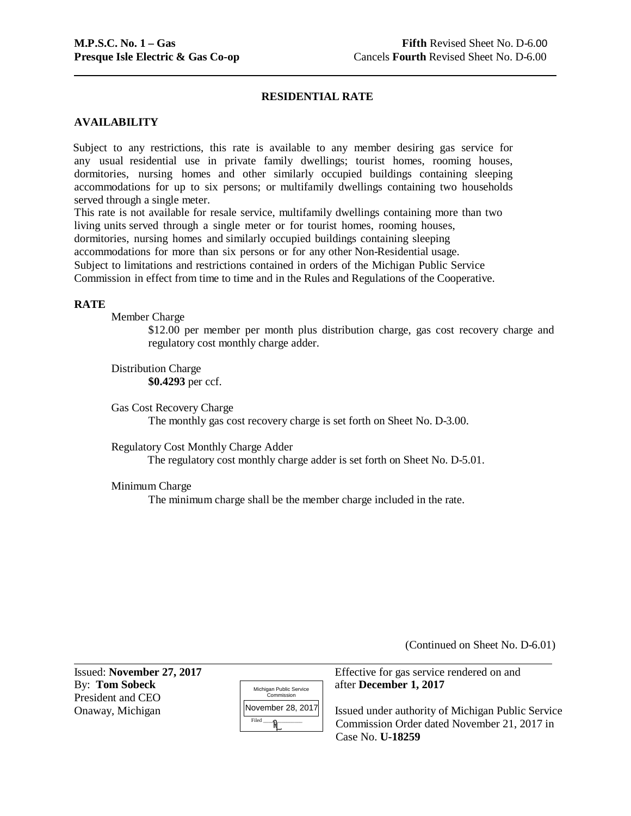# **RESIDENTIAL RATE**

# **AVAILABILITY**

Subject to any restrictions, this rate is available to any member desiring gas service for any usual residential use in private family dwellings; tourist homes, rooming houses, dormitories, nursing homes and other similarly occupied buildings containing sleeping accommodations for up to six persons; or multifamily dwellings containing two households served through a single meter.

This rate is not available for resale service, multifamily dwellings containing more than two living units served through a single meter or for tourist homes, rooming houses,

dormitories, nursing homes and similarly occupied buildings containing sleeping

accommodations for more than six persons or for any other Non-Residential usage.

Subject to limitations and restrictions contained in orders of the Michigan Public Service

Commission in effect from time to time and in the Rules and Regulations of the Cooperative.

#### **RATE**

Member Charge

\$12.00 per member per month plus distribution charge, gas cost recovery charge and regulatory cost monthly charge adder.

Distribution Charge **\$0.4293** per ccf.

Gas Cost Recovery Charge The monthly gas cost recovery charge is set forth on Sheet No. D-3.00.

Regulatory Cost Monthly Charge Adder The regulatory cost monthly charge adder is set forth on Sheet No. D-5.01.

Minimum Charge

The minimum charge shall be the member charge included in the rate.

(Continued on Sheet No. D-6.01)

By: **Tom Sobeck** after **December 1, 2017** President and CEO

| Michigan Public Service<br>Commission |
|---------------------------------------|
| November 28, 2017                     |
| Filed                                 |
|                                       |

Issued: **November 27, 2017** Effective for gas service rendered on and

Onaway, Michigan Issued under authority of Michigan Public Service Commission Order dated November 21, 2017 in Case No. **U-18259**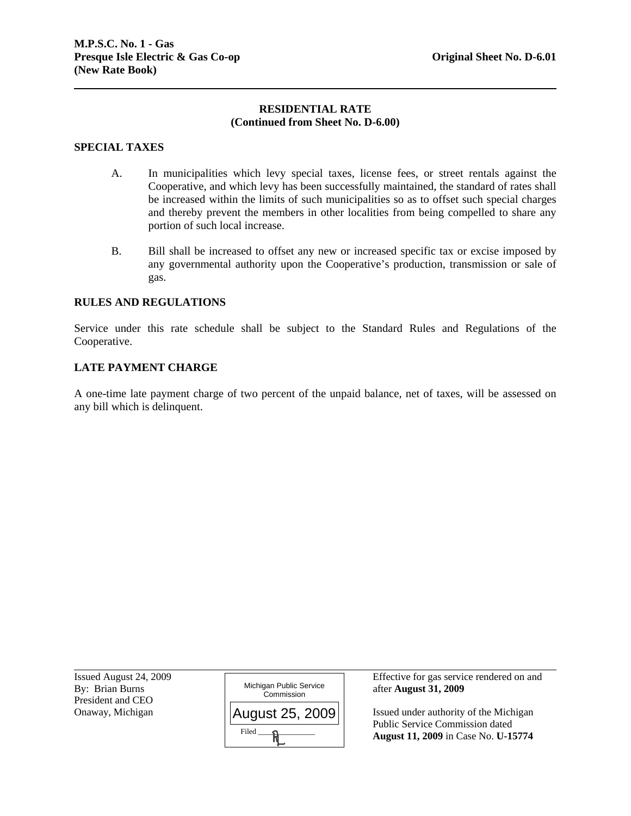### **RESIDENTIAL RATE (Continued from Sheet No. D-6.00)**

#### **SPECIAL TAXES**

- A. In municipalities which levy special taxes, license fees, or street rentals against the Cooperative, and which levy has been successfully maintained, the standard of rates shall be increased within the limits of such municipalities so as to offset such special charges and thereby prevent the members in other localities from being compelled to share any portion of such local increase.
- B. Bill shall be increased to offset any new or increased specific tax or excise imposed by any governmental authority upon the Cooperative's production, transmission or sale of gas.

#### **RULES AND REGULATIONS**

Service under this rate schedule shall be subject to the Standard Rules and Regulations of the Cooperative.

#### **LATE PAYMENT CHARGE**

A one-time late payment charge of two percent of the unpaid balance, net of taxes, will be assessed on any bill which is delinquent.

President and CEO<br>Onaway, Michigan

l



Issued August 24, 2009 Effective for gas service rendered on and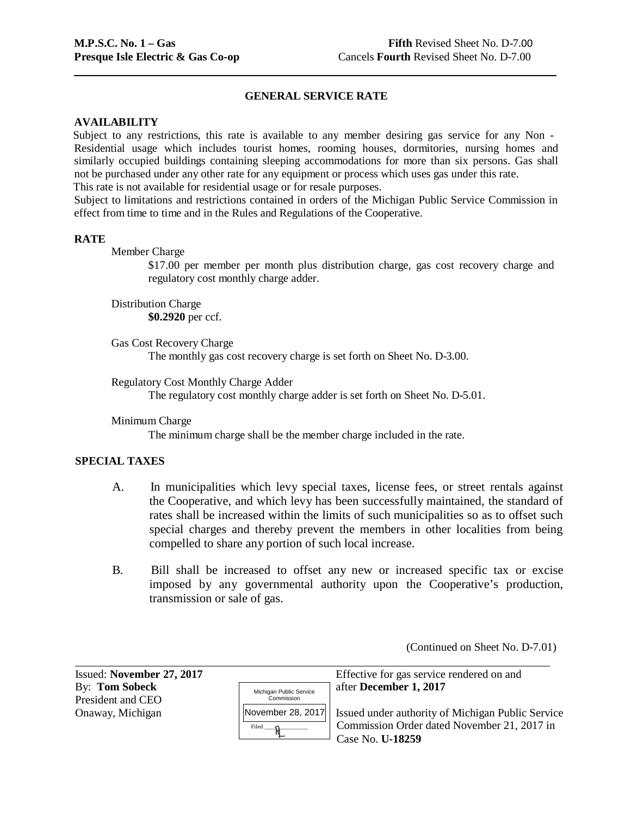# **GENERAL SERVICE RATE**

#### **AVAILABILITY**

Subject to any restrictions, this rate is available to any member desiring gas service for any Non - Residential usage which includes tourist homes, rooming houses, dormitories, nursing homes and similarly occupied buildings containing sleeping accommodations for more than six persons. Gas shall not be purchased under any other rate for any equipment or process which uses gas under this rate. This rate is not available for residential usage or for resale purposes.

Subject to limitations and restrictions contained in orders of the Michigan Public Service Commission in effect from time to time and in the Rules and Regulations of the Cooperative.

#### **RATE**

Member Charge

\$17.00 per member per month plus distribution charge, gas cost recovery charge and regulatory cost monthly charge adder.

Distribution Charge **\$0.2920** per ccf.

Gas Cost Recovery Charge The monthly gas cost recovery charge is set forth on Sheet No. D-3.00.

Regulatory Cost Monthly Charge Adder The regulatory cost monthly charge adder is set forth on Sheet No. D-5.01.

Minimum Charge

The minimum charge shall be the member charge included in the rate.

# **SPECIAL TAXES**

- A. In municipalities which levy special taxes, license fees, or street rentals against the Cooperative, and which levy has been successfully maintained, the standard of rates shall be increased within the limits of such municipalities so as to offset such special charges and thereby prevent the members in other localities from being compelled to share any portion of such local increase.
- B. Bill shall be increased to offset any new or increased specific tax or excise imposed by any governmental authority upon the Cooperative's production, transmission or sale of gas.

(Continued on Sheet No. D-7.01)

| Issued: November 27, 2017           |                                       | Effective for gas service rendered on and                                                                                                |
|-------------------------------------|---------------------------------------|------------------------------------------------------------------------------------------------------------------------------------------|
| By: Tom Sobeck<br>President and CEO | Michigan Public Service<br>Commission | after December 1, 2017                                                                                                                   |
| Onaway, Michigan                    | Filed                                 | November 28, 2017   Issued under authority of Michigan Public Service<br>Commission Order dated November 21, 2017 in<br>Case No. U-18259 |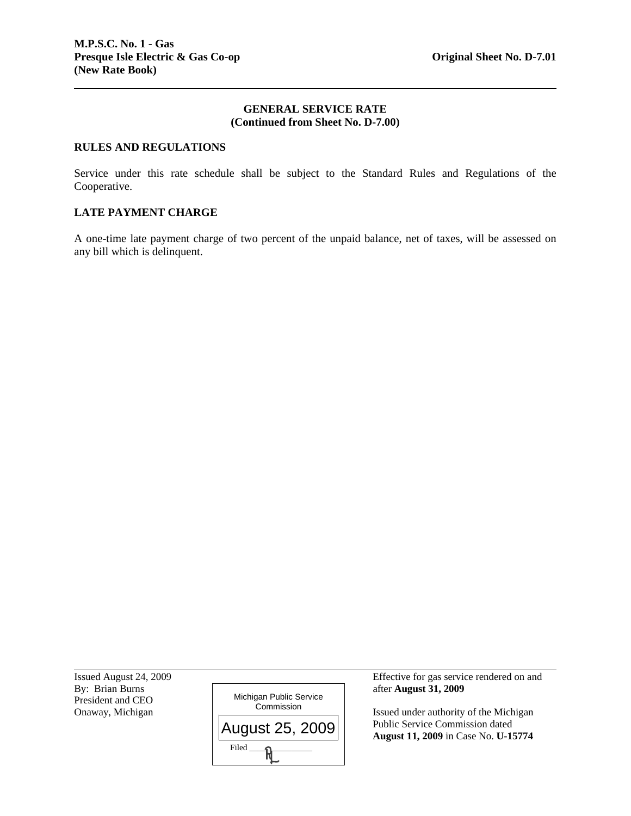# **GENERAL SERVICE RATE (Continued from Sheet No. D-7.00)**

### **RULES AND REGULATIONS**

Service under this rate schedule shall be subject to the Standard Rules and Regulations of the Cooperative.

# **LATE PAYMENT CHARGE**

A one-time late payment charge of two percent of the unpaid balance, net of taxes, will be assessed on any bill which is delinquent.

President and CEO<br>Onaway, Michigan

l



Issued August 24, 2009 Effective for gas service rendered on and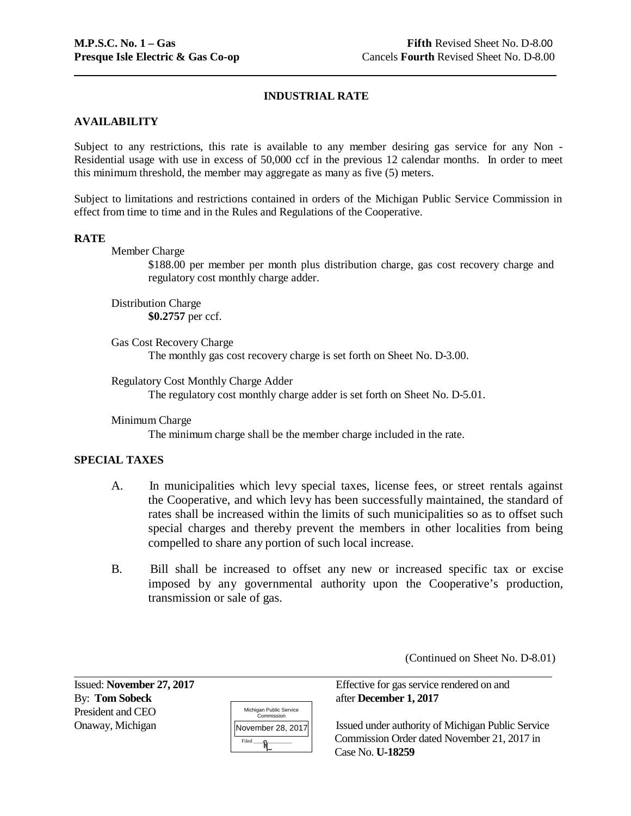# **INDUSTRIAL RATE**

# **AVAILABILITY**

Subject to any restrictions, this rate is available to any member desiring gas service for any Non - Residential usage with use in excess of 50,000 ccf in the previous 12 calendar months. In order to meet this minimum threshold, the member may aggregate as many as five (5) meters.

Subject to limitations and restrictions contained in orders of the Michigan Public Service Commission in effect from time to time and in the Rules and Regulations of the Cooperative.

#### **RATE**

Member Charge

\$188.00 per member per month plus distribution charge, gas cost recovery charge and regulatory cost monthly charge adder.

Distribution Charge **\$0.2757** per ccf.

Gas Cost Recovery Charge The monthly gas cost recovery charge is set forth on Sheet No. D-3.00.

Regulatory Cost Monthly Charge Adder The regulatory cost monthly charge adder is set forth on Sheet No. D-5.01.

Minimum Charge

The minimum charge shall be the member charge included in the rate.

# **SPECIAL TAXES**

- A. In municipalities which levy special taxes, license fees, or street rentals against the Cooperative, and which levy has been successfully maintained, the standard of rates shall be increased within the limits of such municipalities so as to offset such special charges and thereby prevent the members in other localities from being compelled to share any portion of such local increase.
- B. Bill shall be increased to offset any new or increased specific tax or excise imposed by any governmental authority upon the Cooperative's production, transmission or sale of gas.

(Continued on Sheet No. D-8.01)

By: **Tom Sobeck** after **December 1, 2017** President and CEO

| Michigan Public Service<br>Commission |
|---------------------------------------|
| November 28, 2017                     |
| Filed                                 |

Issued: **November 27, 2017** Effective for gas service rendered on and

Onaway, Michigan Issued under authority of Michigan Public Service Commission Order dated November 21, 2017 in Case No. **U-18259**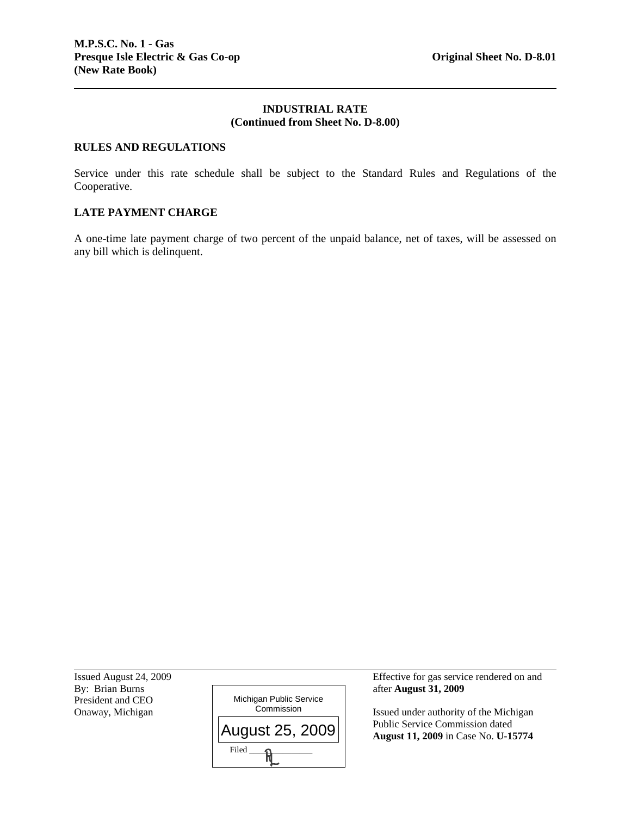#### **INDUSTRIAL RATE (Continued from Sheet No. D-8.00)**

### **RULES AND REGULATIONS**

Service under this rate schedule shall be subject to the Standard Rules and Regulations of the Cooperative.

# **LATE PAYMENT CHARGE**

A one-time late payment charge of two percent of the unpaid balance, net of taxes, will be assessed on any bill which is delinquent.

President and CEO<br>Onaway, Michigan

l



Issued August 24, 2009 Effective for gas service rendered on and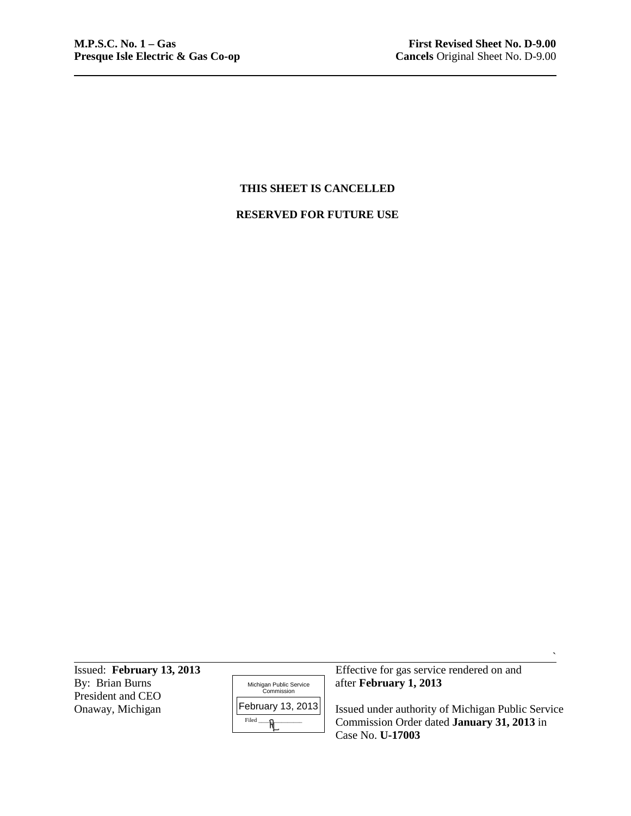# **THIS SHEET IS CANCELLED**

#### **RESERVED FOR FUTURE USE**

By: Brian Burns **and Contains and Contains an Public Service** after **February 1, 2013** President and CEO<br>Onaway, Michigan

| Michigan Public Service<br>Commission |
|---------------------------------------|
| February 13, 2013                     |
| Filed                                 |

Issued: **February 13, 2013** Effective for gas service rendered on and

Onaway, Michigan **Issued** | **Issued under authority of Michigan Public Service** Commission Order dated **January 31, 2013** in Case No. **U-17003**

 $\hat{\phantom{a}}$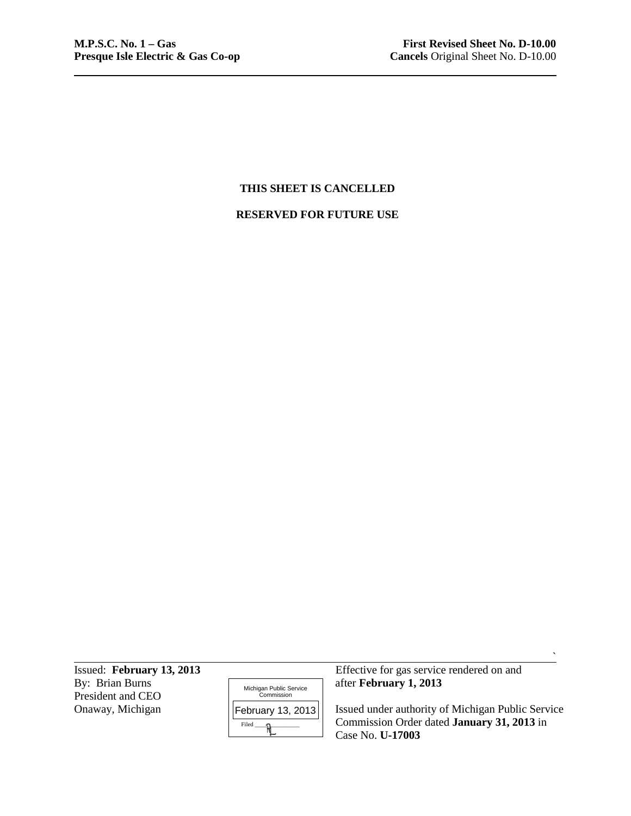# **THIS SHEET IS CANCELLED**

#### **RESERVED FOR FUTURE USE**

By: Brian Burns **after <b>February** 1, 2013 President and CEO<br>Onaway, Michigan

| Michigan Public Service<br>Commission |
|---------------------------------------|
| February 13, 2013                     |
| Filed                                 |

Issued: **February 13, 2013** Effective for gas service rendered on and

Onaway, Michigan | February 13, 2013 | Issued under authority of Michigan Public Service Commission Order dated **January 31, 2013** in Case No. **U-17003**

 $\hat{\phantom{a}}$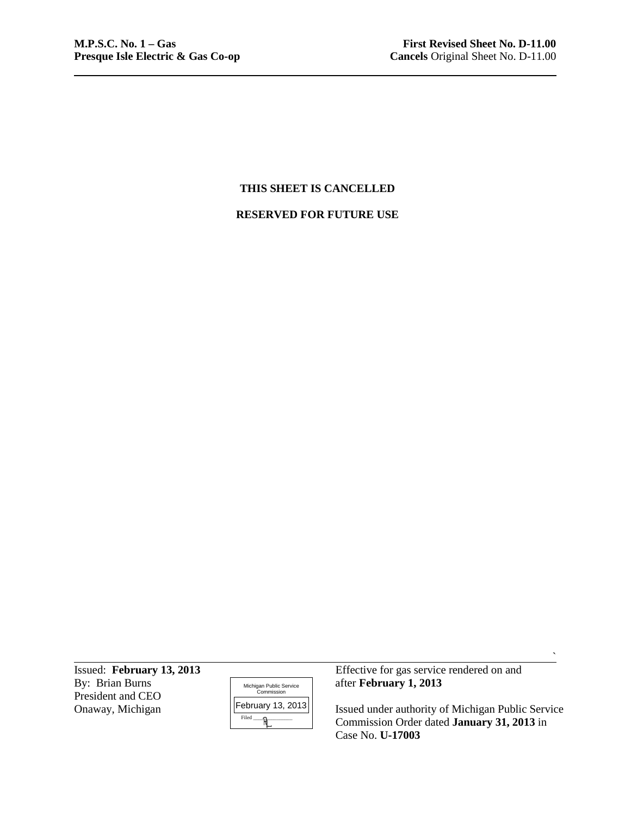# **THIS SHEET IS CANCELLED**

#### **RESERVED FOR FUTURE USE**

President and CEO<br>Onaway, Michigan



Issued: **February 13, 2013** Effective for gas service rendered on and By: Brian Burns **Exercise** Exervice **February 1, 2013** after **February 1, 2013** 

> Issued under authority of Michigan Public Service Commission Order dated **January 31, 2013** in Case No. **U-17003**

 $\hat{\phantom{a}}$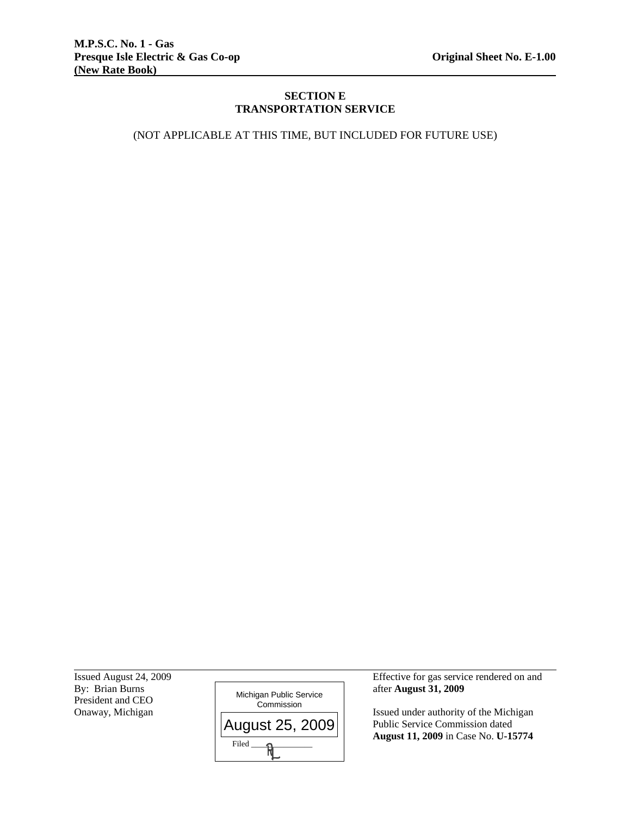# **SECTION E TRANSPORTATION SERVICE**

(NOT APPLICABLE AT THIS TIME, BUT INCLUDED FOR FUTURE USE)

President and CEO<br>Onaway, Michigan

l



Issued August 24, 2009 Effective for gas service rendered on and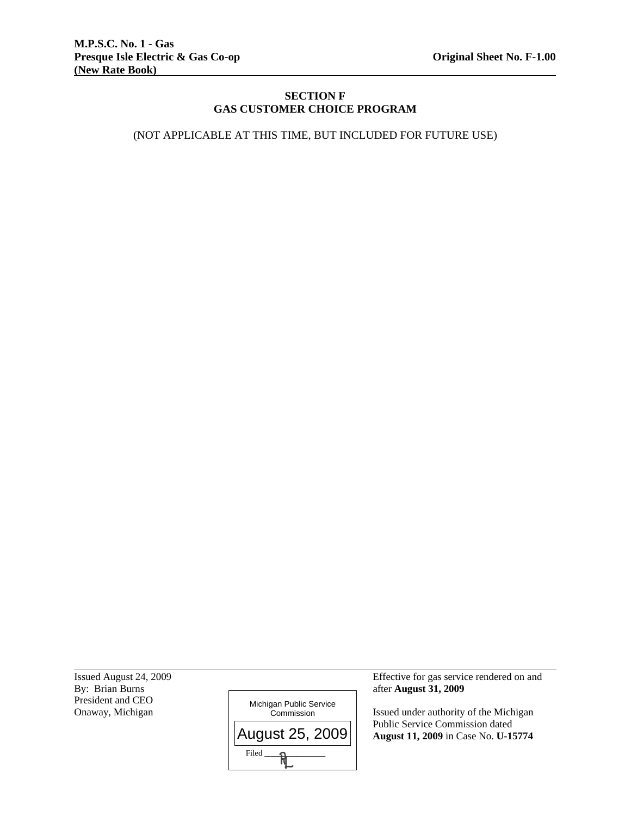# **SECTION F GAS CUSTOMER CHOICE PROGRAM**

(NOT APPLICABLE AT THIS TIME, BUT INCLUDED FOR FUTURE USE)

President and CEO<br>Onaway, Michigan

l



Issued August 24, 2009 Effective for gas service rendered on and